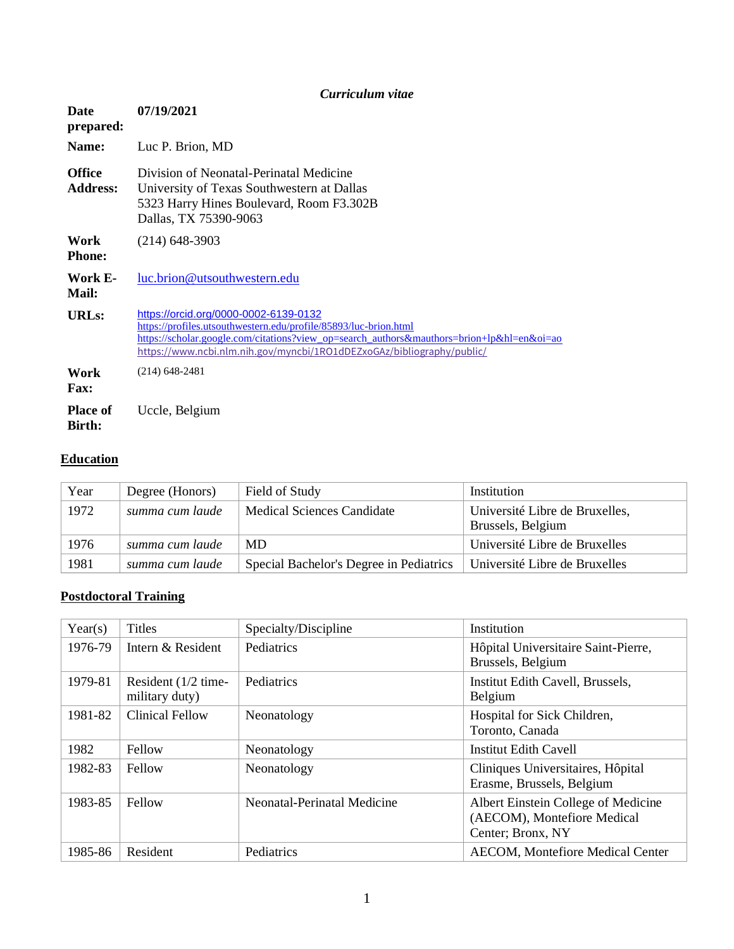|                                  | Curriculum vitae                                                                                                                                                                                                                                                                 |
|----------------------------------|----------------------------------------------------------------------------------------------------------------------------------------------------------------------------------------------------------------------------------------------------------------------------------|
| <b>Date</b><br>prepared:         | 07/19/2021                                                                                                                                                                                                                                                                       |
| Name:                            | Luc P. Brion, MD                                                                                                                                                                                                                                                                 |
| <b>Office</b><br><b>Address:</b> | Division of Neonatal-Perinatal Medicine<br>University of Texas Southwestern at Dallas<br>5323 Harry Hines Boulevard, Room F3.302B<br>Dallas, TX 75390-9063                                                                                                                       |
| Work<br><b>Phone:</b>            | $(214)$ 648-3903                                                                                                                                                                                                                                                                 |
| Work E-<br>Mail:                 | luc.brion@utsouthwestern.edu                                                                                                                                                                                                                                                     |
| URL <sub>s</sub> :               | https://orcid.org/0000-0002-6139-0132<br>https://profiles.utsouthwestern.edu/profile/85893/luc-brion.html<br>https://scholar.google.com/citations?view_op=search_authors&mauthors=brion+lp&hl=en&oi=ao<br>https://www.ncbi.nlm.nih.gov/myncbi/1RO1dDEZxoGAz/bibliography/public/ |
| Work<br><b>Fax:</b>              | $(214)$ 648-2481                                                                                                                                                                                                                                                                 |
| <b>Place of</b><br>Birth:        | Uccle, Belgium                                                                                                                                                                                                                                                                   |

## **Education**

| Year | Degree (Honors) | Field of Study                          | Institution                                         |
|------|-----------------|-----------------------------------------|-----------------------------------------------------|
| 1972 | summa cum laude | <b>Medical Sciences Candidate</b>       | Université Libre de Bruxelles,<br>Brussels, Belgium |
| 1976 | summa cum laude | MD.                                     | Université Libre de Bruxelles                       |
| 1981 | summa cum laude | Special Bachelor's Degree in Pediatrics | Université Libre de Bruxelles                       |

# **Postdoctoral Training**

| Year(s) | <b>Titles</b>                           | Specialty/Discipline        | Institution                                                                             |
|---------|-----------------------------------------|-----------------------------|-----------------------------------------------------------------------------------------|
| 1976-79 | Intern & Resident                       | Pediatrics                  | Hôpital Universitaire Saint-Pierre,<br>Brussels, Belgium                                |
| 1979-81 | Resident $(1/2$ time-<br>military duty) | Pediatrics                  | Institut Edith Cavell, Brussels,<br>Belgium                                             |
| 1981-82 | Clinical Fellow                         | Neonatology                 | Hospital for Sick Children,<br>Toronto, Canada                                          |
| 1982    | Fellow                                  | Neonatology                 | <b>Institut Edith Cavell</b>                                                            |
| 1982-83 | Fellow                                  | Neonatology                 | Cliniques Universitaires, Hôpital<br>Erasme, Brussels, Belgium                          |
| 1983-85 | Fellow                                  | Neonatal-Perinatal Medicine | Albert Einstein College of Medicine<br>(AECOM), Montefiore Medical<br>Center; Bronx, NY |
| 1985-86 | Resident                                | Pediatrics                  | <b>AECOM, Montefiore Medical Center</b>                                                 |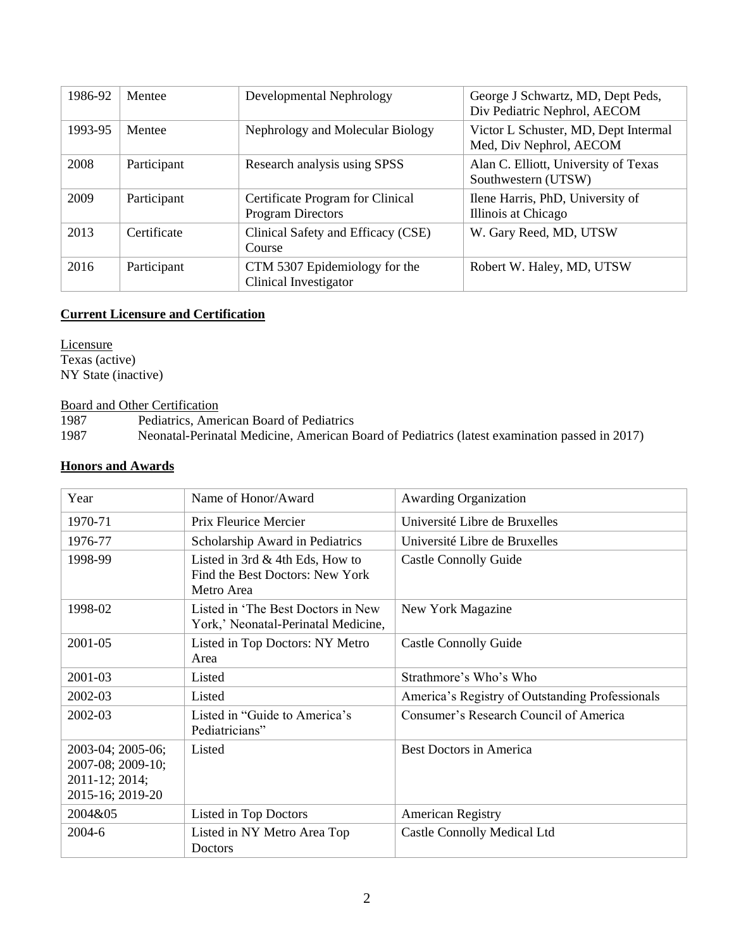| 1986-92 | Mentee      | Developmental Nephrology                                     | George J Schwartz, MD, Dept Peds,<br>Div Pediatric Nephrol, AECOM |
|---------|-------------|--------------------------------------------------------------|-------------------------------------------------------------------|
| 1993-95 | Mentee      | Nephrology and Molecular Biology                             | Victor L Schuster, MD, Dept Intermal<br>Med, Div Nephrol, AECOM   |
| 2008    | Participant | Research analysis using SPSS                                 | Alan C. Elliott, University of Texas<br>Southwestern (UTSW)       |
| 2009    | Participant | Certificate Program for Clinical<br><b>Program Directors</b> | Ilene Harris, PhD, University of<br>Illinois at Chicago           |
| 2013    | Certificate | Clinical Safety and Efficacy (CSE)<br>Course                 | W. Gary Reed, MD, UTSW                                            |
| 2016    | Participant | CTM 5307 Epidemiology for the<br>Clinical Investigator       | Robert W. Haley, MD, UTSW                                         |

#### **Current Licensure and Certification**

**Licensure** Texas (active) NY State (inactive)

**Board and Other Certification**<br>1987 **Pediatrics**, Ame

1987 Pediatrics, American Board of Pediatrics<br>1987 Neonatal-Perinatal Medicine, American E

1987 Neonatal-Perinatal Medicine, American Board of Pediatrics (latest examination passed in 2017)

#### **Honors and Awards**

| Year                                                                         | Name of Honor/Award                                                                | <b>Awarding Organization</b>                    |
|------------------------------------------------------------------------------|------------------------------------------------------------------------------------|-------------------------------------------------|
| 1970-71                                                                      | Prix Fleurice Mercier                                                              | Université Libre de Bruxelles                   |
| 1976-77                                                                      | Scholarship Award in Pediatrics                                                    | Université Libre de Bruxelles                   |
| 1998-99                                                                      | Listed in 3rd $&$ 4th Eds, How to<br>Find the Best Doctors: New York<br>Metro Area | <b>Castle Connolly Guide</b>                    |
| 1998-02                                                                      | Listed in 'The Best Doctors in New<br>York,' Neonatal-Perinatal Medicine,          | New York Magazine                               |
| 2001-05                                                                      | Listed in Top Doctors: NY Metro<br>Area                                            | <b>Castle Connolly Guide</b>                    |
| 2001-03                                                                      | Listed                                                                             | Strathmore's Who's Who                          |
| 2002-03                                                                      | Listed                                                                             | America's Registry of Outstanding Professionals |
| 2002-03                                                                      | Listed in "Guide to America's<br>Pediatricians"                                    | Consumer's Research Council of America          |
| 2003-04; 2005-06;<br>2007-08; 2009-10;<br>2011-12; 2014;<br>2015-16; 2019-20 | Listed                                                                             | <b>Best Doctors in America</b>                  |
| 2004&05                                                                      | Listed in Top Doctors                                                              | <b>American Registry</b>                        |
| $2004-6$                                                                     | Listed in NY Metro Area Top<br>Doctors                                             | <b>Castle Connolly Medical Ltd</b>              |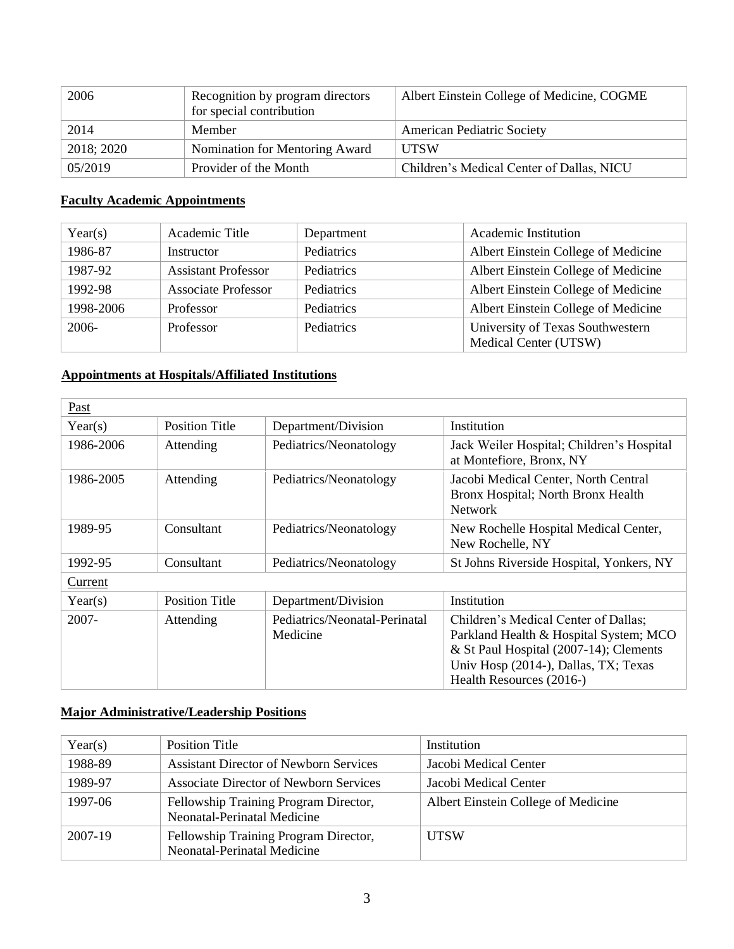| 2006       | Recognition by program directors<br>for special contribution | Albert Einstein College of Medicine, COGME |
|------------|--------------------------------------------------------------|--------------------------------------------|
| 2014       | Member                                                       | <b>American Pediatric Society</b>          |
| 2018; 2020 | Nomination for Mentoring Award                               | UTSW                                       |
| 05/2019    | Provider of the Month                                        | Children's Medical Center of Dallas, NICU  |

### **Faculty Academic Appointments**

| Year(s)   | Academic Title             | Department | <b>Academic Institution</b>                               |
|-----------|----------------------------|------------|-----------------------------------------------------------|
| 1986-87   | Instructor                 | Pediatrics | Albert Einstein College of Medicine                       |
| 1987-92   | <b>Assistant Professor</b> | Pediatrics | Albert Einstein College of Medicine                       |
| 1992-98   | <b>Associate Professor</b> | Pediatrics | Albert Einstein College of Medicine                       |
| 1998-2006 | Professor                  | Pediatrics | Albert Einstein College of Medicine                       |
| 2006-     | Professor                  | Pediatrics | University of Texas Southwestern<br>Medical Center (UTSW) |

## **Appointments at Hospitals/Affiliated Institutions**

| Past      |                       |                                           |                                                                                                                                                                                              |
|-----------|-----------------------|-------------------------------------------|----------------------------------------------------------------------------------------------------------------------------------------------------------------------------------------------|
| Year(s)   | <b>Position Title</b> | Department/Division                       | Institution                                                                                                                                                                                  |
| 1986-2006 | Attending             | Pediatrics/Neonatology                    | Jack Weiler Hospital; Children's Hospital<br>at Montefiore, Bronx, NY                                                                                                                        |
| 1986-2005 | Attending             | Pediatrics/Neonatology                    | Jacobi Medical Center, North Central<br>Bronx Hospital; North Bronx Health<br><b>Network</b>                                                                                                 |
| 1989-95   | Consultant            | Pediatrics/Neonatology                    | New Rochelle Hospital Medical Center,<br>New Rochelle, NY                                                                                                                                    |
| 1992-95   | Consultant            | Pediatrics/Neonatology                    | St Johns Riverside Hospital, Yonkers, NY                                                                                                                                                     |
| Current   |                       |                                           |                                                                                                                                                                                              |
| Year(s)   | <b>Position Title</b> | Department/Division                       | Institution                                                                                                                                                                                  |
| 2007-     | Attending             | Pediatrics/Neonatal-Perinatal<br>Medicine | Children's Medical Center of Dallas;<br>Parkland Health & Hospital System; MCO<br>& St Paul Hospital (2007-14); Clements<br>Univ Hosp (2014-), Dallas, TX; Texas<br>Health Resources (2016-) |

## **Major Administrative/Leadership Positions**

| Year(s) | <b>Position Title</b>                                                | Institution                         |
|---------|----------------------------------------------------------------------|-------------------------------------|
| 1988-89 | <b>Assistant Director of Newborn Services</b>                        | Jacobi Medical Center               |
| 1989-97 | <b>Associate Director of Newborn Services</b>                        | Jacobi Medical Center               |
| 1997-06 | Fellowship Training Program Director,<br>Neonatal-Perinatal Medicine | Albert Einstein College of Medicine |
| 2007-19 | Fellowship Training Program Director,<br>Neonatal-Perinatal Medicine | <b>UTSW</b>                         |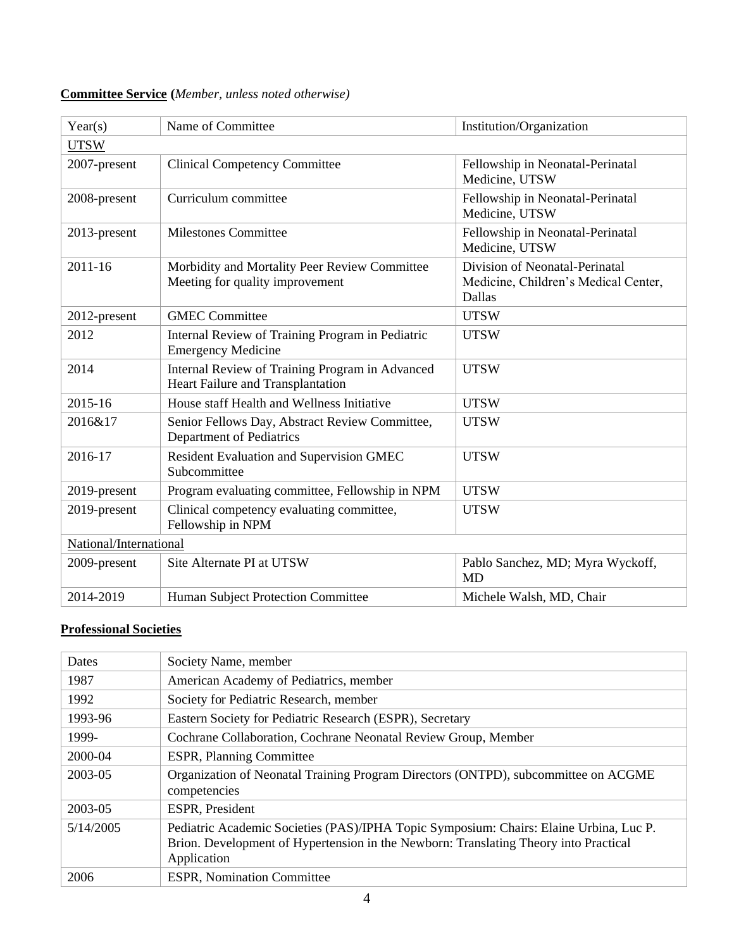| <b>Committee Service</b> (Member, unless noted otherwise) |  |
|-----------------------------------------------------------|--|
|-----------------------------------------------------------|--|

| Year(s)                | Name of Committee<br>Institution/Organization                                        |                                                                                  |
|------------------------|--------------------------------------------------------------------------------------|----------------------------------------------------------------------------------|
| <b>UTSW</b>            |                                                                                      |                                                                                  |
| 2007-present           | <b>Clinical Competency Committee</b>                                                 | Fellowship in Neonatal-Perinatal<br>Medicine, UTSW                               |
| 2008-present           | Curriculum committee                                                                 | Fellowship in Neonatal-Perinatal<br>Medicine, UTSW                               |
| 2013-present           | <b>Milestones Committee</b>                                                          | Fellowship in Neonatal-Perinatal<br>Medicine, UTSW                               |
| $2011 - 16$            | Morbidity and Mortality Peer Review Committee<br>Meeting for quality improvement     | Division of Neonatal-Perinatal<br>Medicine, Children's Medical Center,<br>Dallas |
| 2012-present           | <b>GMEC Committee</b>                                                                | <b>UTSW</b>                                                                      |
| 2012                   | Internal Review of Training Program in Pediatric<br><b>Emergency Medicine</b>        | <b>UTSW</b>                                                                      |
| 2014                   | Internal Review of Training Program in Advanced<br>Heart Failure and Transplantation | <b>UTSW</b>                                                                      |
| 2015-16                | House staff Health and Wellness Initiative                                           | <b>UTSW</b>                                                                      |
| 2016&17                | Senior Fellows Day, Abstract Review Committee,<br>Department of Pediatrics           | <b>UTSW</b>                                                                      |
| 2016-17                | Resident Evaluation and Supervision GMEC<br>Subcommittee                             | <b>UTSW</b>                                                                      |
| 2019-present           | Program evaluating committee, Fellowship in NPM                                      | <b>UTSW</b>                                                                      |
| 2019-present           | Clinical competency evaluating committee,<br>Fellowship in NPM                       | <b>UTSW</b>                                                                      |
| National/International |                                                                                      |                                                                                  |
| 2009-present           | Site Alternate PI at UTSW                                                            | Pablo Sanchez, MD; Myra Wyckoff,<br><b>MD</b>                                    |
| 2014-2019              | Human Subject Protection Committee                                                   | Michele Walsh, MD, Chair                                                         |

## **Professional Societies**

| Dates     | Society Name, member                                                                                                                                                                          |
|-----------|-----------------------------------------------------------------------------------------------------------------------------------------------------------------------------------------------|
| 1987      | American Academy of Pediatrics, member                                                                                                                                                        |
| 1992      | Society for Pediatric Research, member                                                                                                                                                        |
| 1993-96   | Eastern Society for Pediatric Research (ESPR), Secretary                                                                                                                                      |
| 1999-     | Cochrane Collaboration, Cochrane Neonatal Review Group, Member                                                                                                                                |
| 2000-04   | <b>ESPR, Planning Committee</b>                                                                                                                                                               |
| 2003-05   | Organization of Neonatal Training Program Directors (ONTPD), subcommittee on ACGME<br>competencies                                                                                            |
| 2003-05   | <b>ESPR, President</b>                                                                                                                                                                        |
| 5/14/2005 | Pediatric Academic Societies (PAS)/IPHA Topic Symposium: Chairs: Elaine Urbina, Luc P.<br>Brion. Development of Hypertension in the Newborn: Translating Theory into Practical<br>Application |
| 2006      | <b>ESPR, Nomination Committee</b>                                                                                                                                                             |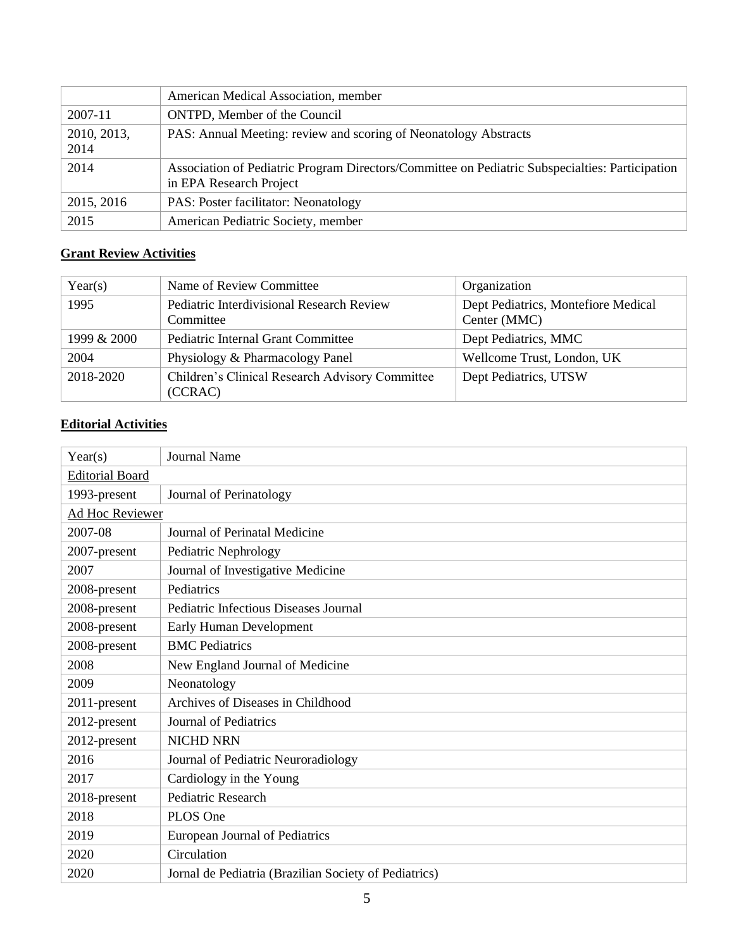|                     | American Medical Association, member                                                                                       |
|---------------------|----------------------------------------------------------------------------------------------------------------------------|
| 2007-11             | ONTPD, Member of the Council                                                                                               |
| 2010, 2013,<br>2014 | PAS: Annual Meeting: review and scoring of Neonatology Abstracts                                                           |
| 2014                | Association of Pediatric Program Directors/Committee on Pediatric Subspecialties: Participation<br>in EPA Research Project |
| 2015, 2016          | PAS: Poster facilitator: Neonatology                                                                                       |
| 2015                | American Pediatric Society, member                                                                                         |

# **Grant Review Activities**

| Year(s)     | Name of Review Committee                                   | Organization                                        |
|-------------|------------------------------------------------------------|-----------------------------------------------------|
| 1995        | Pediatric Interdivisional Research Review<br>Committee     | Dept Pediatrics, Montefiore Medical<br>Center (MMC) |
| 1999 & 2000 | Pediatric Internal Grant Committee                         | Dept Pediatrics, MMC                                |
| 2004        | Physiology & Pharmacology Panel                            | Wellcome Trust, London, UK                          |
| 2018-2020   | Children's Clinical Research Advisory Committee<br>(CCRAC) | Dept Pediatrics, UTSW                               |

## **Editorial Activities**

| Year(s)                | <b>Journal Name</b>                                   |  |
|------------------------|-------------------------------------------------------|--|
| <b>Editorial Board</b> |                                                       |  |
| 1993-present           | Journal of Perinatology                               |  |
| Ad Hoc Reviewer        |                                                       |  |
| 2007-08                | Journal of Perinatal Medicine                         |  |
| 2007-present           | Pediatric Nephrology                                  |  |
| 2007                   | Journal of Investigative Medicine                     |  |
| 2008-present           | Pediatrics                                            |  |
| 2008-present           | Pediatric Infectious Diseases Journal                 |  |
| 2008-present           | Early Human Development                               |  |
| 2008-present           | <b>BMC</b> Pediatrics                                 |  |
| 2008                   | New England Journal of Medicine                       |  |
| 2009                   | Neonatology                                           |  |
| 2011-present           | Archives of Diseases in Childhood                     |  |
| 2012-present           | Journal of Pediatrics                                 |  |
| 2012-present           | <b>NICHD NRN</b>                                      |  |
| 2016                   | Journal of Pediatric Neuroradiology                   |  |
| 2017                   | Cardiology in the Young                               |  |
| 2018-present           | <b>Pediatric Research</b>                             |  |
| 2018                   | PLOS One                                              |  |
| 2019                   | European Journal of Pediatrics                        |  |
| 2020                   | Circulation                                           |  |
| 2020                   | Jornal de Pediatria (Brazilian Society of Pediatrics) |  |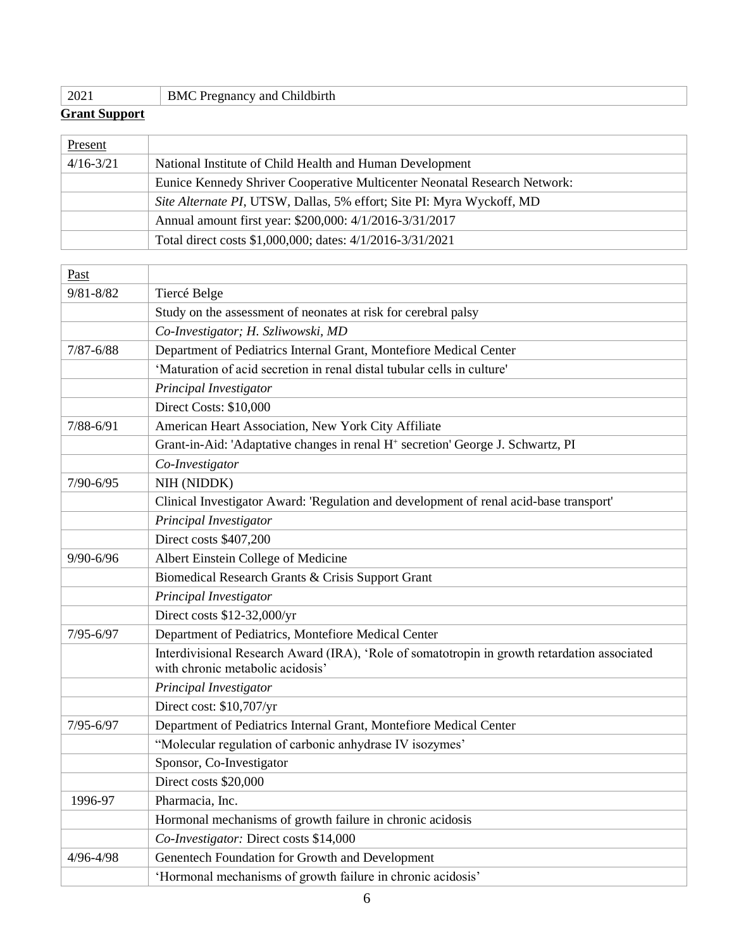|  |  | 2021 | <b>BMC P.</b><br>and Childbirth<br>$\Gamma$ Pregnancy and $\Gamma$ |
|--|--|------|--------------------------------------------------------------------|
|--|--|------|--------------------------------------------------------------------|

### **Grant Support**

 $\Gamma$ 

 $\overline{1}$ 

| <b>Present</b> |                                                                           |
|----------------|---------------------------------------------------------------------------|
| $4/16 - 3/21$  | National Institute of Child Health and Human Development                  |
|                | Eunice Kennedy Shriver Cooperative Multicenter Neonatal Research Network: |
|                | Site Alternate PI, UTSW, Dallas, 5% effort; Site PI: Myra Wyckoff, MD     |
|                | Annual amount first year: \$200,000: 4/1/2016-3/31/2017                   |
|                | Total direct costs \$1,000,000; dates: 4/1/2016-3/31/2021                 |

| Past          |                                                                                              |
|---------------|----------------------------------------------------------------------------------------------|
| $9/81 - 8/82$ | Tiercé Belge                                                                                 |
|               | Study on the assessment of neonates at risk for cerebral palsy                               |
|               | Co-Investigator; H. Szliwowski, MD                                                           |
| $7/87 - 6/88$ | Department of Pediatrics Internal Grant, Montefiore Medical Center                           |
|               | 'Maturation of acid secretion in renal distal tubular cells in culture'                      |
|               | Principal Investigator                                                                       |
|               | Direct Costs: \$10,000                                                                       |
| $7/88 - 6/91$ | American Heart Association, New York City Affiliate                                          |
|               | Grant-in-Aid: 'Adaptative changes in renal H <sup>+</sup> secretion' George J. Schwartz, PI  |
|               | Co-Investigator                                                                              |
| $7/90 - 6/95$ | NIH (NIDDK)                                                                                  |
|               | Clinical Investigator Award: 'Regulation and development of renal acid-base transport'       |
|               | Principal Investigator                                                                       |
|               | Direct costs \$407,200                                                                       |
| 9/90-6/96     | Albert Einstein College of Medicine                                                          |
|               | Biomedical Research Grants & Crisis Support Grant                                            |
|               | Principal Investigator                                                                       |
|               | Direct costs \$12-32,000/yr                                                                  |
| $7/95 - 6/97$ | Department of Pediatrics, Montefiore Medical Center                                          |
|               | Interdivisional Research Award (IRA), 'Role of somatotropin in growth retardation associated |
|               | with chronic metabolic acidosis'                                                             |
|               | Principal Investigator                                                                       |
|               | Direct cost: \$10,707/yr                                                                     |
| $7/95 - 6/97$ | Department of Pediatrics Internal Grant, Montefiore Medical Center                           |
|               | "Molecular regulation of carbonic anhydrase IV isozymes"                                     |
|               | Sponsor, Co-Investigator                                                                     |
|               | Direct costs \$20,000                                                                        |
| 1996-97       | Pharmacia, Inc.                                                                              |
|               | Hormonal mechanisms of growth failure in chronic acidosis                                    |
|               | Co-Investigator: Direct costs \$14,000                                                       |
| $4/96 - 4/98$ | Genentech Foundation for Growth and Development                                              |
|               | 'Hormonal mechanisms of growth failure in chronic acidosis'                                  |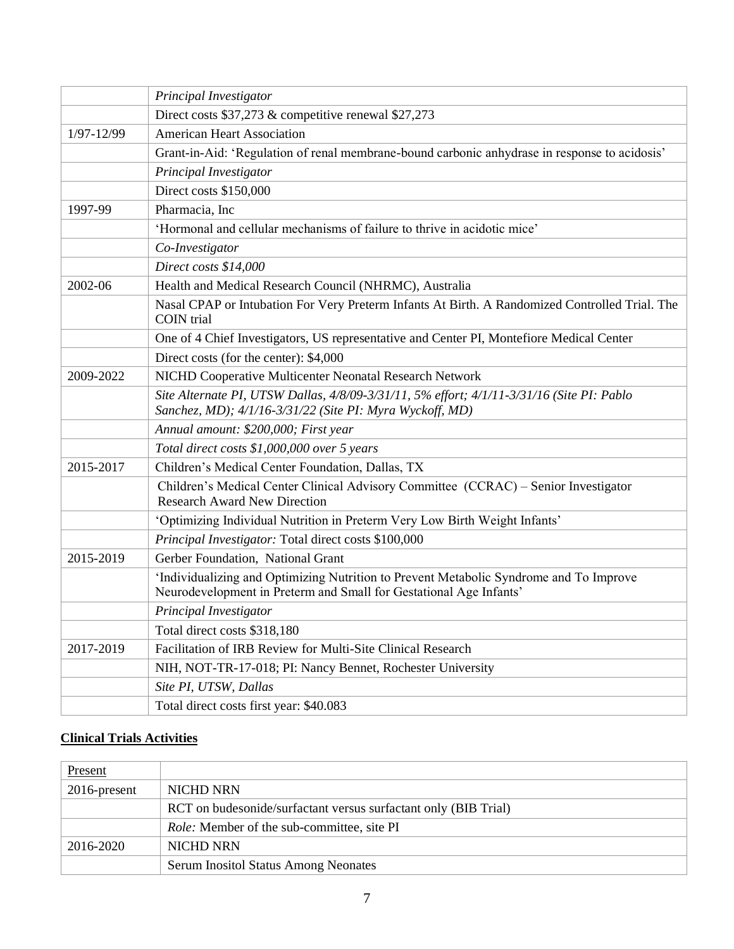|            | Principal Investigator                                                                                                                                       |
|------------|--------------------------------------------------------------------------------------------------------------------------------------------------------------|
|            | Direct costs \$37,273 & competitive renewal \$27,273                                                                                                         |
| 1/97-12/99 | <b>American Heart Association</b>                                                                                                                            |
|            | Grant-in-Aid: 'Regulation of renal membrane-bound carbonic anhydrase in response to acidosis'                                                                |
|            | Principal Investigator                                                                                                                                       |
|            | Direct costs \$150,000                                                                                                                                       |
| 1997-99    | Pharmacia, Inc                                                                                                                                               |
|            | 'Hormonal and cellular mechanisms of failure to thrive in acidotic mice'                                                                                     |
|            | Co-Investigator                                                                                                                                              |
|            | Direct costs \$14,000                                                                                                                                        |
| 2002-06    | Health and Medical Research Council (NHRMC), Australia                                                                                                       |
|            | Nasal CPAP or Intubation For Very Preterm Infants At Birth. A Randomized Controlled Trial. The<br>COIN trial                                                 |
|            | One of 4 Chief Investigators, US representative and Center PI, Montefiore Medical Center                                                                     |
|            | Direct costs (for the center): \$4,000                                                                                                                       |
| 2009-2022  | NICHD Cooperative Multicenter Neonatal Research Network                                                                                                      |
|            | Site Alternate PI, UTSW Dallas, 4/8/09-3/31/11, 5% effort; 4/1/11-3/31/16 (Site PI: Pablo<br>Sanchez, MD); 4/1/16-3/31/22 (Site PI: Myra Wyckoff, MD)        |
|            | Annual amount: \$200,000; First year                                                                                                                         |
|            | Total direct costs \$1,000,000 over 5 years                                                                                                                  |
| 2015-2017  | Children's Medical Center Foundation, Dallas, TX                                                                                                             |
|            | Children's Medical Center Clinical Advisory Committee (CCRAC) - Senior Investigator<br><b>Research Award New Direction</b>                                   |
|            | 'Optimizing Individual Nutrition in Preterm Very Low Birth Weight Infants'                                                                                   |
|            | Principal Investigator: Total direct costs \$100,000                                                                                                         |
| 2015-2019  | Gerber Foundation, National Grant                                                                                                                            |
|            | 'Individualizing and Optimizing Nutrition to Prevent Metabolic Syndrome and To Improve<br>Neurodevelopment in Preterm and Small for Gestational Age Infants' |
|            | Principal Investigator                                                                                                                                       |
|            | Total direct costs \$318,180                                                                                                                                 |
| 2017-2019  | Facilitation of IRB Review for Multi-Site Clinical Research                                                                                                  |
|            | NIH, NOT-TR-17-018; PI: Nancy Bennet, Rochester University                                                                                                   |
|            | Site PI, UTSW, Dallas                                                                                                                                        |
|            | Total direct costs first year: \$40.083                                                                                                                      |

### **Clinical Trials Activities**

| Present         |                                                                 |
|-----------------|-----------------------------------------------------------------|
| $2016$ -present | NICHD NRN                                                       |
|                 | RCT on budesonide/surfactant versus surfactant only (BIB Trial) |
|                 | <i>Role:</i> Member of the sub-committee, site PI               |
| 2016-2020       | NICHD NRN                                                       |
|                 | <b>Serum Inositol Status Among Neonates</b>                     |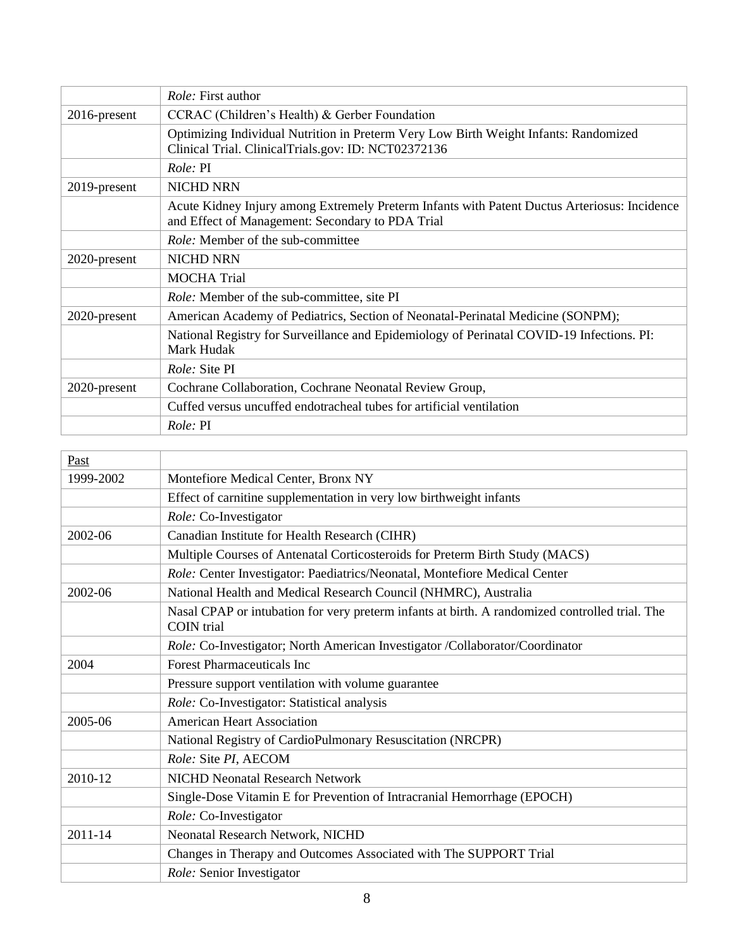|                 | <i>Role:</i> First author                                                                                                                        |
|-----------------|--------------------------------------------------------------------------------------------------------------------------------------------------|
| $2016$ -present | CCRAC (Children's Health) & Gerber Foundation                                                                                                    |
|                 | Optimizing Individual Nutrition in Preterm Very Low Birth Weight Infants: Randomized<br>Clinical Trial. Clinical Trials.gov: ID: NCT02372136     |
|                 | <i>Role:</i> PI                                                                                                                                  |
| 2019-present    | <b>NICHD NRN</b>                                                                                                                                 |
|                 | Acute Kidney Injury among Extremely Preterm Infants with Patent Ductus Arteriosus: Incidence<br>and Effect of Management: Secondary to PDA Trial |
|                 | <i>Role:</i> Member of the sub-committee                                                                                                         |
| 2020-present    | <b>NICHD NRN</b>                                                                                                                                 |
|                 | <b>MOCHA Trial</b>                                                                                                                               |
|                 | <i>Role:</i> Member of the sub-committee, site PI                                                                                                |
| 2020-present    | American Academy of Pediatrics, Section of Neonatal-Perinatal Medicine (SONPM);                                                                  |
|                 | National Registry for Surveillance and Epidemiology of Perinatal COVID-19 Infections. PI:<br>Mark Hudak                                          |
|                 | <i>Role:</i> Site PI                                                                                                                             |
| 2020-present    | Cochrane Collaboration, Cochrane Neonatal Review Group,                                                                                          |
|                 | Cuffed versus uncuffed endotracheal tubes for artificial ventilation                                                                             |
|                 | <i>Role:</i> PI                                                                                                                                  |

| Past        |                                                                                                                     |
|-------------|---------------------------------------------------------------------------------------------------------------------|
| 1999-2002   | Montefiore Medical Center, Bronx NY                                                                                 |
|             | Effect of carnitine supplementation in very low birthweight infants                                                 |
|             | Role: Co-Investigator                                                                                               |
| 2002-06     | Canadian Institute for Health Research (CIHR)                                                                       |
|             | Multiple Courses of Antenatal Corticosteroids for Preterm Birth Study (MACS)                                        |
|             | Role: Center Investigator: Paediatrics/Neonatal, Montefiore Medical Center                                          |
| 2002-06     | National Health and Medical Research Council (NHMRC), Australia                                                     |
|             | Nasal CPAP or intubation for very preterm infants at birth. A randomized controlled trial. The<br><b>COIN</b> trial |
|             | Role: Co-Investigator; North American Investigator /Collaborator/Coordinator                                        |
| 2004        | <b>Forest Pharmaceuticals Inc</b>                                                                                   |
|             | Pressure support ventilation with volume guarantee                                                                  |
|             | Role: Co-Investigator: Statistical analysis                                                                         |
| 2005-06     | <b>American Heart Association</b>                                                                                   |
|             | National Registry of CardioPulmonary Resuscitation (NRCPR)                                                          |
|             | Role: Site PI, AECOM                                                                                                |
| 2010-12     | NICHD Neonatal Research Network                                                                                     |
|             | Single-Dose Vitamin E for Prevention of Intracranial Hemorrhage (EPOCH)                                             |
|             | Role: Co-Investigator                                                                                               |
| $2011 - 14$ | Neonatal Research Network, NICHD                                                                                    |
|             | Changes in Therapy and Outcomes Associated with The SUPPORT Trial                                                   |
|             | Role: Senior Investigator                                                                                           |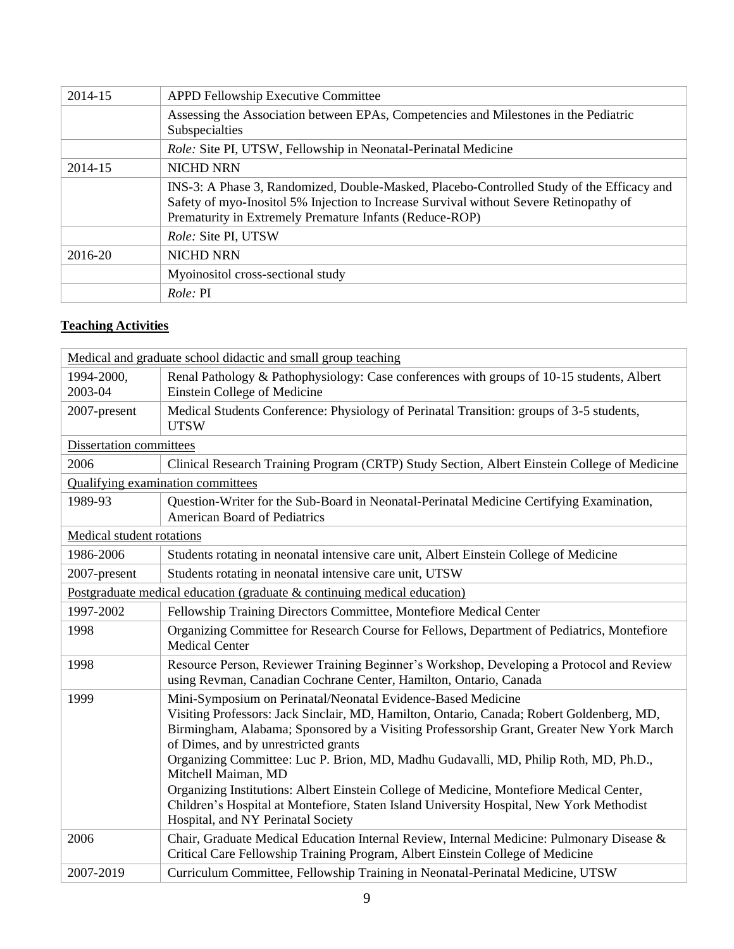| 2014-15 | <b>APPD Fellowship Executive Committee</b>                                                                                                                                                                                                     |
|---------|------------------------------------------------------------------------------------------------------------------------------------------------------------------------------------------------------------------------------------------------|
|         | Assessing the Association between EPAs, Competencies and Milestones in the Pediatric<br>Subspecialties                                                                                                                                         |
|         | <i>Role:</i> Site PI, UTSW, Fellowship in Neonatal-Perinatal Medicine                                                                                                                                                                          |
| 2014-15 | <b>NICHD NRN</b>                                                                                                                                                                                                                               |
|         | INS-3: A Phase 3, Randomized, Double-Masked, Placebo-Controlled Study of the Efficacy and<br>Safety of myo-Inositol 5% Injection to Increase Survival without Severe Retinopathy of<br>Prematurity in Extremely Premature Infants (Reduce-ROP) |
|         | <i>Role: Site PI, UTSW</i>                                                                                                                                                                                                                     |
| 2016-20 | <b>NICHD NRN</b>                                                                                                                                                                                                                               |
|         | Myoinositol cross-sectional study                                                                                                                                                                                                              |
|         | <i>Role: PI</i>                                                                                                                                                                                                                                |

## **Teaching Activities**

|                                                                             | Medical and graduate school didactic and small group teaching                                                                                                                                                                                                                                                                                                                                                                                                                                                                                                                                                                              |
|-----------------------------------------------------------------------------|--------------------------------------------------------------------------------------------------------------------------------------------------------------------------------------------------------------------------------------------------------------------------------------------------------------------------------------------------------------------------------------------------------------------------------------------------------------------------------------------------------------------------------------------------------------------------------------------------------------------------------------------|
| 1994-2000,<br>2003-04                                                       | Renal Pathology & Pathophysiology: Case conferences with groups of 10-15 students, Albert<br>Einstein College of Medicine                                                                                                                                                                                                                                                                                                                                                                                                                                                                                                                  |
| 2007-present                                                                | Medical Students Conference: Physiology of Perinatal Transition: groups of 3-5 students,<br><b>UTSW</b>                                                                                                                                                                                                                                                                                                                                                                                                                                                                                                                                    |
| Dissertation committees                                                     |                                                                                                                                                                                                                                                                                                                                                                                                                                                                                                                                                                                                                                            |
| 2006                                                                        | Clinical Research Training Program (CRTP) Study Section, Albert Einstein College of Medicine                                                                                                                                                                                                                                                                                                                                                                                                                                                                                                                                               |
|                                                                             | Qualifying examination committees                                                                                                                                                                                                                                                                                                                                                                                                                                                                                                                                                                                                          |
| 1989-93                                                                     | Question-Writer for the Sub-Board in Neonatal-Perinatal Medicine Certifying Examination,<br><b>American Board of Pediatrics</b>                                                                                                                                                                                                                                                                                                                                                                                                                                                                                                            |
| Medical student rotations                                                   |                                                                                                                                                                                                                                                                                                                                                                                                                                                                                                                                                                                                                                            |
| 1986-2006                                                                   | Students rotating in neonatal intensive care unit, Albert Einstein College of Medicine                                                                                                                                                                                                                                                                                                                                                                                                                                                                                                                                                     |
| 2007-present                                                                | Students rotating in neonatal intensive care unit, UTSW                                                                                                                                                                                                                                                                                                                                                                                                                                                                                                                                                                                    |
| Postgraduate medical education (graduate $\&$ continuing medical education) |                                                                                                                                                                                                                                                                                                                                                                                                                                                                                                                                                                                                                                            |
| 1997-2002                                                                   | Fellowship Training Directors Committee, Montefiore Medical Center                                                                                                                                                                                                                                                                                                                                                                                                                                                                                                                                                                         |
| 1998                                                                        | Organizing Committee for Research Course for Fellows, Department of Pediatrics, Montefiore<br><b>Medical Center</b>                                                                                                                                                                                                                                                                                                                                                                                                                                                                                                                        |
| 1998                                                                        | Resource Person, Reviewer Training Beginner's Workshop, Developing a Protocol and Review<br>using Revman, Canadian Cochrane Center, Hamilton, Ontario, Canada                                                                                                                                                                                                                                                                                                                                                                                                                                                                              |
| 1999                                                                        | Mini-Symposium on Perinatal/Neonatal Evidence-Based Medicine<br>Visiting Professors: Jack Sinclair, MD, Hamilton, Ontario, Canada; Robert Goldenberg, MD,<br>Birmingham, Alabama; Sponsored by a Visiting Professorship Grant, Greater New York March<br>of Dimes, and by unrestricted grants<br>Organizing Committee: Luc P. Brion, MD, Madhu Gudavalli, MD, Philip Roth, MD, Ph.D.,<br>Mitchell Maiman, MD<br>Organizing Institutions: Albert Einstein College of Medicine, Montefiore Medical Center,<br>Children's Hospital at Montefiore, Staten Island University Hospital, New York Methodist<br>Hospital, and NY Perinatal Society |
| 2006                                                                        | Chair, Graduate Medical Education Internal Review, Internal Medicine: Pulmonary Disease &<br>Critical Care Fellowship Training Program, Albert Einstein College of Medicine                                                                                                                                                                                                                                                                                                                                                                                                                                                                |
| 2007-2019                                                                   | Curriculum Committee, Fellowship Training in Neonatal-Perinatal Medicine, UTSW                                                                                                                                                                                                                                                                                                                                                                                                                                                                                                                                                             |
|                                                                             |                                                                                                                                                                                                                                                                                                                                                                                                                                                                                                                                                                                                                                            |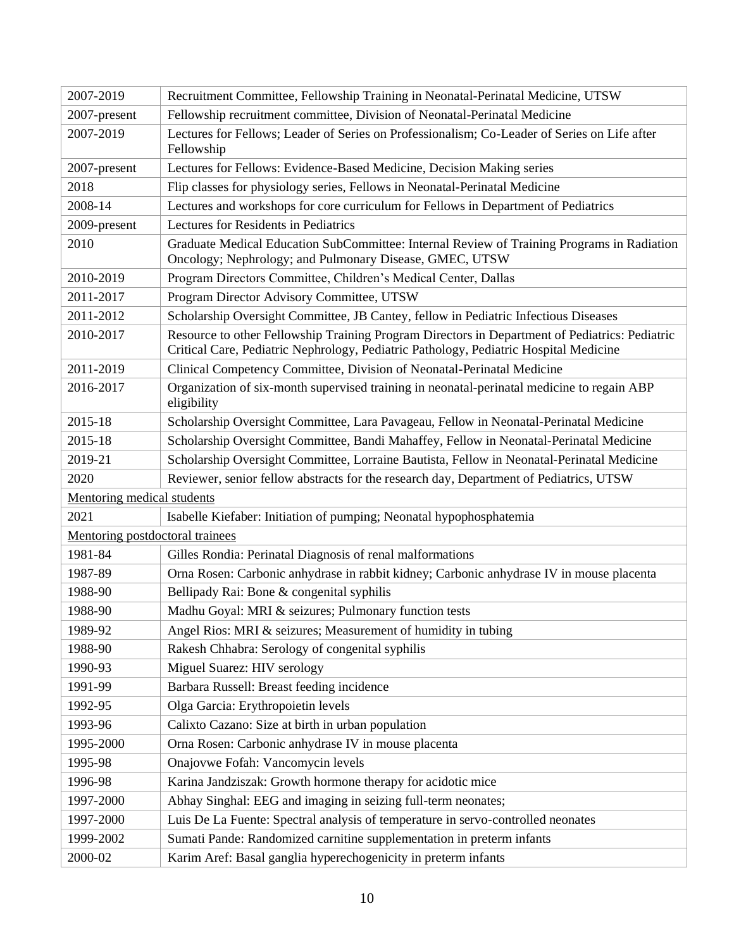| 2007-2019                       | Recruitment Committee, Fellowship Training in Neonatal-Perinatal Medicine, UTSW                                                                                                         |  |
|---------------------------------|-----------------------------------------------------------------------------------------------------------------------------------------------------------------------------------------|--|
| 2007-present                    | Fellowship recruitment committee, Division of Neonatal-Perinatal Medicine                                                                                                               |  |
| 2007-2019                       | Lectures for Fellows; Leader of Series on Professionalism; Co-Leader of Series on Life after<br>Fellowship                                                                              |  |
| 2007-present                    | Lectures for Fellows: Evidence-Based Medicine, Decision Making series                                                                                                                   |  |
| 2018                            | Flip classes for physiology series, Fellows in Neonatal-Perinatal Medicine                                                                                                              |  |
| 2008-14                         | Lectures and workshops for core curriculum for Fellows in Department of Pediatrics                                                                                                      |  |
| 2009-present                    | Lectures for Residents in Pediatrics                                                                                                                                                    |  |
| 2010                            | Graduate Medical Education SubCommittee: Internal Review of Training Programs in Radiation<br>Oncology; Nephrology; and Pulmonary Disease, GMEC, UTSW                                   |  |
| 2010-2019                       | Program Directors Committee, Children's Medical Center, Dallas                                                                                                                          |  |
| 2011-2017                       | Program Director Advisory Committee, UTSW                                                                                                                                               |  |
| 2011-2012                       | Scholarship Oversight Committee, JB Cantey, fellow in Pediatric Infectious Diseases                                                                                                     |  |
| 2010-2017                       | Resource to other Fellowship Training Program Directors in Department of Pediatrics: Pediatric<br>Critical Care, Pediatric Nephrology, Pediatric Pathology, Pediatric Hospital Medicine |  |
| 2011-2019                       | Clinical Competency Committee, Division of Neonatal-Perinatal Medicine                                                                                                                  |  |
| 2016-2017                       | Organization of six-month supervised training in neonatal-perinatal medicine to regain ABP<br>eligibility                                                                               |  |
| 2015-18                         | Scholarship Oversight Committee, Lara Pavageau, Fellow in Neonatal-Perinatal Medicine                                                                                                   |  |
| 2015-18                         | Scholarship Oversight Committee, Bandi Mahaffey, Fellow in Neonatal-Perinatal Medicine                                                                                                  |  |
| 2019-21                         | Scholarship Oversight Committee, Lorraine Bautista, Fellow in Neonatal-Perinatal Medicine                                                                                               |  |
| 2020                            | Reviewer, senior fellow abstracts for the research day, Department of Pediatrics, UTSW                                                                                                  |  |
| Mentoring medical students      |                                                                                                                                                                                         |  |
| 2021                            | Isabelle Kiefaber: Initiation of pumping; Neonatal hypophosphatemia                                                                                                                     |  |
| Mentoring postdoctoral trainees |                                                                                                                                                                                         |  |
| 1981-84                         | Gilles Rondia: Perinatal Diagnosis of renal malformations                                                                                                                               |  |
| 1987-89                         | Orna Rosen: Carbonic anhydrase in rabbit kidney; Carbonic anhydrase IV in mouse placenta                                                                                                |  |
| 1988-90                         | Bellipady Rai: Bone & congenital syphilis                                                                                                                                               |  |
| 1988-90                         | Madhu Goyal: MRI & seizures; Pulmonary function tests                                                                                                                                   |  |
| 1989-92                         | Angel Rios: MRI & seizures; Measurement of humidity in tubing                                                                                                                           |  |
| 1988-90                         | Rakesh Chhabra: Serology of congenital syphilis                                                                                                                                         |  |
| 1990-93                         | Miguel Suarez: HIV serology                                                                                                                                                             |  |
| 1991-99                         | Barbara Russell: Breast feeding incidence                                                                                                                                               |  |
| 1992-95                         | Olga Garcia: Erythropoietin levels                                                                                                                                                      |  |
| 1993-96                         | Calixto Cazano: Size at birth in urban population                                                                                                                                       |  |
| 1995-2000                       | Orna Rosen: Carbonic anhydrase IV in mouse placenta                                                                                                                                     |  |
| 1995-98                         | Onajovwe Fofah: Vancomycin levels                                                                                                                                                       |  |
| 1996-98                         | Karina Jandziszak: Growth hormone therapy for acidotic mice                                                                                                                             |  |
| 1997-2000                       | Abhay Singhal: EEG and imaging in seizing full-term neonates;                                                                                                                           |  |
| 1997-2000                       | Luis De La Fuente: Spectral analysis of temperature in servo-controlled neonates                                                                                                        |  |
| 1999-2002                       | Sumati Pande: Randomized carnitine supplementation in preterm infants                                                                                                                   |  |
| 2000-02                         | Karim Aref: Basal ganglia hyperechogenicity in preterm infants                                                                                                                          |  |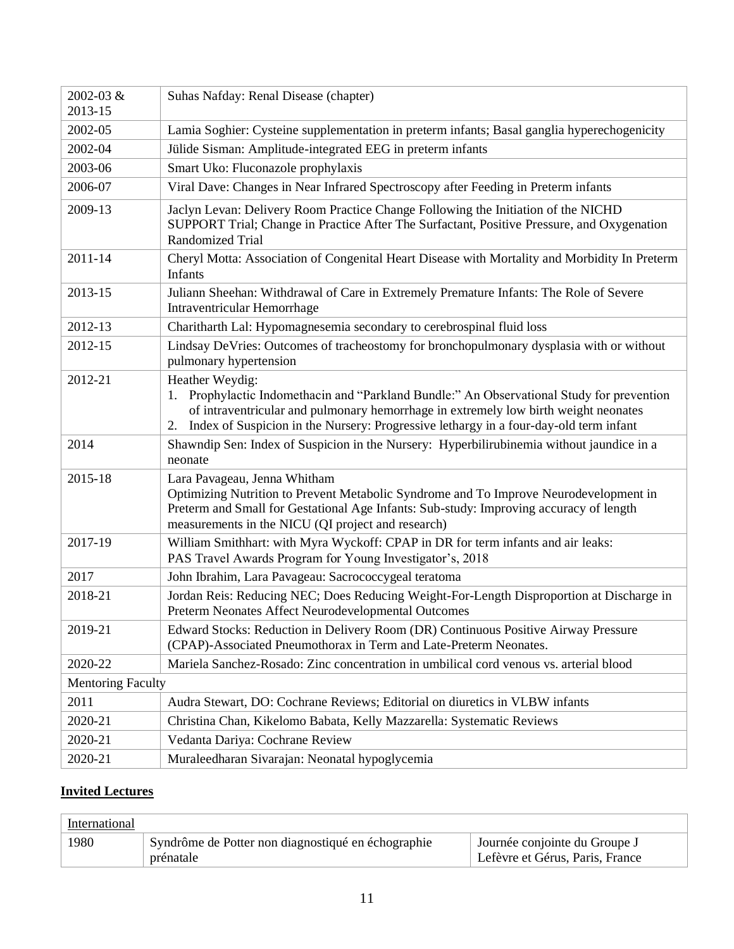| 2002-03 &<br>2013-15     | Suhas Nafday: Renal Disease (chapter)                                                                                                                                                                                                                                                                 |
|--------------------------|-------------------------------------------------------------------------------------------------------------------------------------------------------------------------------------------------------------------------------------------------------------------------------------------------------|
| 2002-05                  | Lamia Soghier: Cysteine supplementation in preterm infants; Basal ganglia hyperechogenicity                                                                                                                                                                                                           |
| 2002-04                  | Jülide Sisman: Amplitude-integrated EEG in preterm infants                                                                                                                                                                                                                                            |
| 2003-06                  | Smart Uko: Fluconazole prophylaxis                                                                                                                                                                                                                                                                    |
| 2006-07                  | Viral Dave: Changes in Near Infrared Spectroscopy after Feeding in Preterm infants                                                                                                                                                                                                                    |
| 2009-13                  | Jaclyn Levan: Delivery Room Practice Change Following the Initiation of the NICHD<br>SUPPORT Trial; Change in Practice After The Surfactant, Positive Pressure, and Oxygenation<br><b>Randomized Trial</b>                                                                                            |
| $2011 - 14$              | Cheryl Motta: Association of Congenital Heart Disease with Mortality and Morbidity In Preterm<br>Infants                                                                                                                                                                                              |
| 2013-15                  | Juliann Sheehan: Withdrawal of Care in Extremely Premature Infants: The Role of Severe<br>Intraventricular Hemorrhage                                                                                                                                                                                 |
| 2012-13                  | Charitharth Lal: Hypomagnesemia secondary to cerebrospinal fluid loss                                                                                                                                                                                                                                 |
| 2012-15                  | Lindsay DeVries: Outcomes of tracheostomy for bronchopulmonary dysplasia with or without<br>pulmonary hypertension                                                                                                                                                                                    |
| 2012-21                  | Heather Weydig:<br>Prophylactic Indomethacin and "Parkland Bundle:" An Observational Study for prevention<br>1.<br>of intraventricular and pulmonary hemorrhage in extremely low birth weight neonates<br>Index of Suspicion in the Nursery: Progressive lethargy in a four-day-old term infant<br>2. |
| 2014                     | Shawndip Sen: Index of Suspicion in the Nursery: Hyperbilirubinemia without jaundice in a<br>neonate                                                                                                                                                                                                  |
| 2015-18                  | Lara Pavageau, Jenna Whitham<br>Optimizing Nutrition to Prevent Metabolic Syndrome and To Improve Neurodevelopment in<br>Preterm and Small for Gestational Age Infants: Sub-study: Improving accuracy of length<br>measurements in the NICU (QI project and research)                                 |
| 2017-19                  | William Smithhart: with Myra Wyckoff: CPAP in DR for term infants and air leaks:<br>PAS Travel Awards Program for Young Investigator's, 2018                                                                                                                                                          |
| 2017                     | John Ibrahim, Lara Pavageau: Sacrococcygeal teratoma                                                                                                                                                                                                                                                  |
| 2018-21                  | Jordan Reis: Reducing NEC; Does Reducing Weight-For-Length Disproportion at Discharge in<br>Preterm Neonates Affect Neurodevelopmental Outcomes                                                                                                                                                       |
| 2019-21                  | Edward Stocks: Reduction in Delivery Room (DR) Continuous Positive Airway Pressure<br>(CPAP)-Associated Pneumothorax in Term and Late-Preterm Neonates.                                                                                                                                               |
| 2020-22                  | Mariela Sanchez-Rosado: Zinc concentration in umbilical cord venous vs. arterial blood                                                                                                                                                                                                                |
| <b>Mentoring Faculty</b> |                                                                                                                                                                                                                                                                                                       |
| 2011                     | Audra Stewart, DO: Cochrane Reviews; Editorial on diuretics in VLBW infants                                                                                                                                                                                                                           |
| 2020-21                  | Christina Chan, Kikelomo Babata, Kelly Mazzarella: Systematic Reviews                                                                                                                                                                                                                                 |
| 2020-21                  | Vedanta Dariya: Cochrane Review                                                                                                                                                                                                                                                                       |
| 2020-21                  | Muraleedharan Sivarajan: Neonatal hypoglycemia                                                                                                                                                                                                                                                        |

## **Invited Lectures**

| International |                                                    |                                 |
|---------------|----------------------------------------------------|---------------------------------|
| 1980          | Syndrôme de Potter non diagnostiqué en échographie | Journée conjointe du Groupe J   |
|               | prénatale                                          | Lefèvre et Gérus, Paris, France |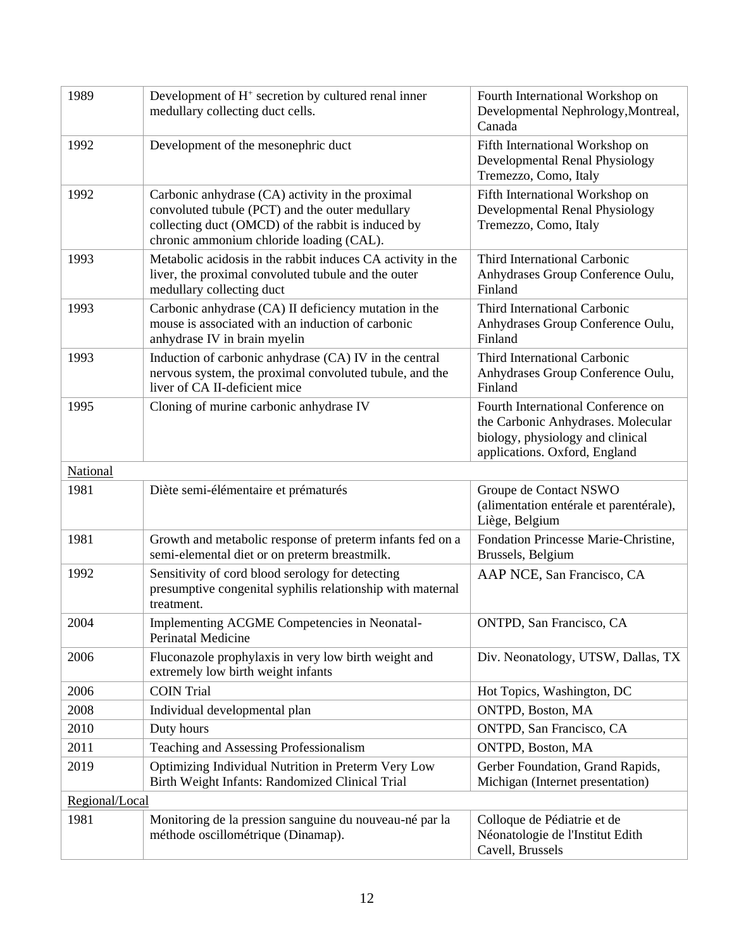| Development of $H^+$ secretion by cultured renal inner<br>medullary collecting duct cells.                                                                                                            | Fourth International Workshop on<br>Developmental Nephrology, Montreal,<br>Canada                                                             |
|-------------------------------------------------------------------------------------------------------------------------------------------------------------------------------------------------------|-----------------------------------------------------------------------------------------------------------------------------------------------|
| Development of the mesonephric duct                                                                                                                                                                   | Fifth International Workshop on<br>Developmental Renal Physiology<br>Tremezzo, Como, Italy                                                    |
| Carbonic anhydrase (CA) activity in the proximal<br>convoluted tubule (PCT) and the outer medullary<br>collecting duct (OMCD) of the rabbit is induced by<br>chronic ammonium chloride loading (CAL). | Fifth International Workshop on<br>Developmental Renal Physiology<br>Tremezzo, Como, Italy                                                    |
| Metabolic acidosis in the rabbit induces CA activity in the<br>liver, the proximal convoluted tubule and the outer<br>medullary collecting duct                                                       | Third International Carbonic<br>Anhydrases Group Conference Oulu,<br>Finland                                                                  |
| Carbonic anhydrase (CA) II deficiency mutation in the<br>mouse is associated with an induction of carbonic<br>anhydrase IV in brain myelin                                                            | Third International Carbonic<br>Anhydrases Group Conference Oulu,<br>Finland                                                                  |
| Induction of carbonic anhydrase (CA) IV in the central<br>nervous system, the proximal convoluted tubule, and the<br>liver of CA II-deficient mice                                                    | Third International Carbonic<br>Anhydrases Group Conference Oulu,<br>Finland                                                                  |
| Cloning of murine carbonic anhydrase IV                                                                                                                                                               | Fourth International Conference on<br>the Carbonic Anhydrases. Molecular<br>biology, physiology and clinical<br>applications. Oxford, England |
|                                                                                                                                                                                                       |                                                                                                                                               |
| Diète semi-élémentaire et prématurés                                                                                                                                                                  | Groupe de Contact NSWO<br>(alimentation entérale et parentérale),<br>Liège, Belgium                                                           |
| Growth and metabolic response of preterm infants fed on a<br>semi-elemental diet or on preterm breastmilk.                                                                                            | Fondation Princesse Marie-Christine,<br>Brussels, Belgium                                                                                     |
| Sensitivity of cord blood serology for detecting<br>presumptive congenital syphilis relationship with maternal<br>treatment.                                                                          | AAP NCE, San Francisco, CA                                                                                                                    |
| Implementing ACGME Competencies in Neonatal-<br><b>Perinatal Medicine</b>                                                                                                                             | ONTPD, San Francisco, CA                                                                                                                      |
| Fluconazole prophylaxis in very low birth weight and<br>extremely low birth weight infants                                                                                                            | Div. Neonatology, UTSW, Dallas, TX                                                                                                            |
| <b>COIN Trial</b>                                                                                                                                                                                     | Hot Topics, Washington, DC                                                                                                                    |
| Individual developmental plan                                                                                                                                                                         | ONTPD, Boston, MA                                                                                                                             |
| Duty hours                                                                                                                                                                                            | ONTPD, San Francisco, CA                                                                                                                      |
| Teaching and Assessing Professionalism                                                                                                                                                                | ONTPD, Boston, MA                                                                                                                             |
| Optimizing Individual Nutrition in Preterm Very Low<br>Birth Weight Infants: Randomized Clinical Trial                                                                                                | Gerber Foundation, Grand Rapids,<br>Michigan (Internet presentation)                                                                          |
| Regional/Local                                                                                                                                                                                        |                                                                                                                                               |
| Monitoring de la pression sanguine du nouveau-né par la<br>méthode oscillométrique (Dinamap).                                                                                                         | Colloque de Pédiatrie et de<br>Néonatologie de l'Institut Edith<br>Cavell, Brussels                                                           |
|                                                                                                                                                                                                       |                                                                                                                                               |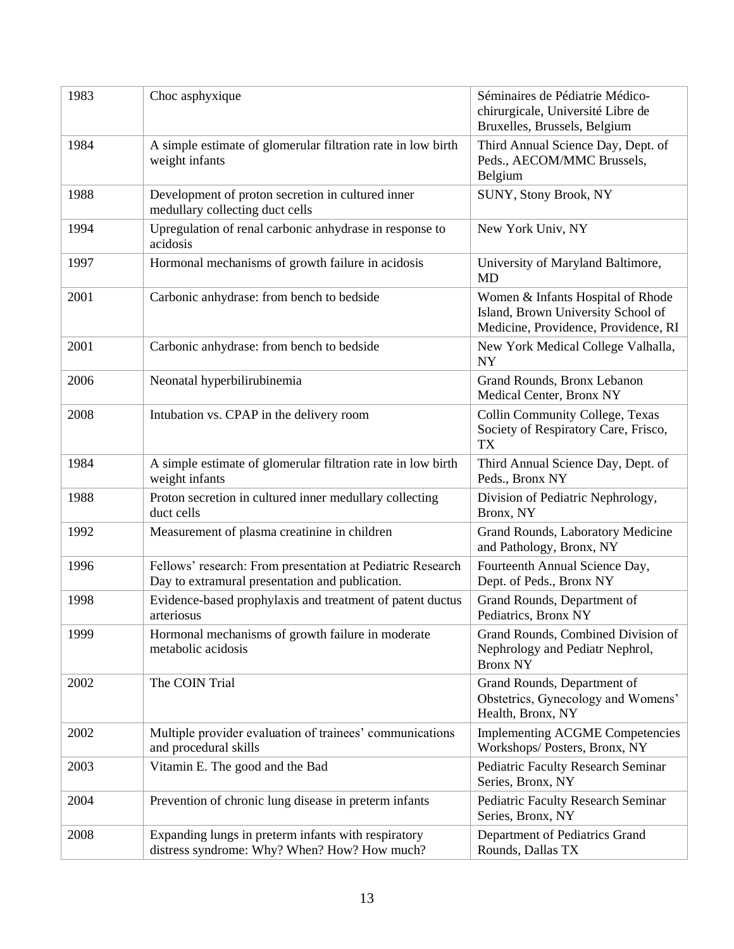| 1983 | Choc asphyxique                                                                                               | Séminaires de Pédiatrie Médico-<br>chirurgicale, Université Libre de<br>Bruxelles, Brussels, Belgium            |
|------|---------------------------------------------------------------------------------------------------------------|-----------------------------------------------------------------------------------------------------------------|
| 1984 | A simple estimate of glomerular filtration rate in low birth<br>weight infants                                | Third Annual Science Day, Dept. of<br>Peds., AECOM/MMC Brussels,<br>Belgium                                     |
| 1988 | Development of proton secretion in cultured inner<br>medullary collecting duct cells                          | SUNY, Stony Brook, NY                                                                                           |
| 1994 | Upregulation of renal carbonic anhydrase in response to<br>acidosis                                           | New York Univ, NY                                                                                               |
| 1997 | Hormonal mechanisms of growth failure in acidosis                                                             | University of Maryland Baltimore,<br><b>MD</b>                                                                  |
| 2001 | Carbonic anhydrase: from bench to bedside                                                                     | Women & Infants Hospital of Rhode<br>Island, Brown University School of<br>Medicine, Providence, Providence, RI |
| 2001 | Carbonic anhydrase: from bench to bedside                                                                     | New York Medical College Valhalla,<br><b>NY</b>                                                                 |
| 2006 | Neonatal hyperbilirubinemia                                                                                   | Grand Rounds, Bronx Lebanon<br>Medical Center, Bronx NY                                                         |
| 2008 | Intubation vs. CPAP in the delivery room                                                                      | Collin Community College, Texas<br>Society of Respiratory Care, Frisco,<br><b>TX</b>                            |
| 1984 | A simple estimate of glomerular filtration rate in low birth<br>weight infants                                | Third Annual Science Day, Dept. of<br>Peds., Bronx NY                                                           |
| 1988 | Proton secretion in cultured inner medullary collecting<br>duct cells                                         | Division of Pediatric Nephrology,<br>Bronx, NY                                                                  |
| 1992 | Measurement of plasma creatinine in children                                                                  | Grand Rounds, Laboratory Medicine<br>and Pathology, Bronx, NY                                                   |
| 1996 | Fellows' research: From presentation at Pediatric Research<br>Day to extramural presentation and publication. | Fourteenth Annual Science Day,<br>Dept. of Peds., Bronx NY                                                      |
| 1998 | Evidence-based prophylaxis and treatment of patent ductus<br>arteriosus                                       | Grand Rounds, Department of<br>Pediatrics, Bronx NY                                                             |
| 1999 | Hormonal mechanisms of growth failure in moderate<br>metabolic acidosis                                       | Grand Rounds, Combined Division of<br>Nephrology and Pediatr Nephrol,<br><b>Bronx NY</b>                        |
| 2002 | The COIN Trial                                                                                                | Grand Rounds, Department of<br>Obstetrics, Gynecology and Womens'<br>Health, Bronx, NY                          |
| 2002 | Multiple provider evaluation of trainees' communications<br>and procedural skills                             | <b>Implementing ACGME Competencies</b><br>Workshops/Posters, Bronx, NY                                          |
| 2003 | Vitamin E. The good and the Bad                                                                               | <b>Pediatric Faculty Research Seminar</b><br>Series, Bronx, NY                                                  |
| 2004 | Prevention of chronic lung disease in preterm infants                                                         | Pediatric Faculty Research Seminar<br>Series, Bronx, NY                                                         |
| 2008 | Expanding lungs in preterm infants with respiratory<br>distress syndrome: Why? When? How? How much?           | Department of Pediatrics Grand<br>Rounds, Dallas TX                                                             |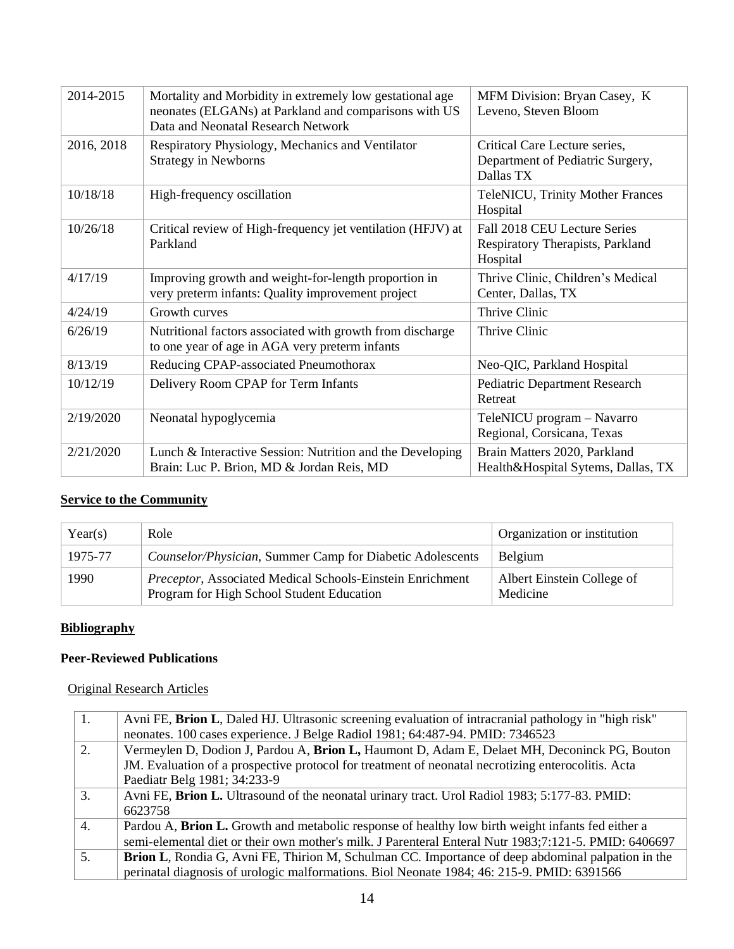| 2014-2015  | Mortality and Morbidity in extremely low gestational age<br>neonates (ELGANs) at Parkland and comparisons with US<br>Data and Neonatal Research Network | MFM Division: Bryan Casey, K<br>Leveno, Steven Bloom                           |
|------------|---------------------------------------------------------------------------------------------------------------------------------------------------------|--------------------------------------------------------------------------------|
| 2016, 2018 | Respiratory Physiology, Mechanics and Ventilator<br><b>Strategy in Newborns</b>                                                                         | Critical Care Lecture series,<br>Department of Pediatric Surgery,<br>Dallas TX |
| 10/18/18   | High-frequency oscillation                                                                                                                              | <b>TeleNICU, Trinity Mother Frances</b><br>Hospital                            |
| 10/26/18   | Critical review of High-frequency jet ventilation (HFJV) at<br>Parkland                                                                                 | Fall 2018 CEU Lecture Series<br>Respiratory Therapists, Parkland<br>Hospital   |
| 4/17/19    | Improving growth and weight-for-length proportion in<br>very preterm infants: Quality improvement project                                               | Thrive Clinic, Children's Medical<br>Center, Dallas, TX                        |
| 4/24/19    | Growth curves                                                                                                                                           | Thrive Clinic                                                                  |
| 6/26/19    | Nutritional factors associated with growth from discharge<br>to one year of age in AGA very preterm infants                                             | Thrive Clinic                                                                  |
| 8/13/19    | Reducing CPAP-associated Pneumothorax                                                                                                                   | Neo-QIC, Parkland Hospital                                                     |
| 10/12/19   | Delivery Room CPAP for Term Infants                                                                                                                     | Pediatric Department Research<br>Retreat                                       |
| 2/19/2020  | Neonatal hypoglycemia                                                                                                                                   | TeleNICU program - Navarro<br>Regional, Corsicana, Texas                       |
| 2/21/2020  | Lunch & Interactive Session: Nutrition and the Developing<br>Brain: Luc P. Brion, MD & Jordan Reis, MD                                                  | Brain Matters 2020, Parkland<br>Health&Hospital Sytems, Dallas, TX             |
|            |                                                                                                                                                         |                                                                                |

## **Service to the Community**

| Year(s) | Role                                                                                                          | Organization or institution            |
|---------|---------------------------------------------------------------------------------------------------------------|----------------------------------------|
| 1975-77 | Counselor/Physician, Summer Camp for Diabetic Adolescents                                                     | <b>Belgium</b>                         |
| 1990    | <i>Preceptor, Associated Medical Schools-Einstein Enrichment</i><br>Program for High School Student Education | Albert Einstein College of<br>Medicine |

## **Bibliography**

### **Peer-Reviewed Publications**

### Original Research Articles

| 1. | Avni FE, Brion L, Daled HJ. Ultrasonic screening evaluation of intracranial pathology in "high risk"<br>neonates. 100 cases experience. J Belge Radiol 1981; 64:487-94. PMID: 7346523 |
|----|---------------------------------------------------------------------------------------------------------------------------------------------------------------------------------------|
| 2. | Vermeylen D, Dodion J, Pardou A, Brion L, Haumont D, Adam E, Delaet MH, Deconinck PG, Bouton                                                                                          |
|    | JM. Evaluation of a prospective protocol for treatment of neonatal necrotizing enterocolitis. Acta                                                                                    |
|    | Paediatr Belg 1981; 34:233-9                                                                                                                                                          |
| 3. | Avni FE, Brion L. Ultrasound of the neonatal urinary tract. Urol Radiol 1983; 5:177-83. PMID:<br>6623758                                                                              |
| 4. | Pardou A, <b>Brion L.</b> Growth and metabolic response of healthy low birth weight infants fed either a                                                                              |
|    | semi-elemental diet or their own mother's milk. J Parenteral Enteral Nutr 1983;7:121-5. PMID: 6406697                                                                                 |
| 5. | <b>Brion L, Rondia G, Avni FE, Thirion M, Schulman CC. Importance of deep abdominal palpation in the</b>                                                                              |
|    | perinatal diagnosis of urologic malformations. Biol Neonate 1984; 46: 215-9. PMID: 6391566                                                                                            |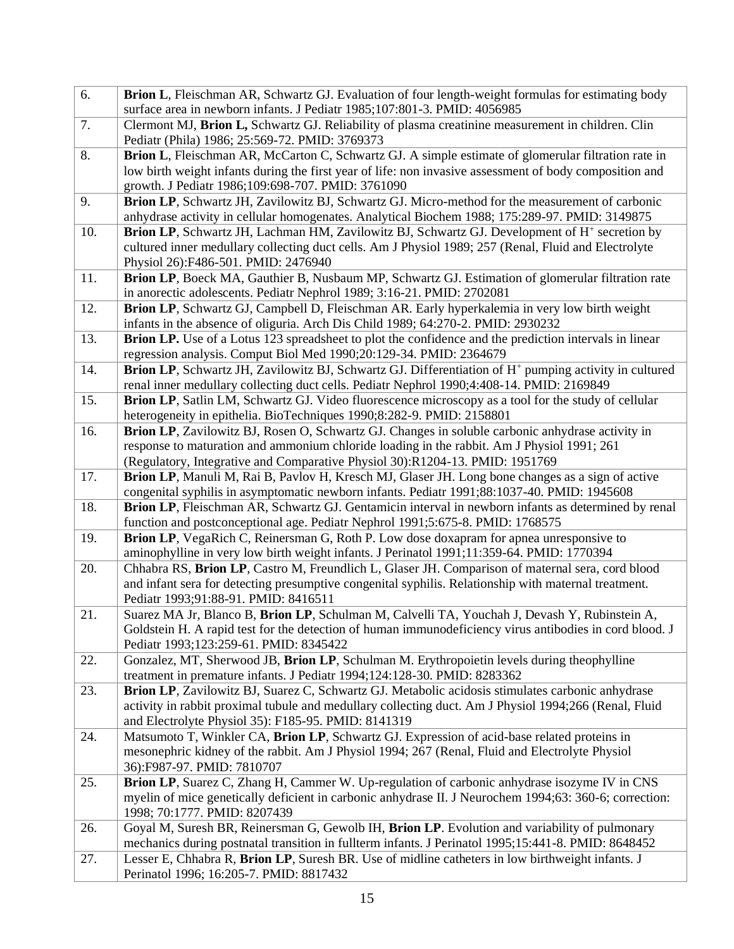| 6.  | Brion L, Fleischman AR, Schwartz GJ. Evaluation of four length-weight formulas for estimating body<br>surface area in newborn infants. J Pediatr 1985;107:801-3. PMID: 4056985                           |
|-----|----------------------------------------------------------------------------------------------------------------------------------------------------------------------------------------------------------|
| 7.  | Clermont MJ, Brion L, Schwartz GJ. Reliability of plasma creatinine measurement in children. Clin                                                                                                        |
|     | Pediatr (Phila) 1986; 25:569-72. PMID: 3769373                                                                                                                                                           |
| 8.  | Brion L, Fleischman AR, McCarton C, Schwartz GJ. A simple estimate of glomerular filtration rate in                                                                                                      |
|     | low birth weight infants during the first year of life: non invasive assessment of body composition and                                                                                                  |
|     | growth. J Pediatr 1986;109:698-707. PMID: 3761090                                                                                                                                                        |
| 9.  | Brion LP, Schwartz JH, Zavilowitz BJ, Schwartz GJ. Micro-method for the measurement of carbonic                                                                                                          |
|     | anhydrase activity in cellular homogenates. Analytical Biochem 1988; 175:289-97. PMID: 3149875                                                                                                           |
| 10. | <b>Brion LP</b> , Schwartz JH, Lachman HM, Zavilowitz BJ, Schwartz GJ. Development of H <sup>+</sup> secretion by                                                                                        |
|     | cultured inner medullary collecting duct cells. Am J Physiol 1989; 257 (Renal, Fluid and Electrolyte<br>Physiol 26):F486-501. PMID: 2476940                                                              |
| 11. | Brion LP, Boeck MA, Gauthier B, Nusbaum MP, Schwartz GJ. Estimation of glomerular filtration rate                                                                                                        |
|     | in anorectic adolescents. Pediatr Nephrol 1989; 3:16-21. PMID: 2702081                                                                                                                                   |
| 12. | Brion LP, Schwartz GJ, Campbell D, Fleischman AR. Early hyperkalemia in very low birth weight                                                                                                            |
|     | infants in the absence of oliguria. Arch Dis Child 1989; 64:270-2. PMID: 2930232                                                                                                                         |
| 13. | <b>Brion LP.</b> Use of a Lotus 123 spreadsheet to plot the confidence and the prediction intervals in linear                                                                                            |
|     | regression analysis. Comput Biol Med 1990;20:129-34. PMID: 2364679                                                                                                                                       |
| 14. | Brion LP, Schwartz JH, Zavilowitz BJ, Schwartz GJ. Differentiation of H <sup>+</sup> pumping activity in cultured                                                                                        |
|     | renal inner medullary collecting duct cells. Pediatr Nephrol 1990;4:408-14. PMID: 2169849                                                                                                                |
| 15. | Brion LP, Satlin LM, Schwartz GJ. Video fluorescence microscopy as a tool for the study of cellular                                                                                                      |
|     | heterogeneity in epithelia. BioTechniques 1990;8:282-9. PMID: 2158801                                                                                                                                    |
| 16. | Brion LP, Zavilowitz BJ, Rosen O, Schwartz GJ. Changes in soluble carbonic anhydrase activity in                                                                                                         |
|     | response to maturation and ammonium chloride loading in the rabbit. Am J Physiol 1991; 261<br>(Regulatory, Integrative and Comparative Physiol 30):R1204-13. PMID: 1951769                               |
| 17. | Brion LP, Manuli M, Rai B, Pavlov H, Kresch MJ, Glaser JH. Long bone changes as a sign of active                                                                                                         |
|     | congenital syphilis in asymptomatic newborn infants. Pediatr 1991;88:1037-40. PMID: 1945608                                                                                                              |
| 18. | Brion LP, Fleischman AR, Schwartz GJ. Gentamicin interval in newborn infants as determined by renal                                                                                                      |
|     | function and postconceptional age. Pediatr Nephrol 1991;5:675-8. PMID: 1768575                                                                                                                           |
| 19. | Brion LP, VegaRich C, Reinersman G, Roth P. Low dose doxapram for apnea unresponsive to                                                                                                                  |
|     | aminophylline in very low birth weight infants. J Perinatol 1991;11:359-64. PMID: 1770394                                                                                                                |
| 20. | Chhabra RS, Brion LP, Castro M, Freundlich L, Glaser JH. Comparison of maternal sera, cord blood                                                                                                         |
|     | and infant sera for detecting presumptive congenital syphilis. Relationship with maternal treatment.                                                                                                     |
|     | Pediatr 1993;91:88-91. PMID: 8416511                                                                                                                                                                     |
| 21. | Suarez MA Jr, Blanco B, Brion LP, Schulman M, Calvelli TA, Youchah J, Devash Y, Rubinstein A,<br>Goldstein H. A rapid test for the detection of human immunodeficiency virus antibodies in cord blood. J |
|     | Pediatr 1993;123:259-61. PMID: 8345422                                                                                                                                                                   |
| 22. | Gonzalez, MT, Sherwood JB, Brion LP, Schulman M. Erythropoietin levels during theophylline                                                                                                               |
|     | treatment in premature infants. J Pediatr 1994;124:128-30. PMID: 8283362                                                                                                                                 |
| 23. | Brion LP, Zavilowitz BJ, Suarez C, Schwartz GJ. Metabolic acidosis stimulates carbonic anhydrase                                                                                                         |
|     | activity in rabbit proximal tubule and medullary collecting duct. Am J Physiol 1994;266 (Renal, Fluid                                                                                                    |
|     | and Electrolyte Physiol 35): F185-95. PMID: 8141319                                                                                                                                                      |
| 24. | Matsumoto T, Winkler CA, Brion LP, Schwartz GJ. Expression of acid-base related proteins in                                                                                                              |
|     | mesonephric kidney of the rabbit. Am J Physiol 1994; 267 (Renal, Fluid and Electrolyte Physiol                                                                                                           |
| 25. | 36):F987-97. PMID: 7810707<br>Brion LP, Suarez C, Zhang H, Cammer W. Up-regulation of carbonic anhydrase isozyme IV in CNS                                                                               |
|     | myelin of mice genetically deficient in carbonic anhydrase II. J Neurochem 1994;63: 360-6; correction:                                                                                                   |
|     | 1998; 70:1777. PMID: 8207439                                                                                                                                                                             |
| 26. | Goyal M, Suresh BR, Reinersman G, Gewolb IH, Brion LP. Evolution and variability of pulmonary                                                                                                            |
|     | mechanics during postnatal transition in fullterm infants. J Perinatol 1995;15:441-8. PMID: 8648452                                                                                                      |
| 27. | Lesser E, Chhabra R, Brion LP, Suresh BR. Use of midline catheters in low birthweight infants. J                                                                                                         |
|     | Perinatol 1996; 16:205-7. PMID: 8817432                                                                                                                                                                  |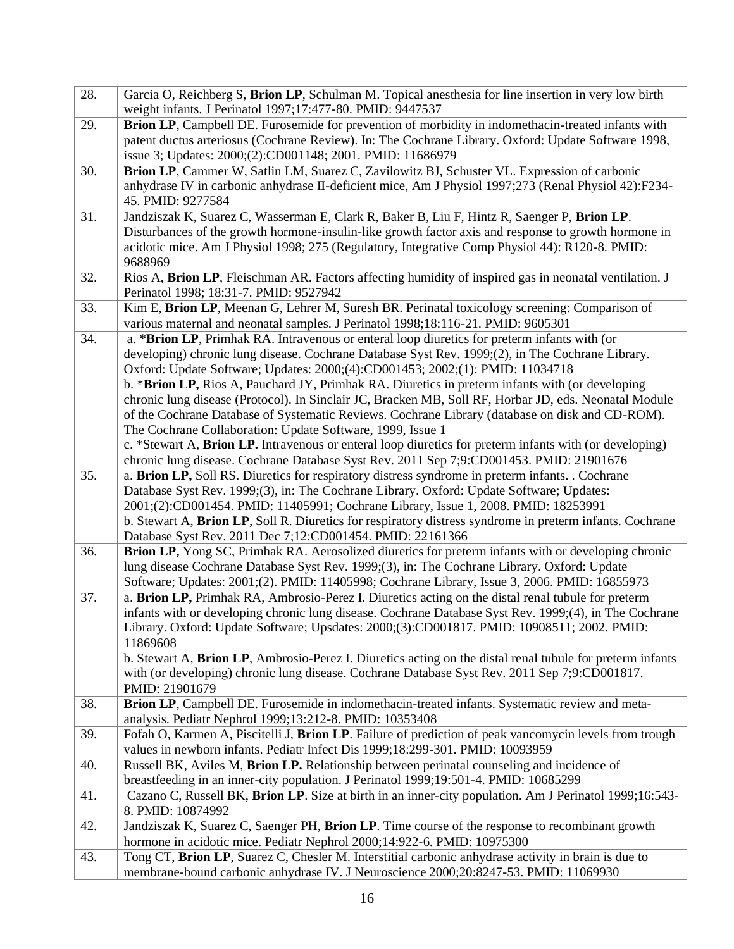| 28. | Garcia O, Reichberg S, Brion LP, Schulman M. Topical anesthesia for line insertion in very low birth                                                                                                               |
|-----|--------------------------------------------------------------------------------------------------------------------------------------------------------------------------------------------------------------------|
| 29. | weight infants. J Perinatol 1997;17:477-80. PMID: 9447537<br>Brion LP, Campbell DE. Furosemide for prevention of morbidity in indomethacin-treated infants with                                                    |
|     | patent ductus arteriosus (Cochrane Review). In: The Cochrane Library. Oxford: Update Software 1998,                                                                                                                |
|     | issue 3; Updates: 2000;(2):CD001148; 2001. PMID: 11686979                                                                                                                                                          |
| 30. | Brion LP, Cammer W, Satlin LM, Suarez C, Zavilowitz BJ, Schuster VL. Expression of carbonic                                                                                                                        |
|     | anhydrase IV in carbonic anhydrase II-deficient mice, Am J Physiol 1997;273 (Renal Physiol 42):F234-                                                                                                               |
|     | 45. PMID: 9277584                                                                                                                                                                                                  |
| 31. | Jandziszak K, Suarez C, Wasserman E, Clark R, Baker B, Liu F, Hintz R, Saenger P, Brion LP.                                                                                                                        |
|     | Disturbances of the growth hormone-insulin-like growth factor axis and response to growth hormone in                                                                                                               |
|     | acidotic mice. Am J Physiol 1998; 275 (Regulatory, Integrative Comp Physiol 44): R120-8. PMID:                                                                                                                     |
|     | 9688969                                                                                                                                                                                                            |
| 32. | Rios A, Brion LP, Fleischman AR. Factors affecting humidity of inspired gas in neonatal ventilation. J                                                                                                             |
|     | Perinatol 1998; 18:31-7. PMID: 9527942                                                                                                                                                                             |
| 33. | Kim E, Brion LP, Meenan G, Lehrer M, Suresh BR. Perinatal toxicology screening: Comparison of                                                                                                                      |
|     | various maternal and neonatal samples. J Perinatol 1998;18:116-21. PMID: 9605301                                                                                                                                   |
| 34. | a. * <b>Brion LP</b> , Primhak RA. Intravenous or enteral loop diuretics for preterm infants with (or                                                                                                              |
|     | developing) chronic lung disease. Cochrane Database Syst Rev. 1999;(2), in The Cochrane Library.                                                                                                                   |
|     | Oxford: Update Software; Updates: 2000;(4):CD001453; 2002;(1): PMID: 11034718                                                                                                                                      |
|     | b. * <b>Brion LP,</b> Rios A, Pauchard JY, Primhak RA. Diuretics in preterm infants with (or developing                                                                                                            |
|     | chronic lung disease (Protocol). In Sinclair JC, Bracken MB, Soll RF, Horbar JD, eds. Neonatal Module                                                                                                              |
|     | of the Cochrane Database of Systematic Reviews. Cochrane Library (database on disk and CD-ROM).                                                                                                                    |
|     | The Cochrane Collaboration: Update Software, 1999, Issue 1                                                                                                                                                         |
|     | c. *Stewart A, Brion LP. Intravenous or enteral loop diuretics for preterm infants with (or developing)                                                                                                            |
|     | chronic lung disease. Cochrane Database Syst Rev. 2011 Sep 7;9:CD001453. PMID: 21901676                                                                                                                            |
| 35. | a. Brion LP, Soll RS. Diuretics for respiratory distress syndrome in preterm infants. . Cochrane                                                                                                                   |
|     | Database Syst Rev. 1999;(3), in: The Cochrane Library. Oxford: Update Software; Updates:                                                                                                                           |
|     | 2001;(2):CD001454. PMID: 11405991; Cochrane Library, Issue 1, 2008. PMID: 18253991                                                                                                                                 |
|     | b. Stewart A, Brion LP, Soll R. Diuretics for respiratory distress syndrome in preterm infants. Cochrane                                                                                                           |
|     | Database Syst Rev. 2011 Dec 7;12:CD001454. PMID: 22161366                                                                                                                                                          |
| 36. | Brion LP, Yong SC, Primhak RA. Aerosolized diuretics for preterm infants with or developing chronic                                                                                                                |
|     | lung disease Cochrane Database Syst Rev. 1999;(3), in: The Cochrane Library. Oxford: Update                                                                                                                        |
|     | Software; Updates: 2001;(2). PMID: 11405998; Cochrane Library, Issue 3, 2006. PMID: 16855973                                                                                                                       |
| 37. | a. Brion LP, Primhak RA, Ambrosio-Perez I. Diuretics acting on the distal renal tubule for preterm                                                                                                                 |
|     | infants with or developing chronic lung disease. Cochrane Database Syst Rev. 1999;(4), in The Cochrane<br>Library. Oxford: Update Software; Upsdates: 2000;(3):CD001817. PMID: 10908511; 2002. PMID:               |
|     |                                                                                                                                                                                                                    |
|     | 11869608                                                                                                                                                                                                           |
|     | b. Stewart A, <b>Brion LP</b> , Ambrosio-Perez I. Diuretics acting on the distal renal tubule for preterm infants<br>with (or developing) chronic lung disease. Cochrane Database Syst Rev. 2011 Sep 7;9:CD001817. |
|     | PMID: 21901679                                                                                                                                                                                                     |
| 38. | Brion LP, Campbell DE. Furosemide in indomethacin-treated infants. Systematic review and meta-                                                                                                                     |
|     | analysis. Pediatr Nephrol 1999;13:212-8. PMID: 10353408                                                                                                                                                            |
| 39. | Fofah O, Karmen A, Piscitelli J, Brion LP. Failure of prediction of peak vancomycin levels from trough                                                                                                             |
|     | values in newborn infants. Pediatr Infect Dis 1999;18:299-301. PMID: 10093959                                                                                                                                      |
| 40. | Russell BK, Aviles M, Brion LP. Relationship between perinatal counseling and incidence of                                                                                                                         |
|     | breastfeeding in an inner-city population. J Perinatol 1999;19:501-4. PMID: 10685299                                                                                                                               |
| 41. | Cazano C, Russell BK, Brion LP. Size at birth in an inner-city population. Am J Perinatol 1999;16:543-                                                                                                             |
|     | 8. PMID: 10874992                                                                                                                                                                                                  |
| 42. | Jandziszak K, Suarez C, Saenger PH, Brion LP. Time course of the response to recombinant growth                                                                                                                    |
|     | hormone in acidotic mice. Pediatr Nephrol 2000;14:922-6. PMID: 10975300                                                                                                                                            |
| 43. | Tong CT, Brion LP, Suarez C, Chesler M. Interstitial carbonic anhydrase activity in brain is due to                                                                                                                |
|     | membrane-bound carbonic anhydrase IV. J Neuroscience 2000;20:8247-53. PMID: 11069930                                                                                                                               |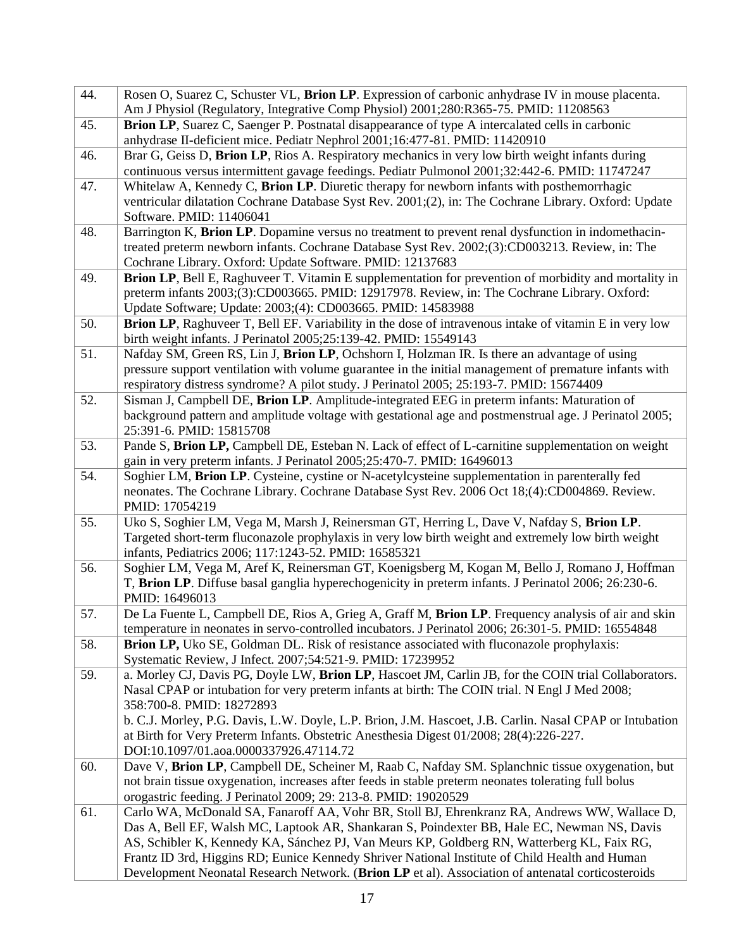| 44. | Rosen O, Suarez C, Schuster VL, Brion LP. Expression of carbonic anhydrase IV in mouse placenta.<br>Am J Physiol (Regulatory, Integrative Comp Physiol) 2001;280:R365-75. PMID: 11208563                                                                             |
|-----|----------------------------------------------------------------------------------------------------------------------------------------------------------------------------------------------------------------------------------------------------------------------|
| 45. | Brion LP, Suarez C, Saenger P. Postnatal disappearance of type A intercalated cells in carbonic<br>anhydrase II-deficient mice. Pediatr Nephrol 2001;16:477-81. PMID: 11420910                                                                                       |
| 46. | Brar G, Geiss D, Brion LP, Rios A. Respiratory mechanics in very low birth weight infants during<br>continuous versus intermittent gavage feedings. Pediatr Pulmonol 2001;32:442-6. PMID: 11747247                                                                   |
| 47. | Whitelaw A, Kennedy C, Brion LP. Diuretic therapy for newborn infants with posthemorrhagic                                                                                                                                                                           |
|     | ventricular dilatation Cochrane Database Syst Rev. 2001;(2), in: The Cochrane Library. Oxford: Update<br>Software. PMID: 11406041                                                                                                                                    |
| 48. | Barrington K, Brion LP. Dopamine versus no treatment to prevent renal dysfunction in indomethacin-                                                                                                                                                                   |
|     | treated preterm newborn infants. Cochrane Database Syst Rev. 2002;(3):CD003213. Review, in: The                                                                                                                                                                      |
|     | Cochrane Library. Oxford: Update Software. PMID: 12137683                                                                                                                                                                                                            |
| 49. | Brion LP, Bell E, Raghuveer T. Vitamin E supplementation for prevention of morbidity and mortality in<br>preterm infants 2003;(3):CD003665. PMID: 12917978. Review, in: The Cochrane Library. Oxford:<br>Update Software; Update: 2003;(4): CD003665. PMID: 14583988 |
| 50. | Brion LP, Raghuveer T, Bell EF. Variability in the dose of intravenous intake of vitamin E in very low<br>birth weight infants. J Perinatol 2005;25:139-42. PMID: 15549143                                                                                           |
| 51. | Nafday SM, Green RS, Lin J, Brion LP, Ochshorn I, Holzman IR. Is there an advantage of using                                                                                                                                                                         |
|     | pressure support ventilation with volume guarantee in the initial management of premature infants with<br>respiratory distress syndrome? A pilot study. J Perinatol 2005; 25:193-7. PMID: 15674409                                                                   |
| 52. | Sisman J, Campbell DE, Brion LP. Amplitude-integrated EEG in preterm infants: Maturation of                                                                                                                                                                          |
|     | background pattern and amplitude voltage with gestational age and postmenstrual age. J Perinatol 2005;                                                                                                                                                               |
|     | 25:391-6. PMID: 15815708                                                                                                                                                                                                                                             |
| 53. | Pande S, Brion LP, Campbell DE, Esteban N. Lack of effect of L-carnitine supplementation on weight                                                                                                                                                                   |
|     | gain in very preterm infants. J Perinatol 2005;25:470-7. PMID: 16496013                                                                                                                                                                                              |
| 54. | Soghier LM, Brion LP. Cysteine, cystine or N-acetylcysteine supplementation in parenterally fed<br>neonates. The Cochrane Library. Cochrane Database Syst Rev. 2006 Oct 18;(4):CD004869. Review.                                                                     |
|     | PMID: 17054219                                                                                                                                                                                                                                                       |
| 55. | Uko S, Soghier LM, Vega M, Marsh J, Reinersman GT, Herring L, Dave V, Nafday S, Brion LP.                                                                                                                                                                            |
|     | Targeted short-term fluconazole prophylaxis in very low birth weight and extremely low birth weight                                                                                                                                                                  |
|     | infants, Pediatrics 2006; 117:1243-52. PMID: 16585321                                                                                                                                                                                                                |
| 56. | Soghier LM, Vega M, Aref K, Reinersman GT, Koenigsberg M, Kogan M, Bello J, Romano J, Hoffman                                                                                                                                                                        |
|     | T, Brion LP. Diffuse basal ganglia hyperechogenicity in preterm infants. J Perinatol 2006; 26:230-6.                                                                                                                                                                 |
| 57. | PMID: 16496013<br>De La Fuente L, Campbell DE, Rios A, Grieg A, Graff M, Brion LP. Frequency analysis of air and skin                                                                                                                                                |
|     | temperature in neonates in servo-controlled incubators. J Perinatol 2006; 26:301-5. PMID: 16554848                                                                                                                                                                   |
| 58. | Brion LP, Uko SE, Goldman DL. Risk of resistance associated with fluconazole prophylaxis:                                                                                                                                                                            |
|     | Systematic Review, J Infect. 2007;54:521-9. PMID: 17239952                                                                                                                                                                                                           |
| 59. | a. Morley CJ, Davis PG, Doyle LW, Brion LP, Hascoet JM, Carlin JB, for the COIN trial Collaborators.                                                                                                                                                                 |
|     | Nasal CPAP or intubation for very preterm infants at birth: The COIN trial. N Engl J Med 2008;                                                                                                                                                                       |
|     | 358:700-8. PMID: 18272893                                                                                                                                                                                                                                            |
|     | b. C.J. Morley, P.G. Davis, L.W. Doyle, L.P. Brion, J.M. Hascoet, J.B. Carlin. Nasal CPAP or Intubation                                                                                                                                                              |
|     | at Birth for Very Preterm Infants. Obstetric Anesthesia Digest 01/2008; 28(4):226-227.                                                                                                                                                                               |
|     | DOI:10.1097/01.aoa.0000337926.47114.72                                                                                                                                                                                                                               |
| 60. | Dave V, Brion LP, Campbell DE, Scheiner M, Raab C, Nafday SM. Splanchnic tissue oxygenation, but                                                                                                                                                                     |
|     | not brain tissue oxygenation, increases after feeds in stable preterm neonates tolerating full bolus                                                                                                                                                                 |
|     | orogastric feeding. J Perinatol 2009; 29: 213-8. PMID: 19020529                                                                                                                                                                                                      |
| 61. | Carlo WA, McDonald SA, Fanaroff AA, Vohr BR, Stoll BJ, Ehrenkranz RA, Andrews WW, Wallace D,<br>Das A, Bell EF, Walsh MC, Laptook AR, Shankaran S, Poindexter BB, Hale EC, Newman NS, Davis                                                                          |
|     | AS, Schibler K, Kennedy KA, Sánchez PJ, Van Meurs KP, Goldberg RN, Watterberg KL, Faix RG,                                                                                                                                                                           |
|     | Frantz ID 3rd, Higgins RD; Eunice Kennedy Shriver National Institute of Child Health and Human                                                                                                                                                                       |
|     | Development Neonatal Research Network. (Brion LP et al). Association of antenatal corticosteroids                                                                                                                                                                    |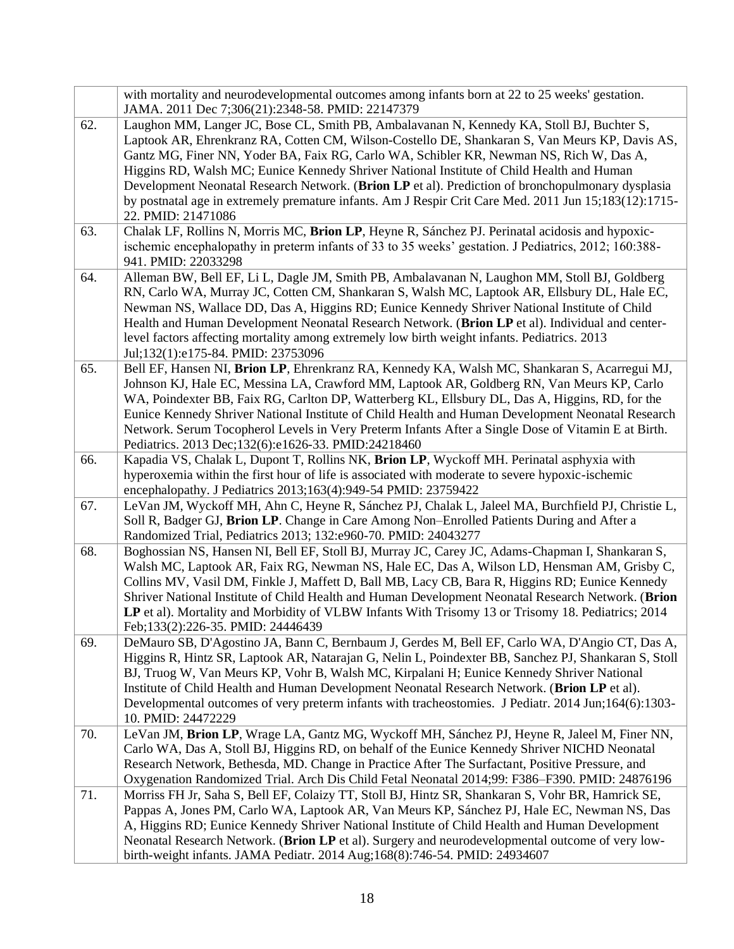|     | with mortality and neurodevelopmental outcomes among infants born at 22 to 25 weeks' gestation.<br>JAMA. 2011 Dec 7;306(21):2348-58. PMID: 22147379                                                                                                                                                                                                                                                                                                                                                                                                                                                                     |
|-----|-------------------------------------------------------------------------------------------------------------------------------------------------------------------------------------------------------------------------------------------------------------------------------------------------------------------------------------------------------------------------------------------------------------------------------------------------------------------------------------------------------------------------------------------------------------------------------------------------------------------------|
| 62. | Laughon MM, Langer JC, Bose CL, Smith PB, Ambalavanan N, Kennedy KA, Stoll BJ, Buchter S,<br>Laptook AR, Ehrenkranz RA, Cotten CM, Wilson-Costello DE, Shankaran S, Van Meurs KP, Davis AS,<br>Gantz MG, Finer NN, Yoder BA, Faix RG, Carlo WA, Schibler KR, Newman NS, Rich W, Das A,<br>Higgins RD, Walsh MC; Eunice Kennedy Shriver National Institute of Child Health and Human<br>Development Neonatal Research Network. (Brion LP et al). Prediction of bronchopulmonary dysplasia<br>by postnatal age in extremely premature infants. Am J Respir Crit Care Med. 2011 Jun 15;183(12):1715-<br>22. PMID: 21471086 |
| 63. | Chalak LF, Rollins N, Morris MC, Brion LP, Heyne R, Sánchez PJ. Perinatal acidosis and hypoxic-<br>ischemic encephalopathy in preterm infants of 33 to 35 weeks' gestation. J Pediatrics, 2012; 160:388-<br>941. PMID: 22033298                                                                                                                                                                                                                                                                                                                                                                                         |
| 64. | Alleman BW, Bell EF, Li L, Dagle JM, Smith PB, Ambalavanan N, Laughon MM, Stoll BJ, Goldberg<br>RN, Carlo WA, Murray JC, Cotten CM, Shankaran S, Walsh MC, Laptook AR, Ellsbury DL, Hale EC,<br>Newman NS, Wallace DD, Das A, Higgins RD; Eunice Kennedy Shriver National Institute of Child<br>Health and Human Development Neonatal Research Network. (Brion LP et al). Individual and center-<br>level factors affecting mortality among extremely low birth weight infants. Pediatrics. 2013<br>Jul;132(1):e175-84. PMID: 23753096                                                                                  |
| 65. | Bell EF, Hansen NI, Brion LP, Ehrenkranz RA, Kennedy KA, Walsh MC, Shankaran S, Acarregui MJ,<br>Johnson KJ, Hale EC, Messina LA, Crawford MM, Laptook AR, Goldberg RN, Van Meurs KP, Carlo<br>WA, Poindexter BB, Faix RG, Carlton DP, Watterberg KL, Ellsbury DL, Das A, Higgins, RD, for the<br>Eunice Kennedy Shriver National Institute of Child Health and Human Development Neonatal Research<br>Network. Serum Tocopherol Levels in Very Preterm Infants After a Single Dose of Vitamin E at Birth.<br>Pediatrics. 2013 Dec;132(6):e1626-33. PMID:24218460                                                       |
| 66. | Kapadia VS, Chalak L, Dupont T, Rollins NK, Brion LP, Wyckoff MH. Perinatal asphyxia with<br>hyperoxemia within the first hour of life is associated with moderate to severe hypoxic-ischemic<br>encephalopathy. J Pediatrics 2013;163(4):949-54 PMID: 23759422                                                                                                                                                                                                                                                                                                                                                         |
| 67. | LeVan JM, Wyckoff MH, Ahn C, Heyne R, Sánchez PJ, Chalak L, Jaleel MA, Burchfield PJ, Christie L,<br>Soll R, Badger GJ, Brion LP. Change in Care Among Non-Enrolled Patients During and After a<br>Randomized Trial, Pediatrics 2013; 132:e960-70. PMID: 24043277                                                                                                                                                                                                                                                                                                                                                       |
| 68. | Boghossian NS, Hansen NI, Bell EF, Stoll BJ, Murray JC, Carey JC, Adams-Chapman I, Shankaran S,<br>Walsh MC, Laptook AR, Faix RG, Newman NS, Hale EC, Das A, Wilson LD, Hensman AM, Grisby C,<br>Collins MV, Vasil DM, Finkle J, Maffett D, Ball MB, Lacy CB, Bara R, Higgins RD; Eunice Kennedy<br>Shriver National Institute of Child Health and Human Development Neonatal Research Network. (Brion<br>LP et al). Mortality and Morbidity of VLBW Infants With Trisomy 13 or Trisomy 18. Pediatrics; 2014<br>Feb;133(2):226-35. PMID: 24446439                                                                       |
| 69. | DeMauro SB, D'Agostino JA, Bann C, Bernbaum J, Gerdes M, Bell EF, Carlo WA, D'Angio CT, Das A,<br>Higgins R, Hintz SR, Laptook AR, Natarajan G, Nelin L, Poindexter BB, Sanchez PJ, Shankaran S, Stoll<br>BJ, Truog W, Van Meurs KP, Vohr B, Walsh MC, Kirpalani H; Eunice Kennedy Shriver National<br>Institute of Child Health and Human Development Neonatal Research Network. (Brion LP et al).<br>Developmental outcomes of very preterm infants with tracheostomies. J Pediatr. 2014 Jun;164(6):1303-<br>10. PMID: 24472229                                                                                       |
| 70. | LeVan JM, Brion LP, Wrage LA, Gantz MG, Wyckoff MH, Sánchez PJ, Heyne R, Jaleel M, Finer NN,<br>Carlo WA, Das A, Stoll BJ, Higgins RD, on behalf of the Eunice Kennedy Shriver NICHD Neonatal<br>Research Network, Bethesda, MD. Change in Practice After The Surfactant, Positive Pressure, and<br>Oxygenation Randomized Trial. Arch Dis Child Fetal Neonatal 2014;99: F386-F390. PMID: 24876196                                                                                                                                                                                                                      |
| 71. | Morriss FH Jr, Saha S, Bell EF, Colaizy TT, Stoll BJ, Hintz SR, Shankaran S, Vohr BR, Hamrick SE,<br>Pappas A, Jones PM, Carlo WA, Laptook AR, Van Meurs KP, Sánchez PJ, Hale EC, Newman NS, Das<br>A, Higgins RD; Eunice Kennedy Shriver National Institute of Child Health and Human Development<br>Neonatal Research Network. (Brion LP et al). Surgery and neurodevelopmental outcome of very low-<br>birth-weight infants. JAMA Pediatr. 2014 Aug;168(8):746-54. PMID: 24934607                                                                                                                                    |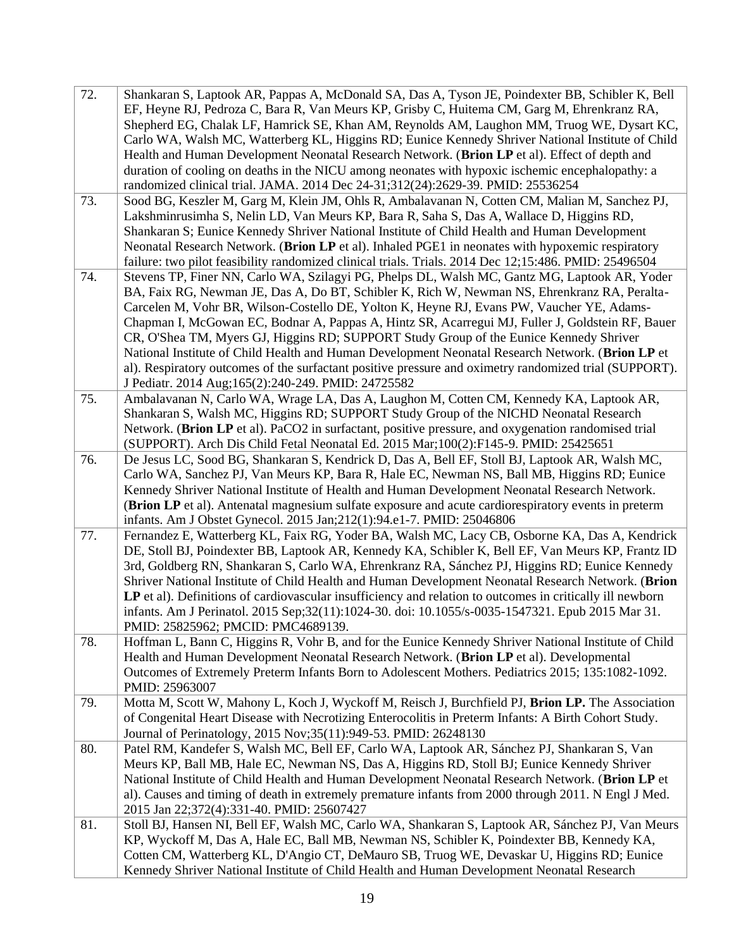| 72.<br>73. | Shankaran S, Laptook AR, Pappas A, McDonald SA, Das A, Tyson JE, Poindexter BB, Schibler K, Bell<br>EF, Heyne RJ, Pedroza C, Bara R, Van Meurs KP, Grisby C, Huitema CM, Garg M, Ehrenkranz RA,<br>Shepherd EG, Chalak LF, Hamrick SE, Khan AM, Reynolds AM, Laughon MM, Truog WE, Dysart KC,<br>Carlo WA, Walsh MC, Watterberg KL, Higgins RD; Eunice Kennedy Shriver National Institute of Child<br>Health and Human Development Neonatal Research Network. (Brion LP et al). Effect of depth and<br>duration of cooling on deaths in the NICU among neonates with hypoxic ischemic encephalopathy: a<br>randomized clinical trial. JAMA. 2014 Dec 24-31;312(24):2629-39. PMID: 25536254<br>Sood BG, Keszler M, Garg M, Klein JM, Ohls R, Ambalavanan N, Cotten CM, Malian M, Sanchez PJ,<br>Lakshminrusimha S, Nelin LD, Van Meurs KP, Bara R, Saha S, Das A, Wallace D, Higgins RD, |
|------------|-----------------------------------------------------------------------------------------------------------------------------------------------------------------------------------------------------------------------------------------------------------------------------------------------------------------------------------------------------------------------------------------------------------------------------------------------------------------------------------------------------------------------------------------------------------------------------------------------------------------------------------------------------------------------------------------------------------------------------------------------------------------------------------------------------------------------------------------------------------------------------------------|
|            | Shankaran S; Eunice Kennedy Shriver National Institute of Child Health and Human Development<br>Neonatal Research Network. (Brion LP et al). Inhaled PGE1 in neonates with hypoxemic respiratory<br>failure: two pilot feasibility randomized clinical trials. Trials. 2014 Dec 12;15:486. PMID: 25496504                                                                                                                                                                                                                                                                                                                                                                                                                                                                                                                                                                               |
| 74.        | Stevens TP, Finer NN, Carlo WA, Szilagyi PG, Phelps DL, Walsh MC, Gantz MG, Laptook AR, Yoder<br>BA, Faix RG, Newman JE, Das A, Do BT, Schibler K, Rich W, Newman NS, Ehrenkranz RA, Peralta-<br>Carcelen M, Vohr BR, Wilson-Costello DE, Yolton K, Heyne RJ, Evans PW, Vaucher YE, Adams-<br>Chapman I, McGowan EC, Bodnar A, Pappas A, Hintz SR, Acarregui MJ, Fuller J, Goldstein RF, Bauer<br>CR, O'Shea TM, Myers GJ, Higgins RD; SUPPORT Study Group of the Eunice Kennedy Shriver<br>National Institute of Child Health and Human Development Neonatal Research Network. (Brion LP et<br>al). Respiratory outcomes of the surfactant positive pressure and oximetry randomized trial (SUPPORT).<br>J Pediatr. 2014 Aug;165(2):240-249. PMID: 24725582                                                                                                                            |
| 75.        | Ambalavanan N, Carlo WA, Wrage LA, Das A, Laughon M, Cotten CM, Kennedy KA, Laptook AR,<br>Shankaran S, Walsh MC, Higgins RD; SUPPORT Study Group of the NICHD Neonatal Research<br>Network. (Brion LP et al). PaCO2 in surfactant, positive pressure, and oxygenation randomised trial<br>(SUPPORT). Arch Dis Child Fetal Neonatal Ed. 2015 Mar;100(2):F145-9. PMID: 25425651                                                                                                                                                                                                                                                                                                                                                                                                                                                                                                          |
| 76.        | De Jesus LC, Sood BG, Shankaran S, Kendrick D, Das A, Bell EF, Stoll BJ, Laptook AR, Walsh MC,<br>Carlo WA, Sanchez PJ, Van Meurs KP, Bara R, Hale EC, Newman NS, Ball MB, Higgins RD; Eunice<br>Kennedy Shriver National Institute of Health and Human Development Neonatal Research Network.<br>(Brion LP et al). Antenatal magnesium sulfate exposure and acute cardiorespiratory events in preterm<br>infants. Am J Obstet Gynecol. 2015 Jan;212(1):94.e1-7. PMID: 25046806                                                                                                                                                                                                                                                                                                                                                                                                         |
| 77.        | Fernandez E, Watterberg KL, Faix RG, Yoder BA, Walsh MC, Lacy CB, Osborne KA, Das A, Kendrick<br>DE, Stoll BJ, Poindexter BB, Laptook AR, Kennedy KA, Schibler K, Bell EF, Van Meurs KP, Frantz ID<br>3rd, Goldberg RN, Shankaran S, Carlo WA, Ehrenkranz RA, Sánchez PJ, Higgins RD; Eunice Kennedy<br>Shriver National Institute of Child Health and Human Development Neonatal Research Network. (Brion<br>LP et al). Definitions of cardiovascular insufficiency and relation to outcomes in critically ill newborn<br>infants. Am J Perinatol. 2015 Sep; 32(11): 1024-30. doi: 10.1055/s-0035-1547321. Epub 2015 Mar 31.<br>PMID: 25825962; PMCID: PMC4689139.                                                                                                                                                                                                                     |
| 78.        | Hoffman L, Bann C, Higgins R, Vohr B, and for the Eunice Kennedy Shriver National Institute of Child<br>Health and Human Development Neonatal Research Network. (Brion LP et al). Developmental<br>Outcomes of Extremely Preterm Infants Born to Adolescent Mothers. Pediatrics 2015; 135:1082-1092.<br>PMID: 25963007                                                                                                                                                                                                                                                                                                                                                                                                                                                                                                                                                                  |
| 79.        | Motta M, Scott W, Mahony L, Koch J, Wyckoff M, Reisch J, Burchfield PJ, Brion LP. The Association<br>of Congenital Heart Disease with Necrotizing Enterocolitis in Preterm Infants: A Birth Cohort Study.<br>Journal of Perinatology, 2015 Nov;35(11):949-53. PMID: 26248130                                                                                                                                                                                                                                                                                                                                                                                                                                                                                                                                                                                                            |
| 80.        | Patel RM, Kandefer S, Walsh MC, Bell EF, Carlo WA, Laptook AR, Sánchez PJ, Shankaran S, Van<br>Meurs KP, Ball MB, Hale EC, Newman NS, Das A, Higgins RD, Stoll BJ; Eunice Kennedy Shriver<br>National Institute of Child Health and Human Development Neonatal Research Network. (Brion LP et<br>al). Causes and timing of death in extremely premature infants from 2000 through 2011. N Engl J Med.<br>2015 Jan 22;372(4):331-40. PMID: 25607427                                                                                                                                                                                                                                                                                                                                                                                                                                      |
| 81.        | Stoll BJ, Hansen NI, Bell EF, Walsh MC, Carlo WA, Shankaran S, Laptook AR, Sánchez PJ, Van Meurs<br>KP, Wyckoff M, Das A, Hale EC, Ball MB, Newman NS, Schibler K, Poindexter BB, Kennedy KA,<br>Cotten CM, Watterberg KL, D'Angio CT, DeMauro SB, Truog WE, Devaskar U, Higgins RD; Eunice<br>Kennedy Shriver National Institute of Child Health and Human Development Neonatal Research                                                                                                                                                                                                                                                                                                                                                                                                                                                                                               |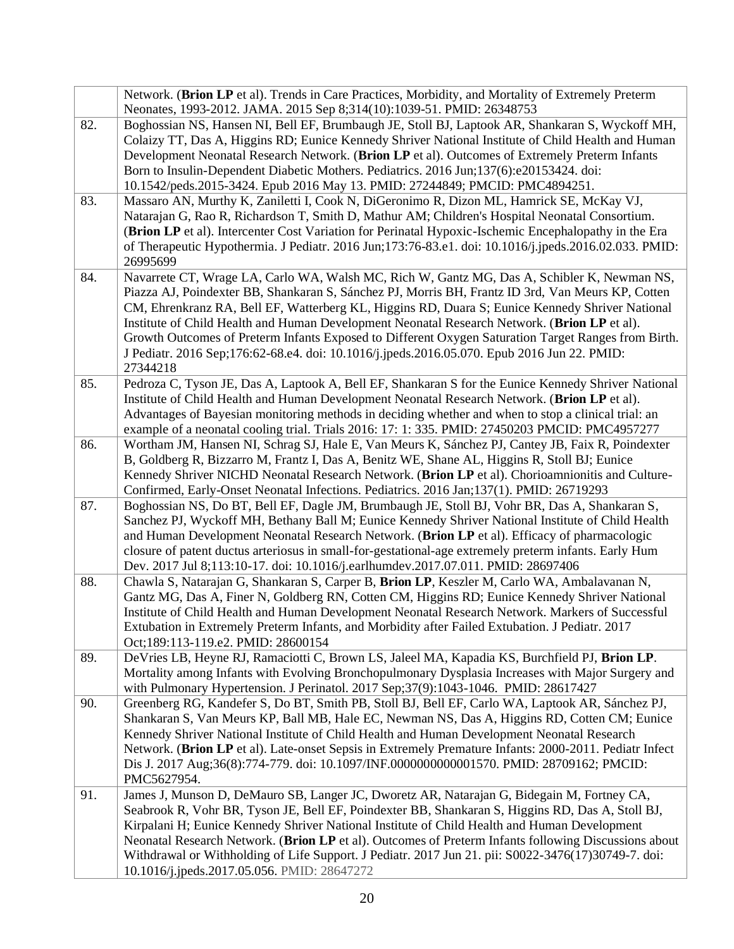|     | Network. (Brion LP et al). Trends in Care Practices, Morbidity, and Mortality of Extremely Preterm<br>Neonates, 1993-2012. JAMA. 2015 Sep 8;314(10):1039-51. PMID: 26348753                                                                                                                                                                                                                                                                                                                                                                                                                                           |
|-----|-----------------------------------------------------------------------------------------------------------------------------------------------------------------------------------------------------------------------------------------------------------------------------------------------------------------------------------------------------------------------------------------------------------------------------------------------------------------------------------------------------------------------------------------------------------------------------------------------------------------------|
| 82. | Boghossian NS, Hansen NI, Bell EF, Brumbaugh JE, Stoll BJ, Laptook AR, Shankaran S, Wyckoff MH,<br>Colaizy TT, Das A, Higgins RD; Eunice Kennedy Shriver National Institute of Child Health and Human<br>Development Neonatal Research Network. (Brion LP et al). Outcomes of Extremely Preterm Infants<br>Born to Insulin-Dependent Diabetic Mothers. Pediatrics. 2016 Jun;137(6):e20153424. doi:<br>10.1542/peds.2015-3424. Epub 2016 May 13. PMID: 27244849; PMCID: PMC4894251.                                                                                                                                    |
| 83. | Massaro AN, Murthy K, Zaniletti I, Cook N, DiGeronimo R, Dizon ML, Hamrick SE, McKay VJ,<br>Natarajan G, Rao R, Richardson T, Smith D, Mathur AM; Children's Hospital Neonatal Consortium.<br>(Brion LP et al). Intercenter Cost Variation for Perinatal Hypoxic-Ischemic Encephalopathy in the Era<br>of Therapeutic Hypothermia. J Pediatr. 2016 Jun;173:76-83.e1. doi: 10.1016/j.jpeds.2016.02.033. PMID:<br>26995699                                                                                                                                                                                              |
| 84. | Navarrete CT, Wrage LA, Carlo WA, Walsh MC, Rich W, Gantz MG, Das A, Schibler K, Newman NS,<br>Piazza AJ, Poindexter BB, Shankaran S, Sánchez PJ, Morris BH, Frantz ID 3rd, Van Meurs KP, Cotten<br>CM, Ehrenkranz RA, Bell EF, Watterberg KL, Higgins RD, Duara S; Eunice Kennedy Shriver National<br>Institute of Child Health and Human Development Neonatal Research Network. (Brion LP et al).<br>Growth Outcomes of Preterm Infants Exposed to Different Oxygen Saturation Target Ranges from Birth.<br>J Pediatr. 2016 Sep;176:62-68.e4. doi: 10.1016/j.jpeds.2016.05.070. Epub 2016 Jun 22. PMID:<br>27344218 |
| 85. | Pedroza C, Tyson JE, Das A, Laptook A, Bell EF, Shankaran S for the Eunice Kennedy Shriver National<br>Institute of Child Health and Human Development Neonatal Research Network. (Brion LP et al).<br>Advantages of Bayesian monitoring methods in deciding whether and when to stop a clinical trial: an<br>example of a neonatal cooling trial. Trials 2016: 17: 1: 335. PMID: 27450203 PMCID: PMC4957277                                                                                                                                                                                                          |
| 86. | Wortham JM, Hansen NI, Schrag SJ, Hale E, Van Meurs K, Sánchez PJ, Cantey JB, Faix R, Poindexter<br>B, Goldberg R, Bizzarro M, Frantz I, Das A, Benitz WE, Shane AL, Higgins R, Stoll BJ; Eunice<br>Kennedy Shriver NICHD Neonatal Research Network. (Brion LP et al). Chorioamnionitis and Culture-<br>Confirmed, Early-Onset Neonatal Infections. Pediatrics. 2016 Jan;137(1). PMID: 26719293                                                                                                                                                                                                                       |
| 87. | Boghossian NS, Do BT, Bell EF, Dagle JM, Brumbaugh JE, Stoll BJ, Vohr BR, Das A, Shankaran S,<br>Sanchez PJ, Wyckoff MH, Bethany Ball M; Eunice Kennedy Shriver National Institute of Child Health<br>and Human Development Neonatal Research Network. (Brion LP et al). Efficacy of pharmacologic<br>closure of patent ductus arteriosus in small-for-gestational-age extremely preterm infants. Early Hum<br>Dev. 2017 Jul 8;113:10-17. doi: 10.1016/j.earlhumdev.2017.07.011. PMID: 28697406                                                                                                                       |
| 88. | Chawla S, Natarajan G, Shankaran S, Carper B, Brion LP, Keszler M, Carlo WA, Ambalavanan N,<br>Gantz MG, Das A, Finer N, Goldberg RN, Cotten CM, Higgins RD; Eunice Kennedy Shriver National<br>Institute of Child Health and Human Development Neonatal Research Network. Markers of Successful<br>Extubation in Extremely Preterm Infants, and Morbidity after Failed Extubation. J Pediatr. 2017<br>Oct;189:113-119.e2. PMID: 28600154                                                                                                                                                                             |
| 89. | DeVries LB, Heyne RJ, Ramaciotti C, Brown LS, Jaleel MA, Kapadia KS, Burchfield PJ, Brion LP.<br>Mortality among Infants with Evolving Bronchopulmonary Dysplasia Increases with Major Surgery and<br>with Pulmonary Hypertension. J Perinatol. 2017 Sep;37(9):1043-1046. PMID: 28617427                                                                                                                                                                                                                                                                                                                              |
| 90. | Greenberg RG, Kandefer S, Do BT, Smith PB, Stoll BJ, Bell EF, Carlo WA, Laptook AR, Sánchez PJ,<br>Shankaran S, Van Meurs KP, Ball MB, Hale EC, Newman NS, Das A, Higgins RD, Cotten CM; Eunice<br>Kennedy Shriver National Institute of Child Health and Human Development Neonatal Research<br>Network. (Brion LP et al). Late-onset Sepsis in Extremely Premature Infants: 2000-2011. Pediatr Infect<br>Dis J. 2017 Aug;36(8):774-779. doi: 10.1097/INF.000000000001570. PMID: 28709162; PMCID:<br>PMC5627954.                                                                                                     |
| 91. | James J, Munson D, DeMauro SB, Langer JC, Dworetz AR, Natarajan G, Bidegain M, Fortney CA,<br>Seabrook R, Vohr BR, Tyson JE, Bell EF, Poindexter BB, Shankaran S, Higgins RD, Das A, Stoll BJ,<br>Kirpalani H; Eunice Kennedy Shriver National Institute of Child Health and Human Development<br>Neonatal Research Network. (Brion LP et al). Outcomes of Preterm Infants following Discussions about<br>Withdrawal or Withholding of Life Support. J Pediatr. 2017 Jun 21. pii: S0022-3476(17)30749-7. doi:<br>10.1016/j.jpeds.2017.05.056. PMID: 28647272                                                          |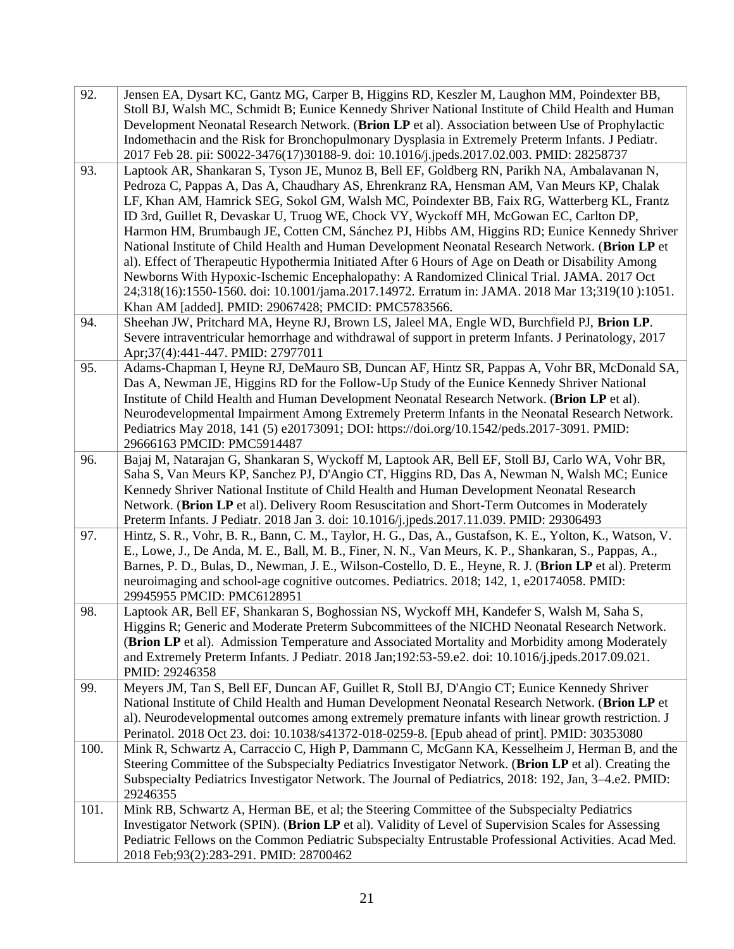| 92.  | Jensen EA, Dysart KC, Gantz MG, Carper B, Higgins RD, Keszler M, Laughon MM, Poindexter BB,<br>Stoll BJ, Walsh MC, Schmidt B; Eunice Kennedy Shriver National Institute of Child Health and Human<br>Development Neonatal Research Network. (Brion LP et al). Association between Use of Prophylactic<br>Indomethacin and the Risk for Bronchopulmonary Dysplasia in Extremely Preterm Infants. J Pediatr.<br>2017 Feb 28. pii: S0022-3476(17)30188-9. doi: 10.1016/j.jpeds.2017.02.003. PMID: 28258737                                                                                                                                                                                                                                                                                                                                                                                                                                             |
|------|-----------------------------------------------------------------------------------------------------------------------------------------------------------------------------------------------------------------------------------------------------------------------------------------------------------------------------------------------------------------------------------------------------------------------------------------------------------------------------------------------------------------------------------------------------------------------------------------------------------------------------------------------------------------------------------------------------------------------------------------------------------------------------------------------------------------------------------------------------------------------------------------------------------------------------------------------------|
| 93.  | Laptook AR, Shankaran S, Tyson JE, Munoz B, Bell EF, Goldberg RN, Parikh NA, Ambalavanan N,<br>Pedroza C, Pappas A, Das A, Chaudhary AS, Ehrenkranz RA, Hensman AM, Van Meurs KP, Chalak<br>LF, Khan AM, Hamrick SEG, Sokol GM, Walsh MC, Poindexter BB, Faix RG, Watterberg KL, Frantz<br>ID 3rd, Guillet R, Devaskar U, Truog WE, Chock VY, Wyckoff MH, McGowan EC, Carlton DP,<br>Harmon HM, Brumbaugh JE, Cotten CM, Sánchez PJ, Hibbs AM, Higgins RD; Eunice Kennedy Shriver<br>National Institute of Child Health and Human Development Neonatal Research Network. (Brion LP et<br>al). Effect of Therapeutic Hypothermia Initiated After 6 Hours of Age on Death or Disability Among<br>Newborns With Hypoxic-Ischemic Encephalopathy: A Randomized Clinical Trial. JAMA. 2017 Oct<br>24;318(16):1550-1560. doi: 10.1001/jama.2017.14972. Erratum in: JAMA. 2018 Mar 13;319(10):1051.<br>Khan AM [added]. PMID: 29067428; PMCID: PMC5783566. |
| 94.  | Sheehan JW, Pritchard MA, Heyne RJ, Brown LS, Jaleel MA, Engle WD, Burchfield PJ, Brion LP.<br>Severe intraventricular hemorrhage and withdrawal of support in preterm Infants. J Perinatology, 2017<br>Apr;37(4):441-447. PMID: 27977011                                                                                                                                                                                                                                                                                                                                                                                                                                                                                                                                                                                                                                                                                                           |
| 95.  | Adams-Chapman I, Heyne RJ, DeMauro SB, Duncan AF, Hintz SR, Pappas A, Vohr BR, McDonald SA,<br>Das A, Newman JE, Higgins RD for the Follow-Up Study of the Eunice Kennedy Shriver National<br>Institute of Child Health and Human Development Neonatal Research Network. (Brion LP et al).<br>Neurodevelopmental Impairment Among Extremely Preterm Infants in the Neonatal Research Network.<br>Pediatrics May 2018, 141 (5) e20173091; DOI: https://doi.org/10.1542/peds.2017-3091. PMID:<br>29666163 PMCID: PMC5914487                                                                                                                                                                                                                                                                                                                                                                                                                           |
| 96.  | Bajaj M, Natarajan G, Shankaran S, Wyckoff M, Laptook AR, Bell EF, Stoll BJ, Carlo WA, Vohr BR,<br>Saha S, Van Meurs KP, Sanchez PJ, D'Angio CT, Higgins RD, Das A, Newman N, Walsh MC; Eunice<br>Kennedy Shriver National Institute of Child Health and Human Development Neonatal Research<br>Network. (Brion LP et al). Delivery Room Resuscitation and Short-Term Outcomes in Moderately<br>Preterm Infants. J Pediatr. 2018 Jan 3. doi: 10.1016/j.jpeds.2017.11.039. PMID: 29306493                                                                                                                                                                                                                                                                                                                                                                                                                                                            |
| 97.  | Hintz, S. R., Vohr, B. R., Bann, C. M., Taylor, H. G., Das, A., Gustafson, K. E., Yolton, K., Watson, V.<br>E., Lowe, J., De Anda, M. E., Ball, M. B., Finer, N. N., Van Meurs, K. P., Shankaran, S., Pappas, A.,<br>Barnes, P. D., Bulas, D., Newman, J. E., Wilson-Costello, D. E., Heyne, R. J. (Brion LP et al). Preterm<br>neuroimaging and school-age cognitive outcomes. Pediatrics. 2018; 142, 1, e20174058. PMID:<br>29945955 PMCID: PMC6128951                                                                                                                                                                                                                                                                                                                                                                                                                                                                                            |
| 98.  | Laptook AR, Bell EF, Shankaran S, Boghossian NS, Wyckoff MH, Kandefer S, Walsh M, Saha S,<br>Higgins R; Generic and Moderate Preterm Subcommittees of the NICHD Neonatal Research Network.<br>(Brion LP et al). Admission Temperature and Associated Mortality and Morbidity among Moderately<br>and Extremely Preterm Infants. J Pediatr. 2018 Jan; 192:53-59.e2. doi: 10.1016/j.jpeds.2017.09.021.<br>PMID: 29246358                                                                                                                                                                                                                                                                                                                                                                                                                                                                                                                              |
| 99.  | Meyers JM, Tan S, Bell EF, Duncan AF, Guillet R, Stoll BJ, D'Angio CT; Eunice Kennedy Shriver<br>National Institute of Child Health and Human Development Neonatal Research Network. (Brion LP et<br>al). Neurodevelopmental outcomes among extremely premature infants with linear growth restriction. J<br>Perinatol. 2018 Oct 23. doi: 10.1038/s41372-018-0259-8. [Epub ahead of print]. PMID: 30353080                                                                                                                                                                                                                                                                                                                                                                                                                                                                                                                                          |
| 100. | Mink R, Schwartz A, Carraccio C, High P, Dammann C, McGann KA, Kesselheim J, Herman B, and the<br>Steering Committee of the Subspecialty Pediatrics Investigator Network. (Brion LP et al). Creating the<br>Subspecialty Pediatrics Investigator Network. The Journal of Pediatrics, 2018: 192, Jan, 3–4.e2. PMID:<br>29246355                                                                                                                                                                                                                                                                                                                                                                                                                                                                                                                                                                                                                      |
| 101. | Mink RB, Schwartz A, Herman BE, et al; the Steering Committee of the Subspecialty Pediatrics<br>Investigator Network (SPIN). (Brion LP et al). Validity of Level of Supervision Scales for Assessing<br>Pediatric Fellows on the Common Pediatric Subspecialty Entrustable Professional Activities. Acad Med.<br>2018 Feb;93(2):283-291. PMID: 28700462                                                                                                                                                                                                                                                                                                                                                                                                                                                                                                                                                                                             |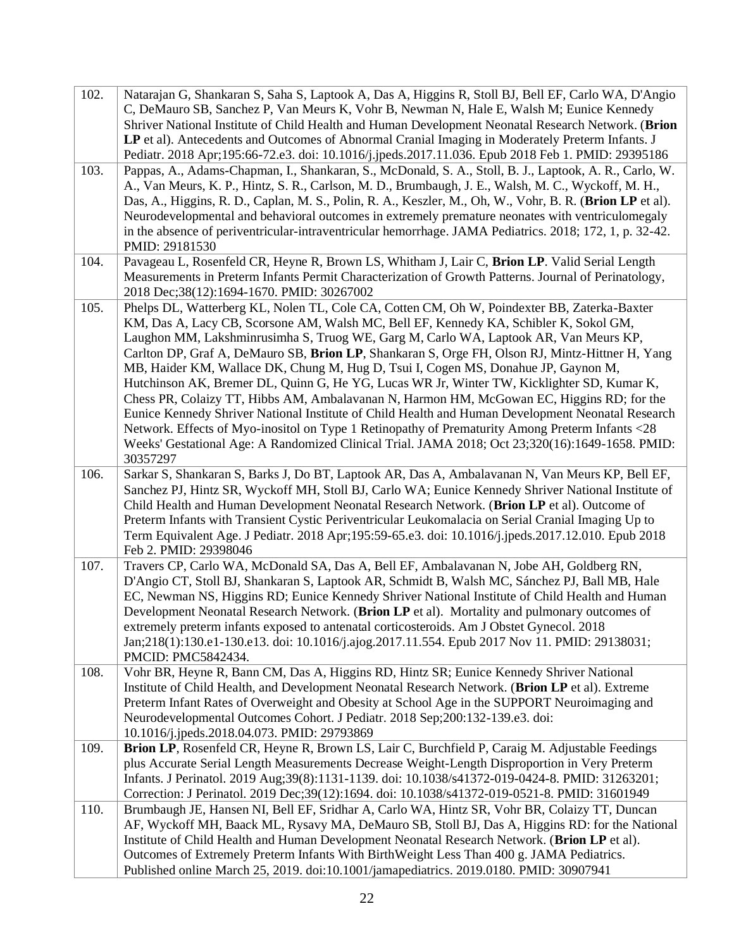| 102. | Natarajan G, Shankaran S, Saha S, Laptook A, Das A, Higgins R, Stoll BJ, Bell EF, Carlo WA, D'Angio<br>C, DeMauro SB, Sanchez P, Van Meurs K, Vohr B, Newman N, Hale E, Walsh M; Eunice Kennedy<br>Shriver National Institute of Child Health and Human Development Neonatal Research Network. (Brion<br>LP et al). Antecedents and Outcomes of Abnormal Cranial Imaging in Moderately Preterm Infants. J<br>Pediatr. 2018 Apr;195:66-72.e3. doi: 10.1016/j.jpeds.2017.11.036. Epub 2018 Feb 1. PMID: 29395186                                                                                                                                                                                                                                                                                                                                                                                                                                                                          |
|------|-----------------------------------------------------------------------------------------------------------------------------------------------------------------------------------------------------------------------------------------------------------------------------------------------------------------------------------------------------------------------------------------------------------------------------------------------------------------------------------------------------------------------------------------------------------------------------------------------------------------------------------------------------------------------------------------------------------------------------------------------------------------------------------------------------------------------------------------------------------------------------------------------------------------------------------------------------------------------------------------|
| 103. | Pappas, A., Adams-Chapman, I., Shankaran, S., McDonald, S. A., Stoll, B. J., Laptook, A. R., Carlo, W.<br>A., Van Meurs, K. P., Hintz, S. R., Carlson, M. D., Brumbaugh, J. E., Walsh, M. C., Wyckoff, M. H.,<br>Das, A., Higgins, R. D., Caplan, M. S., Polin, R. A., Keszler, M., Oh, W., Vohr, B. R. (Brion LP et al).<br>Neurodevelopmental and behavioral outcomes in extremely premature neonates with ventriculomegaly<br>in the absence of periventricular-intraventricular hemorrhage. JAMA Pediatrics. 2018; 172, 1, p. 32-42.<br>PMID: 29181530                                                                                                                                                                                                                                                                                                                                                                                                                              |
| 104. | Pavageau L, Rosenfeld CR, Heyne R, Brown LS, Whitham J, Lair C, Brion LP. Valid Serial Length<br>Measurements in Preterm Infants Permit Characterization of Growth Patterns. Journal of Perinatology,<br>2018 Dec;38(12):1694-1670. PMID: 30267002                                                                                                                                                                                                                                                                                                                                                                                                                                                                                                                                                                                                                                                                                                                                      |
| 105. | Phelps DL, Watterberg KL, Nolen TL, Cole CA, Cotten CM, Oh W, Poindexter BB, Zaterka-Baxter<br>KM, Das A, Lacy CB, Scorsone AM, Walsh MC, Bell EF, Kennedy KA, Schibler K, Sokol GM,<br>Laughon MM, Lakshminrusimha S, Truog WE, Garg M, Carlo WA, Laptook AR, Van Meurs KP,<br>Carlton DP, Graf A, DeMauro SB, Brion LP, Shankaran S, Orge FH, Olson RJ, Mintz-Hittner H, Yang<br>MB, Haider KM, Wallace DK, Chung M, Hug D, Tsui I, Cogen MS, Donahue JP, Gaynon M,<br>Hutchinson AK, Bremer DL, Quinn G, He YG, Lucas WR Jr, Winter TW, Kicklighter SD, Kumar K,<br>Chess PR, Colaizy TT, Hibbs AM, Ambalavanan N, Harmon HM, McGowan EC, Higgins RD; for the<br>Eunice Kennedy Shriver National Institute of Child Health and Human Development Neonatal Research<br>Network. Effects of Myo-inositol on Type 1 Retinopathy of Prematurity Among Preterm Infants <28<br>Weeks' Gestational Age: A Randomized Clinical Trial. JAMA 2018; Oct 23;320(16):1649-1658. PMID:<br>30357297 |
| 106. | Sarkar S, Shankaran S, Barks J, Do BT, Laptook AR, Das A, Ambalavanan N, Van Meurs KP, Bell EF,<br>Sanchez PJ, Hintz SR, Wyckoff MH, Stoll BJ, Carlo WA; Eunice Kennedy Shriver National Institute of<br>Child Health and Human Development Neonatal Research Network. (Brion LP et al). Outcome of<br>Preterm Infants with Transient Cystic Periventricular Leukomalacia on Serial Cranial Imaging Up to<br>Term Equivalent Age. J Pediatr. 2018 Apr; 195:59-65.e3. doi: 10.1016/j.jpeds.2017.12.010. Epub 2018<br>Feb 2. PMID: 29398046                                                                                                                                                                                                                                                                                                                                                                                                                                               |
| 107. | Travers CP, Carlo WA, McDonald SA, Das A, Bell EF, Ambalavanan N, Jobe AH, Goldberg RN,<br>D'Angio CT, Stoll BJ, Shankaran S, Laptook AR, Schmidt B, Walsh MC, Sánchez PJ, Ball MB, Hale<br>EC, Newman NS, Higgins RD; Eunice Kennedy Shriver National Institute of Child Health and Human<br>Development Neonatal Research Network. (Brion LP et al). Mortality and pulmonary outcomes of<br>extremely preterm infants exposed to antenatal corticosteroids. Am J Obstet Gynecol. 2018<br>Jan;218(1):130.e1-130.e13. doi: 10.1016/j.ajog.2017.11.554. Epub 2017 Nov 11. PMID: 29138031;<br>PMCID: PMC5842434.                                                                                                                                                                                                                                                                                                                                                                          |
| 108. | Vohr BR, Heyne R, Bann CM, Das A, Higgins RD, Hintz SR; Eunice Kennedy Shriver National<br>Institute of Child Health, and Development Neonatal Research Network. (Brion LP et al). Extreme<br>Preterm Infant Rates of Overweight and Obesity at School Age in the SUPPORT Neuroimaging and<br>Neurodevelopmental Outcomes Cohort. J Pediatr. 2018 Sep;200:132-139.e3. doi:<br>10.1016/j.jpeds.2018.04.073. PMID: 29793869                                                                                                                                                                                                                                                                                                                                                                                                                                                                                                                                                               |
| 109. | Brion LP, Rosenfeld CR, Heyne R, Brown LS, Lair C, Burchfield P, Caraig M. Adjustable Feedings<br>plus Accurate Serial Length Measurements Decrease Weight-Length Disproportion in Very Preterm<br>Infants. J Perinatol. 2019 Aug;39(8):1131-1139. doi: 10.1038/s41372-019-0424-8. PMID: 31263201;<br>Correction: J Perinatol. 2019 Dec;39(12):1694. doi: 10.1038/s41372-019-0521-8. PMID: 31601949                                                                                                                                                                                                                                                                                                                                                                                                                                                                                                                                                                                     |
| 110. | Brumbaugh JE, Hansen NI, Bell EF, Sridhar A, Carlo WA, Hintz SR, Vohr BR, Colaizy TT, Duncan<br>AF, Wyckoff MH, Baack ML, Rysavy MA, DeMauro SB, Stoll BJ, Das A, Higgins RD: for the National<br>Institute of Child Health and Human Development Neonatal Research Network. (Brion LP et al).<br>Outcomes of Extremely Preterm Infants With BirthWeight Less Than 400 g. JAMA Pediatrics.<br>Published online March 25, 2019. doi:10.1001/jamapediatrics. 2019.0180. PMID: 30907941                                                                                                                                                                                                                                                                                                                                                                                                                                                                                                    |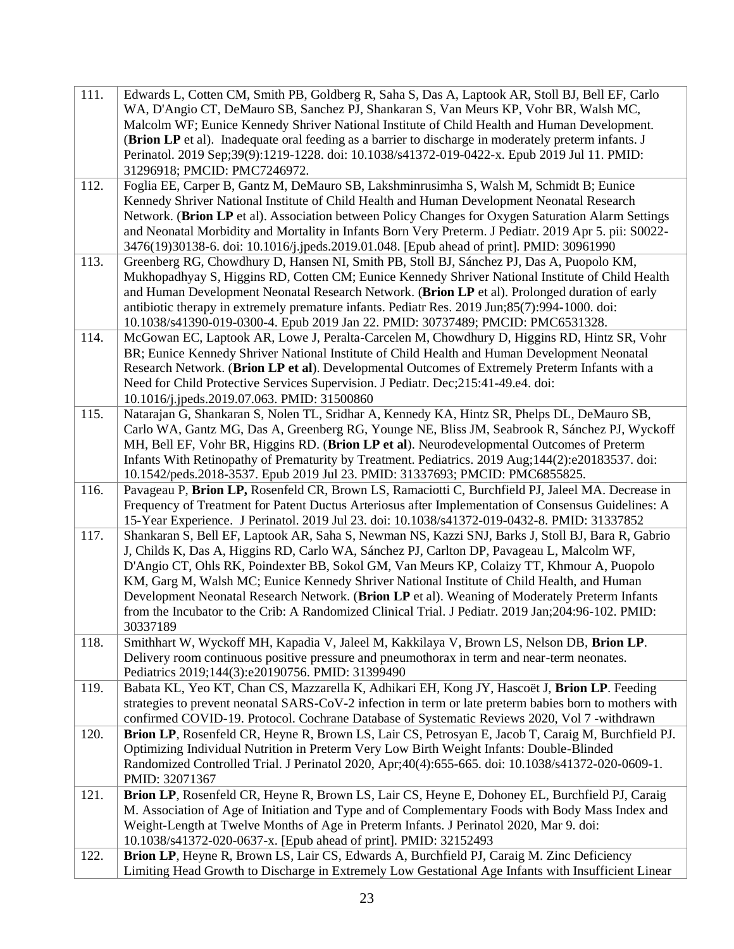| WA, D'Angio CT, DeMauro SB, Sanchez PJ, Shankaran S, Van Meurs KP, Vohr BR, Walsh MC,<br>Malcolm WF; Eunice Kennedy Shriver National Institute of Child Health and Human Development.<br>(Brion LP et al). Inadequate oral feeding as a barrier to discharge in moderately preterm infants. J<br>Perinatol. 2019 Sep;39(9):1219-1228. doi: 10.1038/s41372-019-0422-x. Epub 2019 Jul 11. PMID:<br>31296918; PMCID: PMC7246972.<br>Foglia EE, Carper B, Gantz M, DeMauro SB, Lakshminrusimha S, Walsh M, Schmidt B; Eunice<br>112.<br>Kennedy Shriver National Institute of Child Health and Human Development Neonatal Research<br>Network. (Brion LP et al). Association between Policy Changes for Oxygen Saturation Alarm Settings<br>and Neonatal Morbidity and Mortality in Infants Born Very Preterm. J Pediatr. 2019 Apr 5. pii: S0022-<br>3476(19)30138-6. doi: 10.1016/j.jpeds.2019.01.048. [Epub ahead of print]. PMID: 30961990<br>Greenberg RG, Chowdhury D, Hansen NI, Smith PB, Stoll BJ, Sánchez PJ, Das A, Puopolo KM,<br>113.<br>Mukhopadhyay S, Higgins RD, Cotten CM; Eunice Kennedy Shriver National Institute of Child Health<br>and Human Development Neonatal Research Network. (Brion LP et al). Prolonged duration of early<br>antibiotic therapy in extremely premature infants. Pediatr Res. 2019 Jun;85(7):994-1000. doi:<br>10.1038/s41390-019-0300-4. Epub 2019 Jan 22. PMID: 30737489; PMCID: PMC6531328.<br>114.<br>McGowan EC, Laptook AR, Lowe J, Peralta-Carcelen M, Chowdhury D, Higgins RD, Hintz SR, Vohr<br>BR; Eunice Kennedy Shriver National Institute of Child Health and Human Development Neonatal<br>Research Network. (Brion LP et al). Developmental Outcomes of Extremely Preterm Infants with a<br>Need for Child Protective Services Supervision. J Pediatr. Dec; 215:41-49.e4. doi:<br>10.1016/j.jpeds.2019.07.063. PMID: 31500860<br>115.<br>Natarajan G, Shankaran S, Nolen TL, Sridhar A, Kennedy KA, Hintz SR, Phelps DL, DeMauro SB,<br>Carlo WA, Gantz MG, Das A, Greenberg RG, Younge NE, Bliss JM, Seabrook R, Sánchez PJ, Wyckoff<br>MH, Bell EF, Vohr BR, Higgins RD. (Brion LP et al). Neurodevelopmental Outcomes of Preterm<br>Infants With Retinopathy of Prematurity by Treatment. Pediatrics. 2019 Aug;144(2):e20183537. doi:<br>10.1542/peds.2018-3537. Epub 2019 Jul 23. PMID: 31337693; PMCID: PMC6855825.<br>Pavageau P, Brion LP, Rosenfeld CR, Brown LS, Ramaciotti C, Burchfield PJ, Jaleel MA. Decrease in<br>116.<br>Frequency of Treatment for Patent Ductus Arteriosus after Implementation of Consensus Guidelines: A<br>15-Year Experience. J Perinatol. 2019 Jul 23. doi: 10.1038/s41372-019-0432-8. PMID: 31337852<br>117.<br>Shankaran S, Bell EF, Laptook AR, Saha S, Newman NS, Kazzi SNJ, Barks J, Stoll BJ, Bara R, Gabrio<br>J, Childs K, Das A, Higgins RD, Carlo WA, Sánchez PJ, Carlton DP, Pavageau L, Malcolm WF,<br>D'Angio CT, Ohls RK, Poindexter BB, Sokol GM, Van Meurs KP, Colaizy TT, Khmour A, Puopolo<br>KM, Garg M, Walsh MC; Eunice Kennedy Shriver National Institute of Child Health, and Human<br>Development Neonatal Research Network. (Brion LP et al). Weaning of Moderately Preterm Infants<br>from the Incubator to the Crib: A Randomized Clinical Trial. J Pediatr. 2019 Jan;204:96-102. PMID:<br>30337189<br>Smithhart W, Wyckoff MH, Kapadia V, Jaleel M, Kakkilaya V, Brown LS, Nelson DB, Brion LP.<br>118.<br>Delivery room continuous positive pressure and pneumothorax in term and near-term neonates.<br>Pediatrics 2019;144(3):e20190756. PMID: 31399490<br>119.<br>Babata KL, Yeo KT, Chan CS, Mazzarella K, Adhikari EH, Kong JY, Hascoët J, Brion LP. Feeding<br>strategies to prevent neonatal SARS-CoV-2 infection in term or late preterm babies born to mothers with<br>confirmed COVID-19. Protocol. Cochrane Database of Systematic Reviews 2020, Vol 7 -withdrawn<br>120.<br>Brion LP, Rosenfeld CR, Heyne R, Brown LS, Lair CS, Petrosyan E, Jacob T, Caraig M, Burchfield PJ.<br>Optimizing Individual Nutrition in Preterm Very Low Birth Weight Infants: Double-Blinded<br>Randomized Controlled Trial. J Perinatol 2020, Apr;40(4):655-665. doi: 10.1038/s41372-020-0609-1.<br>PMID: 32071367<br>Brion LP, Rosenfeld CR, Heyne R, Brown LS, Lair CS, Heyne E, Dohoney EL, Burchfield PJ, Caraig<br>121.<br>M. Association of Age of Initiation and Type and of Complementary Foods with Body Mass Index and<br>Weight-Length at Twelve Months of Age in Preterm Infants. J Perinatol 2020, Mar 9. doi:<br>10.1038/s41372-020-0637-x. [Epub ahead of print]. PMID: 32152493<br>122.<br>Brion LP, Heyne R, Brown LS, Lair CS, Edwards A, Burchfield PJ, Caraig M. Zinc Deficiency<br>Limiting Head Growth to Discharge in Extremely Low Gestational Age Infants with Insufficient Linear | 111. | Edwards L, Cotten CM, Smith PB, Goldberg R, Saha S, Das A, Laptook AR, Stoll BJ, Bell EF, Carlo |
|------------------------------------------------------------------------------------------------------------------------------------------------------------------------------------------------------------------------------------------------------------------------------------------------------------------------------------------------------------------------------------------------------------------------------------------------------------------------------------------------------------------------------------------------------------------------------------------------------------------------------------------------------------------------------------------------------------------------------------------------------------------------------------------------------------------------------------------------------------------------------------------------------------------------------------------------------------------------------------------------------------------------------------------------------------------------------------------------------------------------------------------------------------------------------------------------------------------------------------------------------------------------------------------------------------------------------------------------------------------------------------------------------------------------------------------------------------------------------------------------------------------------------------------------------------------------------------------------------------------------------------------------------------------------------------------------------------------------------------------------------------------------------------------------------------------------------------------------------------------------------------------------------------------------------------------------------------------------------------------------------------------------------------------------------------------------------------------------------------------------------------------------------------------------------------------------------------------------------------------------------------------------------------------------------------------------------------------------------------------------------------------------------------------------------------------------------------------------------------------------------------------------------------------------------------------------------------------------------------------------------------------------------------------------------------------------------------------------------------------------------------------------------------------------------------------------------------------------------------------------------------------------------------------------------------------------------------------------------------------------------------------------------------------------------------------------------------------------------------------------------------------------------------------------------------------------------------------------------------------------------------------------------------------------------------------------------------------------------------------------------------------------------------------------------------------------------------------------------------------------------------------------------------------------------------------------------------------------------------------------------------------------------------------------------------------------------------------------------------------------------------------------------------------------------------------------------------------------------------------------------------------------------------------------------------------------------------------------------------------------------------------------------------------------------------------------------------------------------------------------------------------------------------------------------------------------------------------------------------------------------------------------------------------------------------------------------------------------------------------------------------------------------------------------------------------------------------------------------------------------------------------------------------------------------------------------------------------------------------------------------------------------------------------------------------------------------------------------------------------------------------------------------------------------------------------------------------|------|-------------------------------------------------------------------------------------------------|
|                                                                                                                                                                                                                                                                                                                                                                                                                                                                                                                                                                                                                                                                                                                                                                                                                                                                                                                                                                                                                                                                                                                                                                                                                                                                                                                                                                                                                                                                                                                                                                                                                                                                                                                                                                                                                                                                                                                                                                                                                                                                                                                                                                                                                                                                                                                                                                                                                                                                                                                                                                                                                                                                                                                                                                                                                                                                                                                                                                                                                                                                                                                                                                                                                                                                                                                                                                                                                                                                                                                                                                                                                                                                                                                                                                                                                                                                                                                                                                                                                                                                                                                                                                                                                                                                                                                                                                                                                                                                                                                                                                                                                                                                                                                                                                                                                                    |      |                                                                                                 |
|                                                                                                                                                                                                                                                                                                                                                                                                                                                                                                                                                                                                                                                                                                                                                                                                                                                                                                                                                                                                                                                                                                                                                                                                                                                                                                                                                                                                                                                                                                                                                                                                                                                                                                                                                                                                                                                                                                                                                                                                                                                                                                                                                                                                                                                                                                                                                                                                                                                                                                                                                                                                                                                                                                                                                                                                                                                                                                                                                                                                                                                                                                                                                                                                                                                                                                                                                                                                                                                                                                                                                                                                                                                                                                                                                                                                                                                                                                                                                                                                                                                                                                                                                                                                                                                                                                                                                                                                                                                                                                                                                                                                                                                                                                                                                                                                                                    |      |                                                                                                 |
|                                                                                                                                                                                                                                                                                                                                                                                                                                                                                                                                                                                                                                                                                                                                                                                                                                                                                                                                                                                                                                                                                                                                                                                                                                                                                                                                                                                                                                                                                                                                                                                                                                                                                                                                                                                                                                                                                                                                                                                                                                                                                                                                                                                                                                                                                                                                                                                                                                                                                                                                                                                                                                                                                                                                                                                                                                                                                                                                                                                                                                                                                                                                                                                                                                                                                                                                                                                                                                                                                                                                                                                                                                                                                                                                                                                                                                                                                                                                                                                                                                                                                                                                                                                                                                                                                                                                                                                                                                                                                                                                                                                                                                                                                                                                                                                                                                    |      |                                                                                                 |
|                                                                                                                                                                                                                                                                                                                                                                                                                                                                                                                                                                                                                                                                                                                                                                                                                                                                                                                                                                                                                                                                                                                                                                                                                                                                                                                                                                                                                                                                                                                                                                                                                                                                                                                                                                                                                                                                                                                                                                                                                                                                                                                                                                                                                                                                                                                                                                                                                                                                                                                                                                                                                                                                                                                                                                                                                                                                                                                                                                                                                                                                                                                                                                                                                                                                                                                                                                                                                                                                                                                                                                                                                                                                                                                                                                                                                                                                                                                                                                                                                                                                                                                                                                                                                                                                                                                                                                                                                                                                                                                                                                                                                                                                                                                                                                                                                                    |      |                                                                                                 |
|                                                                                                                                                                                                                                                                                                                                                                                                                                                                                                                                                                                                                                                                                                                                                                                                                                                                                                                                                                                                                                                                                                                                                                                                                                                                                                                                                                                                                                                                                                                                                                                                                                                                                                                                                                                                                                                                                                                                                                                                                                                                                                                                                                                                                                                                                                                                                                                                                                                                                                                                                                                                                                                                                                                                                                                                                                                                                                                                                                                                                                                                                                                                                                                                                                                                                                                                                                                                                                                                                                                                                                                                                                                                                                                                                                                                                                                                                                                                                                                                                                                                                                                                                                                                                                                                                                                                                                                                                                                                                                                                                                                                                                                                                                                                                                                                                                    |      |                                                                                                 |
|                                                                                                                                                                                                                                                                                                                                                                                                                                                                                                                                                                                                                                                                                                                                                                                                                                                                                                                                                                                                                                                                                                                                                                                                                                                                                                                                                                                                                                                                                                                                                                                                                                                                                                                                                                                                                                                                                                                                                                                                                                                                                                                                                                                                                                                                                                                                                                                                                                                                                                                                                                                                                                                                                                                                                                                                                                                                                                                                                                                                                                                                                                                                                                                                                                                                                                                                                                                                                                                                                                                                                                                                                                                                                                                                                                                                                                                                                                                                                                                                                                                                                                                                                                                                                                                                                                                                                                                                                                                                                                                                                                                                                                                                                                                                                                                                                                    |      |                                                                                                 |
|                                                                                                                                                                                                                                                                                                                                                                                                                                                                                                                                                                                                                                                                                                                                                                                                                                                                                                                                                                                                                                                                                                                                                                                                                                                                                                                                                                                                                                                                                                                                                                                                                                                                                                                                                                                                                                                                                                                                                                                                                                                                                                                                                                                                                                                                                                                                                                                                                                                                                                                                                                                                                                                                                                                                                                                                                                                                                                                                                                                                                                                                                                                                                                                                                                                                                                                                                                                                                                                                                                                                                                                                                                                                                                                                                                                                                                                                                                                                                                                                                                                                                                                                                                                                                                                                                                                                                                                                                                                                                                                                                                                                                                                                                                                                                                                                                                    |      |                                                                                                 |
|                                                                                                                                                                                                                                                                                                                                                                                                                                                                                                                                                                                                                                                                                                                                                                                                                                                                                                                                                                                                                                                                                                                                                                                                                                                                                                                                                                                                                                                                                                                                                                                                                                                                                                                                                                                                                                                                                                                                                                                                                                                                                                                                                                                                                                                                                                                                                                                                                                                                                                                                                                                                                                                                                                                                                                                                                                                                                                                                                                                                                                                                                                                                                                                                                                                                                                                                                                                                                                                                                                                                                                                                                                                                                                                                                                                                                                                                                                                                                                                                                                                                                                                                                                                                                                                                                                                                                                                                                                                                                                                                                                                                                                                                                                                                                                                                                                    |      |                                                                                                 |
|                                                                                                                                                                                                                                                                                                                                                                                                                                                                                                                                                                                                                                                                                                                                                                                                                                                                                                                                                                                                                                                                                                                                                                                                                                                                                                                                                                                                                                                                                                                                                                                                                                                                                                                                                                                                                                                                                                                                                                                                                                                                                                                                                                                                                                                                                                                                                                                                                                                                                                                                                                                                                                                                                                                                                                                                                                                                                                                                                                                                                                                                                                                                                                                                                                                                                                                                                                                                                                                                                                                                                                                                                                                                                                                                                                                                                                                                                                                                                                                                                                                                                                                                                                                                                                                                                                                                                                                                                                                                                                                                                                                                                                                                                                                                                                                                                                    |      |                                                                                                 |
|                                                                                                                                                                                                                                                                                                                                                                                                                                                                                                                                                                                                                                                                                                                                                                                                                                                                                                                                                                                                                                                                                                                                                                                                                                                                                                                                                                                                                                                                                                                                                                                                                                                                                                                                                                                                                                                                                                                                                                                                                                                                                                                                                                                                                                                                                                                                                                                                                                                                                                                                                                                                                                                                                                                                                                                                                                                                                                                                                                                                                                                                                                                                                                                                                                                                                                                                                                                                                                                                                                                                                                                                                                                                                                                                                                                                                                                                                                                                                                                                                                                                                                                                                                                                                                                                                                                                                                                                                                                                                                                                                                                                                                                                                                                                                                                                                                    |      |                                                                                                 |
|                                                                                                                                                                                                                                                                                                                                                                                                                                                                                                                                                                                                                                                                                                                                                                                                                                                                                                                                                                                                                                                                                                                                                                                                                                                                                                                                                                                                                                                                                                                                                                                                                                                                                                                                                                                                                                                                                                                                                                                                                                                                                                                                                                                                                                                                                                                                                                                                                                                                                                                                                                                                                                                                                                                                                                                                                                                                                                                                                                                                                                                                                                                                                                                                                                                                                                                                                                                                                                                                                                                                                                                                                                                                                                                                                                                                                                                                                                                                                                                                                                                                                                                                                                                                                                                                                                                                                                                                                                                                                                                                                                                                                                                                                                                                                                                                                                    |      |                                                                                                 |
|                                                                                                                                                                                                                                                                                                                                                                                                                                                                                                                                                                                                                                                                                                                                                                                                                                                                                                                                                                                                                                                                                                                                                                                                                                                                                                                                                                                                                                                                                                                                                                                                                                                                                                                                                                                                                                                                                                                                                                                                                                                                                                                                                                                                                                                                                                                                                                                                                                                                                                                                                                                                                                                                                                                                                                                                                                                                                                                                                                                                                                                                                                                                                                                                                                                                                                                                                                                                                                                                                                                                                                                                                                                                                                                                                                                                                                                                                                                                                                                                                                                                                                                                                                                                                                                                                                                                                                                                                                                                                                                                                                                                                                                                                                                                                                                                                                    |      |                                                                                                 |
|                                                                                                                                                                                                                                                                                                                                                                                                                                                                                                                                                                                                                                                                                                                                                                                                                                                                                                                                                                                                                                                                                                                                                                                                                                                                                                                                                                                                                                                                                                                                                                                                                                                                                                                                                                                                                                                                                                                                                                                                                                                                                                                                                                                                                                                                                                                                                                                                                                                                                                                                                                                                                                                                                                                                                                                                                                                                                                                                                                                                                                                                                                                                                                                                                                                                                                                                                                                                                                                                                                                                                                                                                                                                                                                                                                                                                                                                                                                                                                                                                                                                                                                                                                                                                                                                                                                                                                                                                                                                                                                                                                                                                                                                                                                                                                                                                                    |      |                                                                                                 |
|                                                                                                                                                                                                                                                                                                                                                                                                                                                                                                                                                                                                                                                                                                                                                                                                                                                                                                                                                                                                                                                                                                                                                                                                                                                                                                                                                                                                                                                                                                                                                                                                                                                                                                                                                                                                                                                                                                                                                                                                                                                                                                                                                                                                                                                                                                                                                                                                                                                                                                                                                                                                                                                                                                                                                                                                                                                                                                                                                                                                                                                                                                                                                                                                                                                                                                                                                                                                                                                                                                                                                                                                                                                                                                                                                                                                                                                                                                                                                                                                                                                                                                                                                                                                                                                                                                                                                                                                                                                                                                                                                                                                                                                                                                                                                                                                                                    |      |                                                                                                 |
|                                                                                                                                                                                                                                                                                                                                                                                                                                                                                                                                                                                                                                                                                                                                                                                                                                                                                                                                                                                                                                                                                                                                                                                                                                                                                                                                                                                                                                                                                                                                                                                                                                                                                                                                                                                                                                                                                                                                                                                                                                                                                                                                                                                                                                                                                                                                                                                                                                                                                                                                                                                                                                                                                                                                                                                                                                                                                                                                                                                                                                                                                                                                                                                                                                                                                                                                                                                                                                                                                                                                                                                                                                                                                                                                                                                                                                                                                                                                                                                                                                                                                                                                                                                                                                                                                                                                                                                                                                                                                                                                                                                                                                                                                                                                                                                                                                    |      |                                                                                                 |
|                                                                                                                                                                                                                                                                                                                                                                                                                                                                                                                                                                                                                                                                                                                                                                                                                                                                                                                                                                                                                                                                                                                                                                                                                                                                                                                                                                                                                                                                                                                                                                                                                                                                                                                                                                                                                                                                                                                                                                                                                                                                                                                                                                                                                                                                                                                                                                                                                                                                                                                                                                                                                                                                                                                                                                                                                                                                                                                                                                                                                                                                                                                                                                                                                                                                                                                                                                                                                                                                                                                                                                                                                                                                                                                                                                                                                                                                                                                                                                                                                                                                                                                                                                                                                                                                                                                                                                                                                                                                                                                                                                                                                                                                                                                                                                                                                                    |      |                                                                                                 |
|                                                                                                                                                                                                                                                                                                                                                                                                                                                                                                                                                                                                                                                                                                                                                                                                                                                                                                                                                                                                                                                                                                                                                                                                                                                                                                                                                                                                                                                                                                                                                                                                                                                                                                                                                                                                                                                                                                                                                                                                                                                                                                                                                                                                                                                                                                                                                                                                                                                                                                                                                                                                                                                                                                                                                                                                                                                                                                                                                                                                                                                                                                                                                                                                                                                                                                                                                                                                                                                                                                                                                                                                                                                                                                                                                                                                                                                                                                                                                                                                                                                                                                                                                                                                                                                                                                                                                                                                                                                                                                                                                                                                                                                                                                                                                                                                                                    |      |                                                                                                 |
|                                                                                                                                                                                                                                                                                                                                                                                                                                                                                                                                                                                                                                                                                                                                                                                                                                                                                                                                                                                                                                                                                                                                                                                                                                                                                                                                                                                                                                                                                                                                                                                                                                                                                                                                                                                                                                                                                                                                                                                                                                                                                                                                                                                                                                                                                                                                                                                                                                                                                                                                                                                                                                                                                                                                                                                                                                                                                                                                                                                                                                                                                                                                                                                                                                                                                                                                                                                                                                                                                                                                                                                                                                                                                                                                                                                                                                                                                                                                                                                                                                                                                                                                                                                                                                                                                                                                                                                                                                                                                                                                                                                                                                                                                                                                                                                                                                    |      |                                                                                                 |
|                                                                                                                                                                                                                                                                                                                                                                                                                                                                                                                                                                                                                                                                                                                                                                                                                                                                                                                                                                                                                                                                                                                                                                                                                                                                                                                                                                                                                                                                                                                                                                                                                                                                                                                                                                                                                                                                                                                                                                                                                                                                                                                                                                                                                                                                                                                                                                                                                                                                                                                                                                                                                                                                                                                                                                                                                                                                                                                                                                                                                                                                                                                                                                                                                                                                                                                                                                                                                                                                                                                                                                                                                                                                                                                                                                                                                                                                                                                                                                                                                                                                                                                                                                                                                                                                                                                                                                                                                                                                                                                                                                                                                                                                                                                                                                                                                                    |      |                                                                                                 |
|                                                                                                                                                                                                                                                                                                                                                                                                                                                                                                                                                                                                                                                                                                                                                                                                                                                                                                                                                                                                                                                                                                                                                                                                                                                                                                                                                                                                                                                                                                                                                                                                                                                                                                                                                                                                                                                                                                                                                                                                                                                                                                                                                                                                                                                                                                                                                                                                                                                                                                                                                                                                                                                                                                                                                                                                                                                                                                                                                                                                                                                                                                                                                                                                                                                                                                                                                                                                                                                                                                                                                                                                                                                                                                                                                                                                                                                                                                                                                                                                                                                                                                                                                                                                                                                                                                                                                                                                                                                                                                                                                                                                                                                                                                                                                                                                                                    |      |                                                                                                 |
|                                                                                                                                                                                                                                                                                                                                                                                                                                                                                                                                                                                                                                                                                                                                                                                                                                                                                                                                                                                                                                                                                                                                                                                                                                                                                                                                                                                                                                                                                                                                                                                                                                                                                                                                                                                                                                                                                                                                                                                                                                                                                                                                                                                                                                                                                                                                                                                                                                                                                                                                                                                                                                                                                                                                                                                                                                                                                                                                                                                                                                                                                                                                                                                                                                                                                                                                                                                                                                                                                                                                                                                                                                                                                                                                                                                                                                                                                                                                                                                                                                                                                                                                                                                                                                                                                                                                                                                                                                                                                                                                                                                                                                                                                                                                                                                                                                    |      |                                                                                                 |
|                                                                                                                                                                                                                                                                                                                                                                                                                                                                                                                                                                                                                                                                                                                                                                                                                                                                                                                                                                                                                                                                                                                                                                                                                                                                                                                                                                                                                                                                                                                                                                                                                                                                                                                                                                                                                                                                                                                                                                                                                                                                                                                                                                                                                                                                                                                                                                                                                                                                                                                                                                                                                                                                                                                                                                                                                                                                                                                                                                                                                                                                                                                                                                                                                                                                                                                                                                                                                                                                                                                                                                                                                                                                                                                                                                                                                                                                                                                                                                                                                                                                                                                                                                                                                                                                                                                                                                                                                                                                                                                                                                                                                                                                                                                                                                                                                                    |      |                                                                                                 |
|                                                                                                                                                                                                                                                                                                                                                                                                                                                                                                                                                                                                                                                                                                                                                                                                                                                                                                                                                                                                                                                                                                                                                                                                                                                                                                                                                                                                                                                                                                                                                                                                                                                                                                                                                                                                                                                                                                                                                                                                                                                                                                                                                                                                                                                                                                                                                                                                                                                                                                                                                                                                                                                                                                                                                                                                                                                                                                                                                                                                                                                                                                                                                                                                                                                                                                                                                                                                                                                                                                                                                                                                                                                                                                                                                                                                                                                                                                                                                                                                                                                                                                                                                                                                                                                                                                                                                                                                                                                                                                                                                                                                                                                                                                                                                                                                                                    |      |                                                                                                 |
|                                                                                                                                                                                                                                                                                                                                                                                                                                                                                                                                                                                                                                                                                                                                                                                                                                                                                                                                                                                                                                                                                                                                                                                                                                                                                                                                                                                                                                                                                                                                                                                                                                                                                                                                                                                                                                                                                                                                                                                                                                                                                                                                                                                                                                                                                                                                                                                                                                                                                                                                                                                                                                                                                                                                                                                                                                                                                                                                                                                                                                                                                                                                                                                                                                                                                                                                                                                                                                                                                                                                                                                                                                                                                                                                                                                                                                                                                                                                                                                                                                                                                                                                                                                                                                                                                                                                                                                                                                                                                                                                                                                                                                                                                                                                                                                                                                    |      |                                                                                                 |
|                                                                                                                                                                                                                                                                                                                                                                                                                                                                                                                                                                                                                                                                                                                                                                                                                                                                                                                                                                                                                                                                                                                                                                                                                                                                                                                                                                                                                                                                                                                                                                                                                                                                                                                                                                                                                                                                                                                                                                                                                                                                                                                                                                                                                                                                                                                                                                                                                                                                                                                                                                                                                                                                                                                                                                                                                                                                                                                                                                                                                                                                                                                                                                                                                                                                                                                                                                                                                                                                                                                                                                                                                                                                                                                                                                                                                                                                                                                                                                                                                                                                                                                                                                                                                                                                                                                                                                                                                                                                                                                                                                                                                                                                                                                                                                                                                                    |      |                                                                                                 |
|                                                                                                                                                                                                                                                                                                                                                                                                                                                                                                                                                                                                                                                                                                                                                                                                                                                                                                                                                                                                                                                                                                                                                                                                                                                                                                                                                                                                                                                                                                                                                                                                                                                                                                                                                                                                                                                                                                                                                                                                                                                                                                                                                                                                                                                                                                                                                                                                                                                                                                                                                                                                                                                                                                                                                                                                                                                                                                                                                                                                                                                                                                                                                                                                                                                                                                                                                                                                                                                                                                                                                                                                                                                                                                                                                                                                                                                                                                                                                                                                                                                                                                                                                                                                                                                                                                                                                                                                                                                                                                                                                                                                                                                                                                                                                                                                                                    |      |                                                                                                 |
|                                                                                                                                                                                                                                                                                                                                                                                                                                                                                                                                                                                                                                                                                                                                                                                                                                                                                                                                                                                                                                                                                                                                                                                                                                                                                                                                                                                                                                                                                                                                                                                                                                                                                                                                                                                                                                                                                                                                                                                                                                                                                                                                                                                                                                                                                                                                                                                                                                                                                                                                                                                                                                                                                                                                                                                                                                                                                                                                                                                                                                                                                                                                                                                                                                                                                                                                                                                                                                                                                                                                                                                                                                                                                                                                                                                                                                                                                                                                                                                                                                                                                                                                                                                                                                                                                                                                                                                                                                                                                                                                                                                                                                                                                                                                                                                                                                    |      |                                                                                                 |
|                                                                                                                                                                                                                                                                                                                                                                                                                                                                                                                                                                                                                                                                                                                                                                                                                                                                                                                                                                                                                                                                                                                                                                                                                                                                                                                                                                                                                                                                                                                                                                                                                                                                                                                                                                                                                                                                                                                                                                                                                                                                                                                                                                                                                                                                                                                                                                                                                                                                                                                                                                                                                                                                                                                                                                                                                                                                                                                                                                                                                                                                                                                                                                                                                                                                                                                                                                                                                                                                                                                                                                                                                                                                                                                                                                                                                                                                                                                                                                                                                                                                                                                                                                                                                                                                                                                                                                                                                                                                                                                                                                                                                                                                                                                                                                                                                                    |      |                                                                                                 |
|                                                                                                                                                                                                                                                                                                                                                                                                                                                                                                                                                                                                                                                                                                                                                                                                                                                                                                                                                                                                                                                                                                                                                                                                                                                                                                                                                                                                                                                                                                                                                                                                                                                                                                                                                                                                                                                                                                                                                                                                                                                                                                                                                                                                                                                                                                                                                                                                                                                                                                                                                                                                                                                                                                                                                                                                                                                                                                                                                                                                                                                                                                                                                                                                                                                                                                                                                                                                                                                                                                                                                                                                                                                                                                                                                                                                                                                                                                                                                                                                                                                                                                                                                                                                                                                                                                                                                                                                                                                                                                                                                                                                                                                                                                                                                                                                                                    |      |                                                                                                 |
|                                                                                                                                                                                                                                                                                                                                                                                                                                                                                                                                                                                                                                                                                                                                                                                                                                                                                                                                                                                                                                                                                                                                                                                                                                                                                                                                                                                                                                                                                                                                                                                                                                                                                                                                                                                                                                                                                                                                                                                                                                                                                                                                                                                                                                                                                                                                                                                                                                                                                                                                                                                                                                                                                                                                                                                                                                                                                                                                                                                                                                                                                                                                                                                                                                                                                                                                                                                                                                                                                                                                                                                                                                                                                                                                                                                                                                                                                                                                                                                                                                                                                                                                                                                                                                                                                                                                                                                                                                                                                                                                                                                                                                                                                                                                                                                                                                    |      |                                                                                                 |
|                                                                                                                                                                                                                                                                                                                                                                                                                                                                                                                                                                                                                                                                                                                                                                                                                                                                                                                                                                                                                                                                                                                                                                                                                                                                                                                                                                                                                                                                                                                                                                                                                                                                                                                                                                                                                                                                                                                                                                                                                                                                                                                                                                                                                                                                                                                                                                                                                                                                                                                                                                                                                                                                                                                                                                                                                                                                                                                                                                                                                                                                                                                                                                                                                                                                                                                                                                                                                                                                                                                                                                                                                                                                                                                                                                                                                                                                                                                                                                                                                                                                                                                                                                                                                                                                                                                                                                                                                                                                                                                                                                                                                                                                                                                                                                                                                                    |      |                                                                                                 |
|                                                                                                                                                                                                                                                                                                                                                                                                                                                                                                                                                                                                                                                                                                                                                                                                                                                                                                                                                                                                                                                                                                                                                                                                                                                                                                                                                                                                                                                                                                                                                                                                                                                                                                                                                                                                                                                                                                                                                                                                                                                                                                                                                                                                                                                                                                                                                                                                                                                                                                                                                                                                                                                                                                                                                                                                                                                                                                                                                                                                                                                                                                                                                                                                                                                                                                                                                                                                                                                                                                                                                                                                                                                                                                                                                                                                                                                                                                                                                                                                                                                                                                                                                                                                                                                                                                                                                                                                                                                                                                                                                                                                                                                                                                                                                                                                                                    |      |                                                                                                 |
|                                                                                                                                                                                                                                                                                                                                                                                                                                                                                                                                                                                                                                                                                                                                                                                                                                                                                                                                                                                                                                                                                                                                                                                                                                                                                                                                                                                                                                                                                                                                                                                                                                                                                                                                                                                                                                                                                                                                                                                                                                                                                                                                                                                                                                                                                                                                                                                                                                                                                                                                                                                                                                                                                                                                                                                                                                                                                                                                                                                                                                                                                                                                                                                                                                                                                                                                                                                                                                                                                                                                                                                                                                                                                                                                                                                                                                                                                                                                                                                                                                                                                                                                                                                                                                                                                                                                                                                                                                                                                                                                                                                                                                                                                                                                                                                                                                    |      |                                                                                                 |
|                                                                                                                                                                                                                                                                                                                                                                                                                                                                                                                                                                                                                                                                                                                                                                                                                                                                                                                                                                                                                                                                                                                                                                                                                                                                                                                                                                                                                                                                                                                                                                                                                                                                                                                                                                                                                                                                                                                                                                                                                                                                                                                                                                                                                                                                                                                                                                                                                                                                                                                                                                                                                                                                                                                                                                                                                                                                                                                                                                                                                                                                                                                                                                                                                                                                                                                                                                                                                                                                                                                                                                                                                                                                                                                                                                                                                                                                                                                                                                                                                                                                                                                                                                                                                                                                                                                                                                                                                                                                                                                                                                                                                                                                                                                                                                                                                                    |      |                                                                                                 |
|                                                                                                                                                                                                                                                                                                                                                                                                                                                                                                                                                                                                                                                                                                                                                                                                                                                                                                                                                                                                                                                                                                                                                                                                                                                                                                                                                                                                                                                                                                                                                                                                                                                                                                                                                                                                                                                                                                                                                                                                                                                                                                                                                                                                                                                                                                                                                                                                                                                                                                                                                                                                                                                                                                                                                                                                                                                                                                                                                                                                                                                                                                                                                                                                                                                                                                                                                                                                                                                                                                                                                                                                                                                                                                                                                                                                                                                                                                                                                                                                                                                                                                                                                                                                                                                                                                                                                                                                                                                                                                                                                                                                                                                                                                                                                                                                                                    |      |                                                                                                 |
|                                                                                                                                                                                                                                                                                                                                                                                                                                                                                                                                                                                                                                                                                                                                                                                                                                                                                                                                                                                                                                                                                                                                                                                                                                                                                                                                                                                                                                                                                                                                                                                                                                                                                                                                                                                                                                                                                                                                                                                                                                                                                                                                                                                                                                                                                                                                                                                                                                                                                                                                                                                                                                                                                                                                                                                                                                                                                                                                                                                                                                                                                                                                                                                                                                                                                                                                                                                                                                                                                                                                                                                                                                                                                                                                                                                                                                                                                                                                                                                                                                                                                                                                                                                                                                                                                                                                                                                                                                                                                                                                                                                                                                                                                                                                                                                                                                    |      |                                                                                                 |
|                                                                                                                                                                                                                                                                                                                                                                                                                                                                                                                                                                                                                                                                                                                                                                                                                                                                                                                                                                                                                                                                                                                                                                                                                                                                                                                                                                                                                                                                                                                                                                                                                                                                                                                                                                                                                                                                                                                                                                                                                                                                                                                                                                                                                                                                                                                                                                                                                                                                                                                                                                                                                                                                                                                                                                                                                                                                                                                                                                                                                                                                                                                                                                                                                                                                                                                                                                                                                                                                                                                                                                                                                                                                                                                                                                                                                                                                                                                                                                                                                                                                                                                                                                                                                                                                                                                                                                                                                                                                                                                                                                                                                                                                                                                                                                                                                                    |      |                                                                                                 |
|                                                                                                                                                                                                                                                                                                                                                                                                                                                                                                                                                                                                                                                                                                                                                                                                                                                                                                                                                                                                                                                                                                                                                                                                                                                                                                                                                                                                                                                                                                                                                                                                                                                                                                                                                                                                                                                                                                                                                                                                                                                                                                                                                                                                                                                                                                                                                                                                                                                                                                                                                                                                                                                                                                                                                                                                                                                                                                                                                                                                                                                                                                                                                                                                                                                                                                                                                                                                                                                                                                                                                                                                                                                                                                                                                                                                                                                                                                                                                                                                                                                                                                                                                                                                                                                                                                                                                                                                                                                                                                                                                                                                                                                                                                                                                                                                                                    |      |                                                                                                 |
|                                                                                                                                                                                                                                                                                                                                                                                                                                                                                                                                                                                                                                                                                                                                                                                                                                                                                                                                                                                                                                                                                                                                                                                                                                                                                                                                                                                                                                                                                                                                                                                                                                                                                                                                                                                                                                                                                                                                                                                                                                                                                                                                                                                                                                                                                                                                                                                                                                                                                                                                                                                                                                                                                                                                                                                                                                                                                                                                                                                                                                                                                                                                                                                                                                                                                                                                                                                                                                                                                                                                                                                                                                                                                                                                                                                                                                                                                                                                                                                                                                                                                                                                                                                                                                                                                                                                                                                                                                                                                                                                                                                                                                                                                                                                                                                                                                    |      |                                                                                                 |
|                                                                                                                                                                                                                                                                                                                                                                                                                                                                                                                                                                                                                                                                                                                                                                                                                                                                                                                                                                                                                                                                                                                                                                                                                                                                                                                                                                                                                                                                                                                                                                                                                                                                                                                                                                                                                                                                                                                                                                                                                                                                                                                                                                                                                                                                                                                                                                                                                                                                                                                                                                                                                                                                                                                                                                                                                                                                                                                                                                                                                                                                                                                                                                                                                                                                                                                                                                                                                                                                                                                                                                                                                                                                                                                                                                                                                                                                                                                                                                                                                                                                                                                                                                                                                                                                                                                                                                                                                                                                                                                                                                                                                                                                                                                                                                                                                                    |      |                                                                                                 |
|                                                                                                                                                                                                                                                                                                                                                                                                                                                                                                                                                                                                                                                                                                                                                                                                                                                                                                                                                                                                                                                                                                                                                                                                                                                                                                                                                                                                                                                                                                                                                                                                                                                                                                                                                                                                                                                                                                                                                                                                                                                                                                                                                                                                                                                                                                                                                                                                                                                                                                                                                                                                                                                                                                                                                                                                                                                                                                                                                                                                                                                                                                                                                                                                                                                                                                                                                                                                                                                                                                                                                                                                                                                                                                                                                                                                                                                                                                                                                                                                                                                                                                                                                                                                                                                                                                                                                                                                                                                                                                                                                                                                                                                                                                                                                                                                                                    |      |                                                                                                 |
|                                                                                                                                                                                                                                                                                                                                                                                                                                                                                                                                                                                                                                                                                                                                                                                                                                                                                                                                                                                                                                                                                                                                                                                                                                                                                                                                                                                                                                                                                                                                                                                                                                                                                                                                                                                                                                                                                                                                                                                                                                                                                                                                                                                                                                                                                                                                                                                                                                                                                                                                                                                                                                                                                                                                                                                                                                                                                                                                                                                                                                                                                                                                                                                                                                                                                                                                                                                                                                                                                                                                                                                                                                                                                                                                                                                                                                                                                                                                                                                                                                                                                                                                                                                                                                                                                                                                                                                                                                                                                                                                                                                                                                                                                                                                                                                                                                    |      |                                                                                                 |
|                                                                                                                                                                                                                                                                                                                                                                                                                                                                                                                                                                                                                                                                                                                                                                                                                                                                                                                                                                                                                                                                                                                                                                                                                                                                                                                                                                                                                                                                                                                                                                                                                                                                                                                                                                                                                                                                                                                                                                                                                                                                                                                                                                                                                                                                                                                                                                                                                                                                                                                                                                                                                                                                                                                                                                                                                                                                                                                                                                                                                                                                                                                                                                                                                                                                                                                                                                                                                                                                                                                                                                                                                                                                                                                                                                                                                                                                                                                                                                                                                                                                                                                                                                                                                                                                                                                                                                                                                                                                                                                                                                                                                                                                                                                                                                                                                                    |      |                                                                                                 |
|                                                                                                                                                                                                                                                                                                                                                                                                                                                                                                                                                                                                                                                                                                                                                                                                                                                                                                                                                                                                                                                                                                                                                                                                                                                                                                                                                                                                                                                                                                                                                                                                                                                                                                                                                                                                                                                                                                                                                                                                                                                                                                                                                                                                                                                                                                                                                                                                                                                                                                                                                                                                                                                                                                                                                                                                                                                                                                                                                                                                                                                                                                                                                                                                                                                                                                                                                                                                                                                                                                                                                                                                                                                                                                                                                                                                                                                                                                                                                                                                                                                                                                                                                                                                                                                                                                                                                                                                                                                                                                                                                                                                                                                                                                                                                                                                                                    |      |                                                                                                 |
|                                                                                                                                                                                                                                                                                                                                                                                                                                                                                                                                                                                                                                                                                                                                                                                                                                                                                                                                                                                                                                                                                                                                                                                                                                                                                                                                                                                                                                                                                                                                                                                                                                                                                                                                                                                                                                                                                                                                                                                                                                                                                                                                                                                                                                                                                                                                                                                                                                                                                                                                                                                                                                                                                                                                                                                                                                                                                                                                                                                                                                                                                                                                                                                                                                                                                                                                                                                                                                                                                                                                                                                                                                                                                                                                                                                                                                                                                                                                                                                                                                                                                                                                                                                                                                                                                                                                                                                                                                                                                                                                                                                                                                                                                                                                                                                                                                    |      |                                                                                                 |
|                                                                                                                                                                                                                                                                                                                                                                                                                                                                                                                                                                                                                                                                                                                                                                                                                                                                                                                                                                                                                                                                                                                                                                                                                                                                                                                                                                                                                                                                                                                                                                                                                                                                                                                                                                                                                                                                                                                                                                                                                                                                                                                                                                                                                                                                                                                                                                                                                                                                                                                                                                                                                                                                                                                                                                                                                                                                                                                                                                                                                                                                                                                                                                                                                                                                                                                                                                                                                                                                                                                                                                                                                                                                                                                                                                                                                                                                                                                                                                                                                                                                                                                                                                                                                                                                                                                                                                                                                                                                                                                                                                                                                                                                                                                                                                                                                                    |      |                                                                                                 |
|                                                                                                                                                                                                                                                                                                                                                                                                                                                                                                                                                                                                                                                                                                                                                                                                                                                                                                                                                                                                                                                                                                                                                                                                                                                                                                                                                                                                                                                                                                                                                                                                                                                                                                                                                                                                                                                                                                                                                                                                                                                                                                                                                                                                                                                                                                                                                                                                                                                                                                                                                                                                                                                                                                                                                                                                                                                                                                                                                                                                                                                                                                                                                                                                                                                                                                                                                                                                                                                                                                                                                                                                                                                                                                                                                                                                                                                                                                                                                                                                                                                                                                                                                                                                                                                                                                                                                                                                                                                                                                                                                                                                                                                                                                                                                                                                                                    |      |                                                                                                 |
|                                                                                                                                                                                                                                                                                                                                                                                                                                                                                                                                                                                                                                                                                                                                                                                                                                                                                                                                                                                                                                                                                                                                                                                                                                                                                                                                                                                                                                                                                                                                                                                                                                                                                                                                                                                                                                                                                                                                                                                                                                                                                                                                                                                                                                                                                                                                                                                                                                                                                                                                                                                                                                                                                                                                                                                                                                                                                                                                                                                                                                                                                                                                                                                                                                                                                                                                                                                                                                                                                                                                                                                                                                                                                                                                                                                                                                                                                                                                                                                                                                                                                                                                                                                                                                                                                                                                                                                                                                                                                                                                                                                                                                                                                                                                                                                                                                    |      |                                                                                                 |
|                                                                                                                                                                                                                                                                                                                                                                                                                                                                                                                                                                                                                                                                                                                                                                                                                                                                                                                                                                                                                                                                                                                                                                                                                                                                                                                                                                                                                                                                                                                                                                                                                                                                                                                                                                                                                                                                                                                                                                                                                                                                                                                                                                                                                                                                                                                                                                                                                                                                                                                                                                                                                                                                                                                                                                                                                                                                                                                                                                                                                                                                                                                                                                                                                                                                                                                                                                                                                                                                                                                                                                                                                                                                                                                                                                                                                                                                                                                                                                                                                                                                                                                                                                                                                                                                                                                                                                                                                                                                                                                                                                                                                                                                                                                                                                                                                                    |      |                                                                                                 |
|                                                                                                                                                                                                                                                                                                                                                                                                                                                                                                                                                                                                                                                                                                                                                                                                                                                                                                                                                                                                                                                                                                                                                                                                                                                                                                                                                                                                                                                                                                                                                                                                                                                                                                                                                                                                                                                                                                                                                                                                                                                                                                                                                                                                                                                                                                                                                                                                                                                                                                                                                                                                                                                                                                                                                                                                                                                                                                                                                                                                                                                                                                                                                                                                                                                                                                                                                                                                                                                                                                                                                                                                                                                                                                                                                                                                                                                                                                                                                                                                                                                                                                                                                                                                                                                                                                                                                                                                                                                                                                                                                                                                                                                                                                                                                                                                                                    |      |                                                                                                 |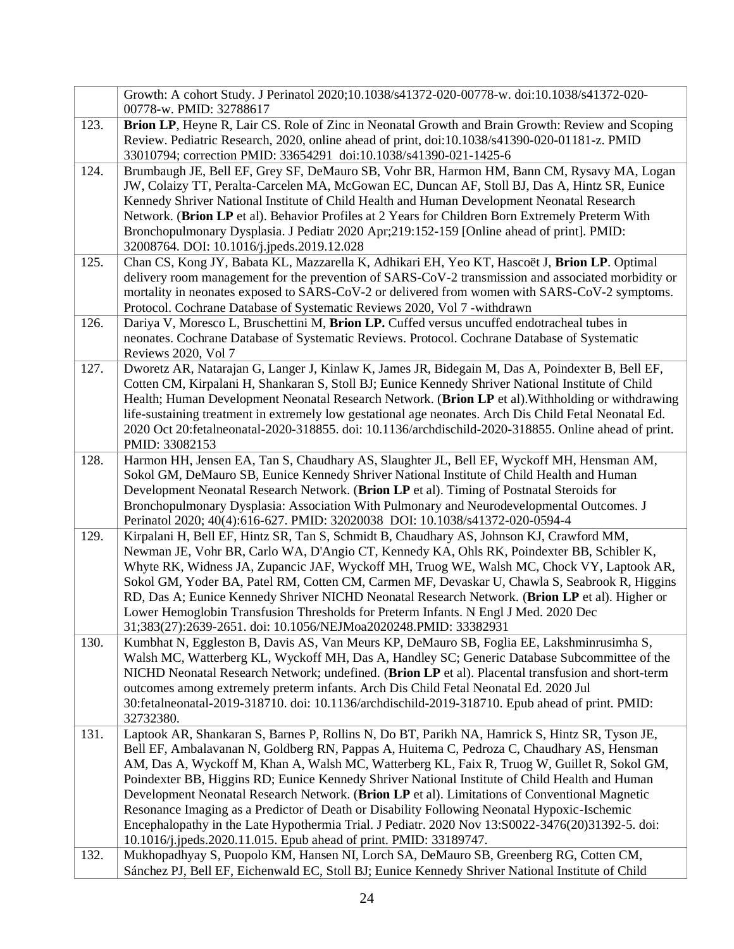|      | Growth: A cohort Study. J Perinatol 2020;10.1038/s41372-020-00778-w. doi:10.1038/s41372-020-<br>00778-w. PMID: 32788617                                                                                                                                                                                                                                                                                                                                                                                                                                                                                                                                                                                                                                                 |
|------|-------------------------------------------------------------------------------------------------------------------------------------------------------------------------------------------------------------------------------------------------------------------------------------------------------------------------------------------------------------------------------------------------------------------------------------------------------------------------------------------------------------------------------------------------------------------------------------------------------------------------------------------------------------------------------------------------------------------------------------------------------------------------|
| 123. | Brion LP, Heyne R, Lair CS. Role of Zinc in Neonatal Growth and Brain Growth: Review and Scoping<br>Review. Pediatric Research, 2020, online ahead of print, doi:10.1038/s41390-020-01181-z. PMID<br>33010794; correction PMID: 33654291 doi:10.1038/s41390-021-1425-6                                                                                                                                                                                                                                                                                                                                                                                                                                                                                                  |
| 124. | Brumbaugh JE, Bell EF, Grey SF, DeMauro SB, Vohr BR, Harmon HM, Bann CM, Rysavy MA, Logan<br>JW, Colaizy TT, Peralta-Carcelen MA, McGowan EC, Duncan AF, Stoll BJ, Das A, Hintz SR, Eunice<br>Kennedy Shriver National Institute of Child Health and Human Development Neonatal Research<br>Network. (Brion LP et al). Behavior Profiles at 2 Years for Children Born Extremely Preterm With<br>Bronchopulmonary Dysplasia. J Pediatr 2020 Apr;219:152-159 [Online ahead of print]. PMID:<br>32008764. DOI: 10.1016/j.jpeds.2019.12.028                                                                                                                                                                                                                                 |
| 125. | Chan CS, Kong JY, Babata KL, Mazzarella K, Adhikari EH, Yeo KT, Hascoët J, Brion LP. Optimal<br>delivery room management for the prevention of SARS-CoV-2 transmission and associated morbidity or<br>mortality in neonates exposed to SARS-CoV-2 or delivered from women with SARS-CoV-2 symptoms.<br>Protocol. Cochrane Database of Systematic Reviews 2020, Vol 7 -withdrawn                                                                                                                                                                                                                                                                                                                                                                                         |
| 126. | Dariya V, Moresco L, Bruschettini M, Brion LP. Cuffed versus uncuffed endotracheal tubes in<br>neonates. Cochrane Database of Systematic Reviews. Protocol. Cochrane Database of Systematic<br>Reviews 2020, Vol 7                                                                                                                                                                                                                                                                                                                                                                                                                                                                                                                                                      |
| 127. | Dworetz AR, Natarajan G, Langer J, Kinlaw K, James JR, Bidegain M, Das A, Poindexter B, Bell EF,<br>Cotten CM, Kirpalani H, Shankaran S, Stoll BJ; Eunice Kennedy Shriver National Institute of Child<br>Health; Human Development Neonatal Research Network. (Brion LP et al). Withholding or withdrawing<br>life-sustaining treatment in extremely low gestational age neonates. Arch Dis Child Fetal Neonatal Ed.<br>2020 Oct 20:fetalneonatal-2020-318855. doi: 10.1136/archdischild-2020-318855. Online ahead of print.<br>PMID: 33082153                                                                                                                                                                                                                          |
| 128. | Harmon HH, Jensen EA, Tan S, Chaudhary AS, Slaughter JL, Bell EF, Wyckoff MH, Hensman AM,<br>Sokol GM, DeMauro SB, Eunice Kennedy Shriver National Institute of Child Health and Human<br>Development Neonatal Research Network. (Brion LP et al). Timing of Postnatal Steroids for<br>Bronchopulmonary Dysplasia: Association With Pulmonary and Neurodevelopmental Outcomes. J<br>Perinatol 2020; 40(4):616-627. PMID: 32020038 DOI: 10.1038/s41372-020-0594-4                                                                                                                                                                                                                                                                                                        |
| 129. | Kirpalani H, Bell EF, Hintz SR, Tan S, Schmidt B, Chaudhary AS, Johnson KJ, Crawford MM,<br>Newman JE, Vohr BR, Carlo WA, D'Angio CT, Kennedy KA, Ohls RK, Poindexter BB, Schibler K,<br>Whyte RK, Widness JA, Zupancic JAF, Wyckoff MH, Truog WE, Walsh MC, Chock VY, Laptook AR,<br>Sokol GM, Yoder BA, Patel RM, Cotten CM, Carmen MF, Devaskar U, Chawla S, Seabrook R, Higgins<br>RD, Das A; Eunice Kennedy Shriver NICHD Neonatal Research Network. (Brion LP et al). Higher or<br>Lower Hemoglobin Transfusion Thresholds for Preterm Infants. N Engl J Med. 2020 Dec<br>31;383(27):2639-2651. doi: 10.1056/NEJMoa2020248.PMID: 33382931                                                                                                                         |
| 130. | Kumbhat N, Eggleston B, Davis AS, Van Meurs KP, DeMauro SB, Foglia EE, Lakshminrusimha S,<br>Walsh MC, Watterberg KL, Wyckoff MH, Das A, Handley SC; Generic Database Subcommittee of the<br>NICHD Neonatal Research Network; undefined. (Brion LP et al). Placental transfusion and short-term<br>outcomes among extremely preterm infants. Arch Dis Child Fetal Neonatal Ed. 2020 Jul<br>30:fetalneonatal-2019-318710. doi: 10.1136/archdischild-2019-318710. Epub ahead of print. PMID:<br>32732380.                                                                                                                                                                                                                                                                 |
| 131. | Laptook AR, Shankaran S, Barnes P, Rollins N, Do BT, Parikh NA, Hamrick S, Hintz SR, Tyson JE,<br>Bell EF, Ambalavanan N, Goldberg RN, Pappas A, Huitema C, Pedroza C, Chaudhary AS, Hensman<br>AM, Das A, Wyckoff M, Khan A, Walsh MC, Watterberg KL, Faix R, Truog W, Guillet R, Sokol GM,<br>Poindexter BB, Higgins RD; Eunice Kennedy Shriver National Institute of Child Health and Human<br>Development Neonatal Research Network. (Brion LP et al). Limitations of Conventional Magnetic<br>Resonance Imaging as a Predictor of Death or Disability Following Neonatal Hypoxic-Ischemic<br>Encephalopathy in the Late Hypothermia Trial. J Pediatr. 2020 Nov 13:S0022-3476(20)31392-5. doi:<br>10.1016/j.jpeds.2020.11.015. Epub ahead of print. PMID: 33189747. |
| 132. | Mukhopadhyay S, Puopolo KM, Hansen NI, Lorch SA, DeMauro SB, Greenberg RG, Cotten CM,<br>Sánchez PJ, Bell EF, Eichenwald EC, Stoll BJ; Eunice Kennedy Shriver National Institute of Child                                                                                                                                                                                                                                                                                                                                                                                                                                                                                                                                                                               |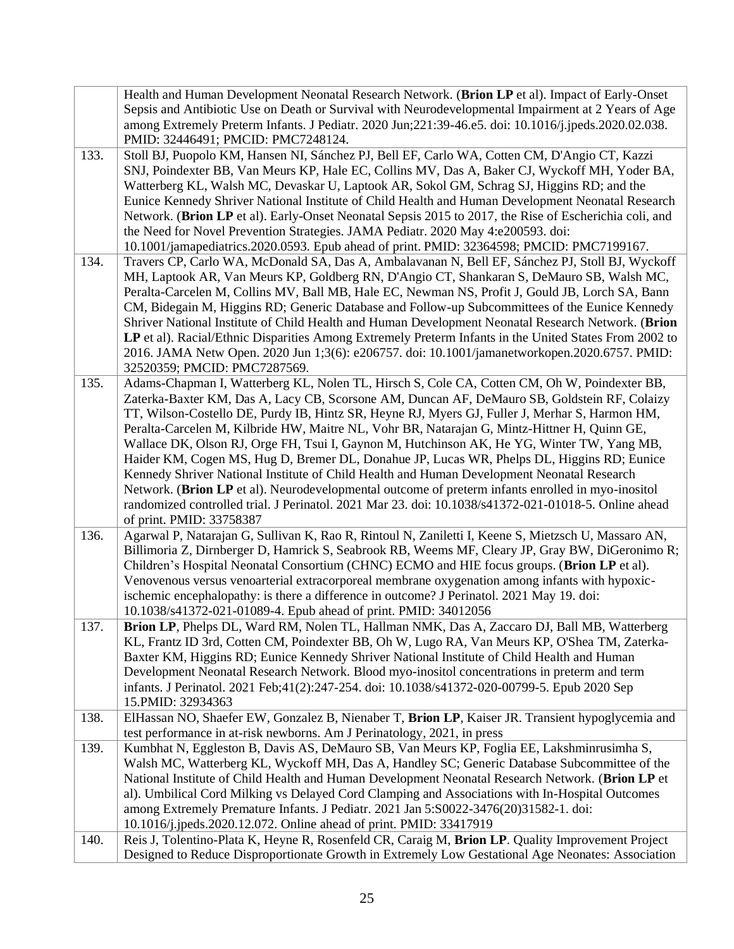| 133. | Health and Human Development Neonatal Research Network. (Brion LP et al). Impact of Early-Onset<br>Sepsis and Antibiotic Use on Death or Survival with Neurodevelopmental Impairment at 2 Years of Age<br>among Extremely Preterm Infants. J Pediatr. 2020 Jun;221:39-46.e5. doi: 10.1016/j.jpeds.2020.02.038.<br>PMID: 32446491; PMCID: PMC7248124.<br>Stoll BJ, Puopolo KM, Hansen NI, Sánchez PJ, Bell EF, Carlo WA, Cotten CM, D'Angio CT, Kazzi<br>SNJ, Poindexter BB, Van Meurs KP, Hale EC, Collins MV, Das A, Baker CJ, Wyckoff MH, Yoder BA,<br>Watterberg KL, Walsh MC, Devaskar U, Laptook AR, Sokol GM, Schrag SJ, Higgins RD; and the<br>Eunice Kennedy Shriver National Institute of Child Health and Human Development Neonatal Research<br>Network. (Brion LP et al). Early-Onset Neonatal Sepsis 2015 to 2017, the Rise of Escherichia coli, and<br>the Need for Novel Prevention Strategies. JAMA Pediatr. 2020 May 4:e200593. doi:<br>10.1001/jamapediatrics.2020.0593. Epub ahead of print. PMID: 32364598; PMCID: PMC7199167. |
|------|----------------------------------------------------------------------------------------------------------------------------------------------------------------------------------------------------------------------------------------------------------------------------------------------------------------------------------------------------------------------------------------------------------------------------------------------------------------------------------------------------------------------------------------------------------------------------------------------------------------------------------------------------------------------------------------------------------------------------------------------------------------------------------------------------------------------------------------------------------------------------------------------------------------------------------------------------------------------------------------------------------------------------------------------------|
| 134. | Travers CP, Carlo WA, McDonald SA, Das A, Ambalavanan N, Bell EF, Sánchez PJ, Stoll BJ, Wyckoff                                                                                                                                                                                                                                                                                                                                                                                                                                                                                                                                                                                                                                                                                                                                                                                                                                                                                                                                                    |
|      | MH, Laptook AR, Van Meurs KP, Goldberg RN, D'Angio CT, Shankaran S, DeMauro SB, Walsh MC,                                                                                                                                                                                                                                                                                                                                                                                                                                                                                                                                                                                                                                                                                                                                                                                                                                                                                                                                                          |
|      | Peralta-Carcelen M, Collins MV, Ball MB, Hale EC, Newman NS, Profit J, Gould JB, Lorch SA, Bann                                                                                                                                                                                                                                                                                                                                                                                                                                                                                                                                                                                                                                                                                                                                                                                                                                                                                                                                                    |
|      | CM, Bidegain M, Higgins RD; Generic Database and Follow-up Subcommittees of the Eunice Kennedy                                                                                                                                                                                                                                                                                                                                                                                                                                                                                                                                                                                                                                                                                                                                                                                                                                                                                                                                                     |
|      | Shriver National Institute of Child Health and Human Development Neonatal Research Network. (Brion                                                                                                                                                                                                                                                                                                                                                                                                                                                                                                                                                                                                                                                                                                                                                                                                                                                                                                                                                 |
|      | LP et al). Racial/Ethnic Disparities Among Extremely Preterm Infants in the United States From 2002 to                                                                                                                                                                                                                                                                                                                                                                                                                                                                                                                                                                                                                                                                                                                                                                                                                                                                                                                                             |
|      | 2016. JAMA Netw Open. 2020 Jun 1;3(6): e206757. doi: 10.1001/jamanetworkopen. 2020.6757. PMID:                                                                                                                                                                                                                                                                                                                                                                                                                                                                                                                                                                                                                                                                                                                                                                                                                                                                                                                                                     |
|      | 32520359; PMCID: PMC7287569.                                                                                                                                                                                                                                                                                                                                                                                                                                                                                                                                                                                                                                                                                                                                                                                                                                                                                                                                                                                                                       |
| 135. | Adams-Chapman I, Watterberg KL, Nolen TL, Hirsch S, Cole CA, Cotten CM, Oh W, Poindexter BB,                                                                                                                                                                                                                                                                                                                                                                                                                                                                                                                                                                                                                                                                                                                                                                                                                                                                                                                                                       |
|      | Zaterka-Baxter KM, Das A, Lacy CB, Scorsone AM, Duncan AF, DeMauro SB, Goldstein RF, Colaizy<br>TT, Wilson-Costello DE, Purdy IB, Hintz SR, Heyne RJ, Myers GJ, Fuller J, Merhar S, Harmon HM,                                                                                                                                                                                                                                                                                                                                                                                                                                                                                                                                                                                                                                                                                                                                                                                                                                                     |
|      | Peralta-Carcelen M, Kilbride HW, Maitre NL, Vohr BR, Natarajan G, Mintz-Hittner H, Quinn GE,                                                                                                                                                                                                                                                                                                                                                                                                                                                                                                                                                                                                                                                                                                                                                                                                                                                                                                                                                       |
|      | Wallace DK, Olson RJ, Orge FH, Tsui I, Gaynon M, Hutchinson AK, He YG, Winter TW, Yang MB,                                                                                                                                                                                                                                                                                                                                                                                                                                                                                                                                                                                                                                                                                                                                                                                                                                                                                                                                                         |
|      | Haider KM, Cogen MS, Hug D, Bremer DL, Donahue JP, Lucas WR, Phelps DL, Higgins RD; Eunice                                                                                                                                                                                                                                                                                                                                                                                                                                                                                                                                                                                                                                                                                                                                                                                                                                                                                                                                                         |
|      | Kennedy Shriver National Institute of Child Health and Human Development Neonatal Research                                                                                                                                                                                                                                                                                                                                                                                                                                                                                                                                                                                                                                                                                                                                                                                                                                                                                                                                                         |
|      | Network. (Brion LP et al). Neurodevelopmental outcome of preterm infants enrolled in myo-inositol                                                                                                                                                                                                                                                                                                                                                                                                                                                                                                                                                                                                                                                                                                                                                                                                                                                                                                                                                  |
|      | randomized controlled trial. J Perinatol. 2021 Mar 23. doi: 10.1038/s41372-021-01018-5. Online ahead                                                                                                                                                                                                                                                                                                                                                                                                                                                                                                                                                                                                                                                                                                                                                                                                                                                                                                                                               |
|      | of print. PMID: 33758387                                                                                                                                                                                                                                                                                                                                                                                                                                                                                                                                                                                                                                                                                                                                                                                                                                                                                                                                                                                                                           |
| 136. | Agarwal P, Natarajan G, Sullivan K, Rao R, Rintoul N, Zaniletti I, Keene S, Mietzsch U, Massaro AN,                                                                                                                                                                                                                                                                                                                                                                                                                                                                                                                                                                                                                                                                                                                                                                                                                                                                                                                                                |
|      | Billimoria Z, Dirnberger D, Hamrick S, Seabrook RB, Weems MF, Cleary JP, Gray BW, DiGeronimo R;                                                                                                                                                                                                                                                                                                                                                                                                                                                                                                                                                                                                                                                                                                                                                                                                                                                                                                                                                    |
|      | Children's Hospital Neonatal Consortium (CHNC) ECMO and HIE focus groups. (Brion LP et al).                                                                                                                                                                                                                                                                                                                                                                                                                                                                                                                                                                                                                                                                                                                                                                                                                                                                                                                                                        |
|      | Venovenous versus venoarterial extracorporeal membrane oxygenation among infants with hypoxic-                                                                                                                                                                                                                                                                                                                                                                                                                                                                                                                                                                                                                                                                                                                                                                                                                                                                                                                                                     |
|      | ischemic encephalopathy: is there a difference in outcome? J Perinatol. 2021 May 19. doi:                                                                                                                                                                                                                                                                                                                                                                                                                                                                                                                                                                                                                                                                                                                                                                                                                                                                                                                                                          |
|      | 10.1038/s41372-021-01089-4. Epub ahead of print. PMID: 34012056                                                                                                                                                                                                                                                                                                                                                                                                                                                                                                                                                                                                                                                                                                                                                                                                                                                                                                                                                                                    |
| 137. | Brion LP, Phelps DL, Ward RM, Nolen TL, Hallman NMK, Das A, Zaccaro DJ, Ball MB, Watterberg<br>KL, Frantz ID 3rd, Cotten CM, Poindexter BB, Oh W, Lugo RA, Van Meurs KP, O'Shea TM, Zaterka-                                                                                                                                                                                                                                                                                                                                                                                                                                                                                                                                                                                                                                                                                                                                                                                                                                                       |
|      | Baxter KM, Higgins RD; Eunice Kennedy Shriver National Institute of Child Health and Human                                                                                                                                                                                                                                                                                                                                                                                                                                                                                                                                                                                                                                                                                                                                                                                                                                                                                                                                                         |
|      | Development Neonatal Research Network. Blood myo-inositol concentrations in preterm and term                                                                                                                                                                                                                                                                                                                                                                                                                                                                                                                                                                                                                                                                                                                                                                                                                                                                                                                                                       |
|      | infants. J Perinatol. 2021 Feb;41(2):247-254. doi: 10.1038/s41372-020-00799-5. Epub 2020 Sep                                                                                                                                                                                                                                                                                                                                                                                                                                                                                                                                                                                                                                                                                                                                                                                                                                                                                                                                                       |
|      | 15. PMID: 32934363                                                                                                                                                                                                                                                                                                                                                                                                                                                                                                                                                                                                                                                                                                                                                                                                                                                                                                                                                                                                                                 |
| 138. | ElHassan NO, Shaefer EW, Gonzalez B, Nienaber T, Brion LP, Kaiser JR. Transient hypoglycemia and                                                                                                                                                                                                                                                                                                                                                                                                                                                                                                                                                                                                                                                                                                                                                                                                                                                                                                                                                   |
|      | test performance in at-risk newborns. Am J Perinatology, 2021, in press                                                                                                                                                                                                                                                                                                                                                                                                                                                                                                                                                                                                                                                                                                                                                                                                                                                                                                                                                                            |
| 139. | Kumbhat N, Eggleston B, Davis AS, DeMauro SB, Van Meurs KP, Foglia EE, Lakshminrusimha S,                                                                                                                                                                                                                                                                                                                                                                                                                                                                                                                                                                                                                                                                                                                                                                                                                                                                                                                                                          |
|      | Walsh MC, Watterberg KL, Wyckoff MH, Das A, Handley SC; Generic Database Subcommittee of the                                                                                                                                                                                                                                                                                                                                                                                                                                                                                                                                                                                                                                                                                                                                                                                                                                                                                                                                                       |
|      | National Institute of Child Health and Human Development Neonatal Research Network. (Brion LP et                                                                                                                                                                                                                                                                                                                                                                                                                                                                                                                                                                                                                                                                                                                                                                                                                                                                                                                                                   |
|      | al). Umbilical Cord Milking vs Delayed Cord Clamping and Associations with In-Hospital Outcomes                                                                                                                                                                                                                                                                                                                                                                                                                                                                                                                                                                                                                                                                                                                                                                                                                                                                                                                                                    |
|      | among Extremely Premature Infants. J Pediatr. 2021 Jan 5:S0022-3476(20)31582-1. doi:                                                                                                                                                                                                                                                                                                                                                                                                                                                                                                                                                                                                                                                                                                                                                                                                                                                                                                                                                               |
|      | 10.1016/j.jpeds.2020.12.072. Online ahead of print. PMID: 33417919                                                                                                                                                                                                                                                                                                                                                                                                                                                                                                                                                                                                                                                                                                                                                                                                                                                                                                                                                                                 |
| 140. | Reis J, Tolentino-Plata K, Heyne R, Rosenfeld CR, Caraig M, Brion LP. Quality Improvement Project                                                                                                                                                                                                                                                                                                                                                                                                                                                                                                                                                                                                                                                                                                                                                                                                                                                                                                                                                  |
|      | Designed to Reduce Disproportionate Growth in Extremely Low Gestational Age Neonates: Association                                                                                                                                                                                                                                                                                                                                                                                                                                                                                                                                                                                                                                                                                                                                                                                                                                                                                                                                                  |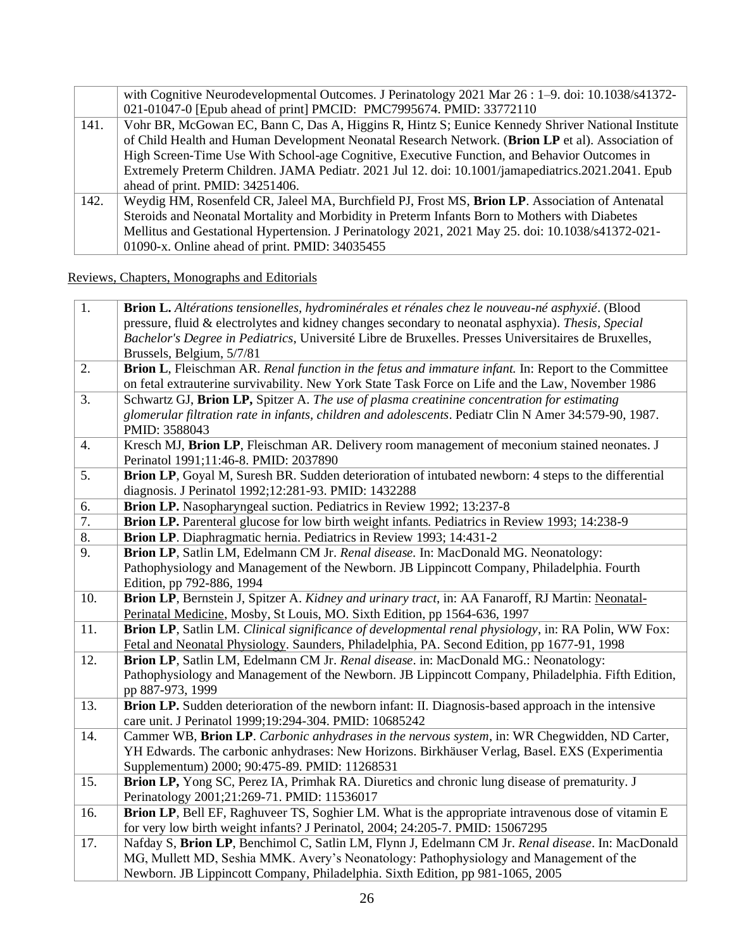|      | with Cognitive Neurodevelopmental Outcomes. J Perinatology 2021 Mar 26 : 1–9. doi: 10.1038/s41372-<br>021-01047-0 [Epub ahead of print] PMCID: PMC7995674. PMID: 33772110                              |
|------|--------------------------------------------------------------------------------------------------------------------------------------------------------------------------------------------------------|
| 141. | Vohr BR, McGowan EC, Bann C, Das A, Higgins R, Hintz S; Eunice Kennedy Shriver National Institute<br>of Child Health and Human Development Neonatal Research Network. (Brion LP et al). Association of |
|      | High Screen-Time Use With School-age Cognitive, Executive Function, and Behavior Outcomes in                                                                                                           |
|      | Extremely Preterm Children. JAMA Pediatr. 2021 Jul 12. doi: 10.1001/jamapediatrics.2021.2041. Epub                                                                                                     |
|      | ahead of print. PMID: 34251406.                                                                                                                                                                        |
| 142. | Weydig HM, Rosenfeld CR, Jaleel MA, Burchfield PJ, Frost MS, Brion LP. Association of Antenatal                                                                                                        |
|      | Steroids and Neonatal Mortality and Morbidity in Preterm Infants Born to Mothers with Diabetes                                                                                                         |
|      | Mellitus and Gestational Hypertension. J Perinatology 2021, 2021 May 25. doi: 10.1038/s41372-021-                                                                                                      |
|      | 01090-x. Online ahead of print. PMID: 34035455                                                                                                                                                         |

Reviews, Chapters, Monographs and Editorials

| $\overline{1}$ . | Brion L. Altérations tensionelles, hydrominérales et rénales chez le nouveau-né asphyxié. (Blood<br>pressure, fluid & electrolytes and kidney changes secondary to neonatal asphyxia). Thesis, Special<br>Bachelor's Degree in Pediatrics, Université Libre de Bruxelles. Presses Universitaires de Bruxelles,<br>Brussels, Belgium, 5/7/81 |
|------------------|---------------------------------------------------------------------------------------------------------------------------------------------------------------------------------------------------------------------------------------------------------------------------------------------------------------------------------------------|
| 2.               | Brion L, Fleischman AR. Renal function in the fetus and immature infant. In: Report to the Committee<br>on fetal extrauterine survivability. New York State Task Force on Life and the Law, November 1986                                                                                                                                   |
| 3.               | Schwartz GJ, Brion LP, Spitzer A. The use of plasma creatinine concentration for estimating<br>glomerular filtration rate in infants, children and adolescents. Pediatr Clin N Amer 34:579-90, 1987.<br>PMID: 3588043                                                                                                                       |
| 4.               | Kresch MJ, Brion LP, Fleischman AR. Delivery room management of meconium stained neonates. J<br>Perinatol 1991;11:46-8. PMID: 2037890                                                                                                                                                                                                       |
| 5.               | Brion LP, Goyal M, Suresh BR. Sudden deterioration of intubated newborn: 4 steps to the differential<br>diagnosis. J Perinatol 1992;12:281-93. PMID: 1432288                                                                                                                                                                                |
| 6.               | Brion LP. Nasopharyngeal suction. Pediatrics in Review 1992; 13:237-8                                                                                                                                                                                                                                                                       |
| 7.               | <b>Brion LP.</b> Parenteral glucose for low birth weight infants. Pediatrics in Review 1993; 14:238-9                                                                                                                                                                                                                                       |
| 8.               | Brion LP. Diaphragmatic hernia. Pediatrics in Review 1993; 14:431-2                                                                                                                                                                                                                                                                         |
| 9.               | Brion LP, Satlin LM, Edelmann CM Jr. Renal disease. In: MacDonald MG. Neonatology:                                                                                                                                                                                                                                                          |
|                  | Pathophysiology and Management of the Newborn. JB Lippincott Company, Philadelphia. Fourth<br>Edition, pp 792-886, 1994                                                                                                                                                                                                                     |
| 10.              | Brion LP, Bernstein J, Spitzer A. Kidney and urinary tract, in: AA Fanaroff, RJ Martin: Neonatal-                                                                                                                                                                                                                                           |
|                  | Perinatal Medicine, Mosby, St Louis, MO. Sixth Edition, pp 1564-636, 1997                                                                                                                                                                                                                                                                   |
| 11.              | Brion LP, Satlin LM. Clinical significance of developmental renal physiology, in: RA Polin, WW Fox:                                                                                                                                                                                                                                         |
|                  | Fetal and Neonatal Physiology. Saunders, Philadelphia, PA. Second Edition, pp 1677-91, 1998                                                                                                                                                                                                                                                 |
| 12.              | Brion LP, Satlin LM, Edelmann CM Jr. Renal disease. in: MacDonald MG.: Neonatology:                                                                                                                                                                                                                                                         |
|                  | Pathophysiology and Management of the Newborn. JB Lippincott Company, Philadelphia. Fifth Edition,<br>pp 887-973, 1999                                                                                                                                                                                                                      |
| 13.              | Brion LP. Sudden deterioration of the newborn infant: II. Diagnosis-based approach in the intensive<br>care unit. J Perinatol 1999;19:294-304. PMID: 10685242                                                                                                                                                                               |
| 14.              | Cammer WB, Brion LP. Carbonic anhydrases in the nervous system, in: WR Chegwidden, ND Carter,                                                                                                                                                                                                                                               |
|                  | YH Edwards. The carbonic anhydrases: New Horizons. Birkhäuser Verlag, Basel. EXS (Experimentia                                                                                                                                                                                                                                              |
|                  | Supplementum) 2000; 90:475-89. PMID: 11268531                                                                                                                                                                                                                                                                                               |
| 15.              | Brion LP, Yong SC, Perez IA, Primhak RA. Diuretics and chronic lung disease of prematurity. J                                                                                                                                                                                                                                               |
|                  | Perinatology 2001;21:269-71. PMID: 11536017                                                                                                                                                                                                                                                                                                 |
| 16.              | Brion LP, Bell EF, Raghuveer TS, Soghier LM. What is the appropriate intravenous dose of vitamin E<br>for very low birth weight infants? J Perinatol, 2004; 24:205-7. PMID: 15067295                                                                                                                                                        |
| 17.              | Nafday S, Brion LP, Benchimol C, Satlin LM, Flynn J, Edelmann CM Jr. Renal disease. In: MacDonald                                                                                                                                                                                                                                           |
|                  | MG, Mullett MD, Seshia MMK. Avery's Neonatology: Pathophysiology and Management of the                                                                                                                                                                                                                                                      |
|                  | Newborn. JB Lippincott Company, Philadelphia. Sixth Edition, pp 981-1065, 2005                                                                                                                                                                                                                                                              |
|                  |                                                                                                                                                                                                                                                                                                                                             |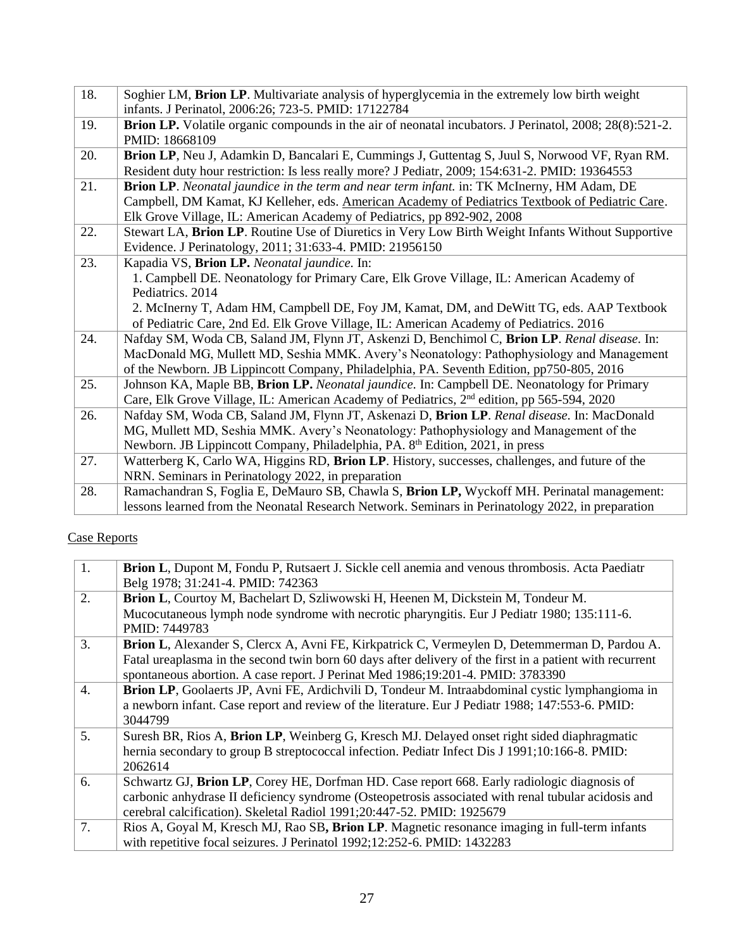| 18. | Soghier LM, Brion LP. Multivariate analysis of hyperglycemia in the extremely low birth weight          |
|-----|---------------------------------------------------------------------------------------------------------|
|     | infants. J Perinatol, 2006:26; 723-5. PMID: 17122784                                                    |
| 19. | Brion LP. Volatile organic compounds in the air of neonatal incubators. J Perinatol, 2008; 28(8):521-2. |
|     | PMID: 18668109                                                                                          |
| 20. | Brion LP, Neu J, Adamkin D, Bancalari E, Cummings J, Guttentag S, Juul S, Norwood VF, Ryan RM.          |
|     | Resident duty hour restriction: Is less really more? J Pediatr, 2009; 154:631-2. PMID: 19364553         |
| 21. | Brion LP. Neonatal jaundice in the term and near term infant. in: TK McInerny, HM Adam, DE              |
|     | Campbell, DM Kamat, KJ Kelleher, eds. American Academy of Pediatrics Textbook of Pediatric Care.        |
|     | Elk Grove Village, IL: American Academy of Pediatrics, pp 892-902, 2008                                 |
| 22. | Stewart LA, Brion LP. Routine Use of Diuretics in Very Low Birth Weight Infants Without Supportive      |
|     | Evidence. J Perinatology, 2011; 31:633-4. PMID: 21956150                                                |
| 23. | Kapadia VS, Brion LP. Neonatal jaundice. In:                                                            |
|     | 1. Campbell DE. Neonatology for Primary Care, Elk Grove Village, IL: American Academy of                |
|     | Pediatrics. 2014                                                                                        |
|     | 2. McInerny T, Adam HM, Campbell DE, Foy JM, Kamat, DM, and DeWitt TG, eds. AAP Textbook                |
|     | of Pediatric Care, 2nd Ed. Elk Grove Village, IL: American Academy of Pediatrics. 2016                  |
| 24. | Nafday SM, Woda CB, Saland JM, Flynn JT, Askenzi D, Benchimol C, Brion LP. Renal disease. In:           |
|     | MacDonald MG, Mullett MD, Seshia MMK. Avery's Neonatology: Pathophysiology and Management               |
|     | of the Newborn. JB Lippincott Company, Philadelphia, PA. Seventh Edition, pp750-805, 2016               |
| 25. | Johnson KA, Maple BB, Brion LP. Neonatal jaundice. In: Campbell DE. Neonatology for Primary             |
|     | Care, Elk Grove Village, IL: American Academy of Pediatrics, 2 <sup>nd</sup> edition, pp 565-594, 2020  |
| 26. | Nafday SM, Woda CB, Saland JM, Flynn JT, Askenazi D, Brion LP. Renal disease. In: MacDonald             |
|     | MG, Mullett MD, Seshia MMK. Avery's Neonatology: Pathophysiology and Management of the                  |
|     | Newborn. JB Lippincott Company, Philadelphia, PA. 8 <sup>th</sup> Edition, 2021, in press               |
| 27. | Watterberg K, Carlo WA, Higgins RD, Brion LP. History, successes, challenges, and future of the         |
|     | NRN. Seminars in Perinatology 2022, in preparation                                                      |
| 28. | Ramachandran S, Foglia E, DeMauro SB, Chawla S, Brion LP, Wyckoff MH. Perinatal management:             |
|     | lessons learned from the Neonatal Research Network. Seminars in Perinatology 2022, in preparation       |

# Case Reports

| 1.<br>Brion L, Dupont M, Fondu P, Rutsaert J. Sickle cell anemia and venous thrombosis. Acta Paediatr               |  |
|---------------------------------------------------------------------------------------------------------------------|--|
| Belg 1978; 31:241-4. PMID: 742363                                                                                   |  |
| $\overline{2}$ .<br>Brion L, Courtoy M, Bachelart D, Szliwowski H, Heenen M, Dickstein M, Tondeur M.                |  |
| Mucocutaneous lymph node syndrome with necrotic pharyngitis. Eur J Pediatr 1980; 135:111-6.                         |  |
| PMID: 7449783                                                                                                       |  |
| 3.<br>Brion L, Alexander S, Clercx A, Avni FE, Kirkpatrick C, Vermeylen D, Detemmerman D, Pardou A.                 |  |
| Fatal ureaplasma in the second twin born 60 days after delivery of the first in a patient with recurrent            |  |
| spontaneous abortion. A case report. J Perinat Med 1986;19:201-4. PMID: 3783390                                     |  |
| Brion LP, Goolaerts JP, Avni FE, Ardichvili D, Tondeur M. Intraabdominal cystic lymphangioma in<br>$\overline{4}$ . |  |
| a newborn infant. Case report and review of the literature. Eur J Pediatr 1988; 147:553-6. PMID:                    |  |
| 3044799                                                                                                             |  |
| 5.<br>Suresh BR, Rios A, Brion LP, Weinberg G, Kresch MJ. Delayed onset right sided diaphragmatic                   |  |
| hernia secondary to group B streptococcal infection. Pediatr Infect Dis J 1991;10:166-8. PMID:                      |  |
| 2062614                                                                                                             |  |
| Schwartz GJ, Brion LP, Corey HE, Dorfman HD. Case report 668. Early radiologic diagnosis of<br>6.                   |  |
| carbonic anhydrase II deficiency syndrome (Osteopetrosis associated with renal tubular acidosis and                 |  |
| cerebral calcification). Skeletal Radiol 1991;20:447-52. PMID: 1925679                                              |  |
| 7.<br>Rios A, Goyal M, Kresch MJ, Rao SB, Brion LP. Magnetic resonance imaging in full-term infants                 |  |
| with repetitive focal seizures. J Perinatol 1992;12:252-6. PMID: 1432283                                            |  |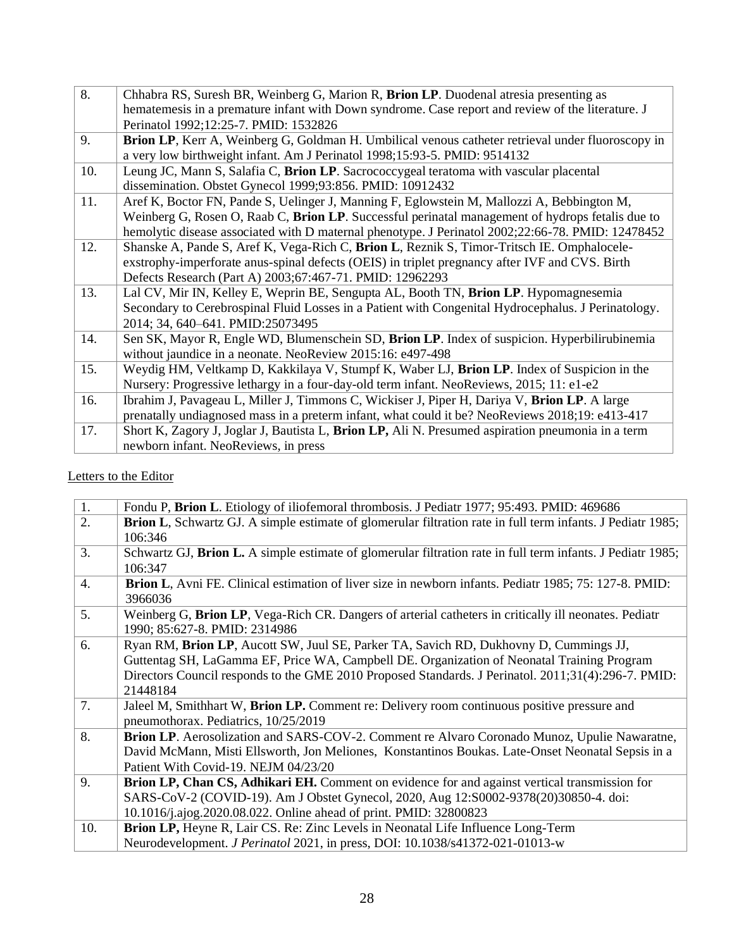| 8.  | Chhabra RS, Suresh BR, Weinberg G, Marion R, Brion LP. Duodenal atresia presenting as               |
|-----|-----------------------------------------------------------------------------------------------------|
|     | hematemesis in a premature infant with Down syndrome. Case report and review of the literature. J   |
|     | Perinatol 1992;12:25-7. PMID: 1532826                                                               |
| 9.  | Brion LP, Kerr A, Weinberg G, Goldman H. Umbilical venous catheter retrieval under fluoroscopy in   |
|     | a very low birthweight infant. Am J Perinatol 1998;15:93-5. PMID: 9514132                           |
| 10. | Leung JC, Mann S, Salafia C, Brion LP. Sacrococcygeal teratoma with vascular placental              |
|     | dissemination. Obstet Gynecol 1999;93:856. PMID: 10912432                                           |
| 11. | Aref K, Boctor FN, Pande S, Uelinger J, Manning F, Eglowstein M, Mallozzi A, Bebbington M,          |
|     | Weinberg G, Rosen O, Raab C, Brion LP. Successful perinatal management of hydrops fetalis due to    |
|     | hemolytic disease associated with D maternal phenotype. J Perinatol 2002;22:66-78. PMID: 12478452   |
| 12. | Shanske A, Pande S, Aref K, Vega-Rich C, Brion L, Reznik S, Timor-Tritsch IE. Omphalocele-          |
|     | exstrophy-imperforate anus-spinal defects (OEIS) in triplet pregnancy after IVF and CVS. Birth      |
|     | Defects Research (Part A) 2003;67:467-71. PMID: 12962293                                            |
| 13. | Lal CV, Mir IN, Kelley E, Weprin BE, Sengupta AL, Booth TN, Brion LP. Hypomagnesemia                |
|     | Secondary to Cerebrospinal Fluid Losses in a Patient with Congenital Hydrocephalus. J Perinatology. |
|     | 2014; 34, 640-641. PMID:25073495                                                                    |
| 14. | Sen SK, Mayor R, Engle WD, Blumenschein SD, Brion LP. Index of suspicion. Hyperbilirubinemia        |
|     | without jaundice in a neonate. NeoReview 2015:16: e497-498                                          |
| 15. | Weydig HM, Veltkamp D, Kakkilaya V, Stumpf K, Waber LJ, Brion LP. Index of Suspicion in the         |
|     | Nursery: Progressive lethargy in a four-day-old term infant. NeoReviews, 2015; 11: e1-e2            |
| 16. | Ibrahim J, Pavageau L, Miller J, Timmons C, Wickiser J, Piper H, Dariya V, Brion LP. A large        |
|     | prenatally undiagnosed mass in a preterm infant, what could it be? NeoReviews 2018;19: e413-417     |
| 17. | Short K, Zagory J, Joglar J, Bautista L, Brion LP, Ali N. Presumed aspiration pneumonia in a term   |
|     | newborn infant. NeoReviews, in press                                                                |
|     |                                                                                                     |

# Letters to the Editor

| 1.               | Fondu P, Brion L. Etiology of iliofemoral thrombosis. J Pediatr 1977; 95:493. PMID: 469686                                             |
|------------------|----------------------------------------------------------------------------------------------------------------------------------------|
| 2.               | <b>Brion L</b> , Schwartz GJ. A simple estimate of glomerular filtration rate in full term infants. J Pediatr 1985;                    |
|                  | 106:346                                                                                                                                |
| 3.               | Schwartz GJ, Brion L. A simple estimate of glomerular filtration rate in full term infants. J Pediatr 1985;                            |
|                  | 106:347                                                                                                                                |
| $\overline{4}$ . | Brion L, Avni FE. Clinical estimation of liver size in newborn infants. Pediatr 1985; 75: 127-8. PMID:<br>3966036                      |
| 5.               | Weinberg G, Brion LP, Vega-Rich CR. Dangers of arterial catheters in critically ill neonates. Pediatr<br>1990; 85:627-8. PMID: 2314986 |
| 6.               | Ryan RM, Brion LP, Aucott SW, Juul SE, Parker TA, Savich RD, Dukhovny D, Cummings JJ,                                                  |
|                  | Guttentag SH, LaGamma EF, Price WA, Campbell DE. Organization of Neonatal Training Program                                             |
|                  | Directors Council responds to the GME 2010 Proposed Standards. J Perinatol. 2011;31(4):296-7. PMID:                                    |
|                  | 21448184                                                                                                                               |
| 7.               | Jaleel M, Smithhart W, Brion LP. Comment re: Delivery room continuous positive pressure and                                            |
|                  | pneumothorax. Pediatrics, 10/25/2019                                                                                                   |
| 8.               | Brion LP. Aerosolization and SARS-COV-2. Comment re Alvaro Coronado Munoz, Upulie Nawaratne,                                           |
|                  | David McMann, Misti Ellsworth, Jon Meliones, Konstantinos Boukas. Late-Onset Neonatal Sepsis in a                                      |
|                  | Patient With Covid-19. NEJM 04/23/20                                                                                                   |
| 9.               | Brion LP, Chan CS, Adhikari EH. Comment on evidence for and against vertical transmission for                                          |
|                  | SARS-CoV-2 (COVID-19). Am J Obstet Gynecol, 2020, Aug 12:S0002-9378(20)30850-4. doi:                                                   |
|                  | 10.1016/j.ajog.2020.08.022. Online ahead of print. PMID: 32800823                                                                      |
| 10.              | Brion LP, Heyne R, Lair CS. Re: Zinc Levels in Neonatal Life Influence Long-Term                                                       |
|                  | Neurodevelopment. <i>J Perinatol</i> 2021, in press, DOI: 10.1038/s41372-021-01013-w                                                   |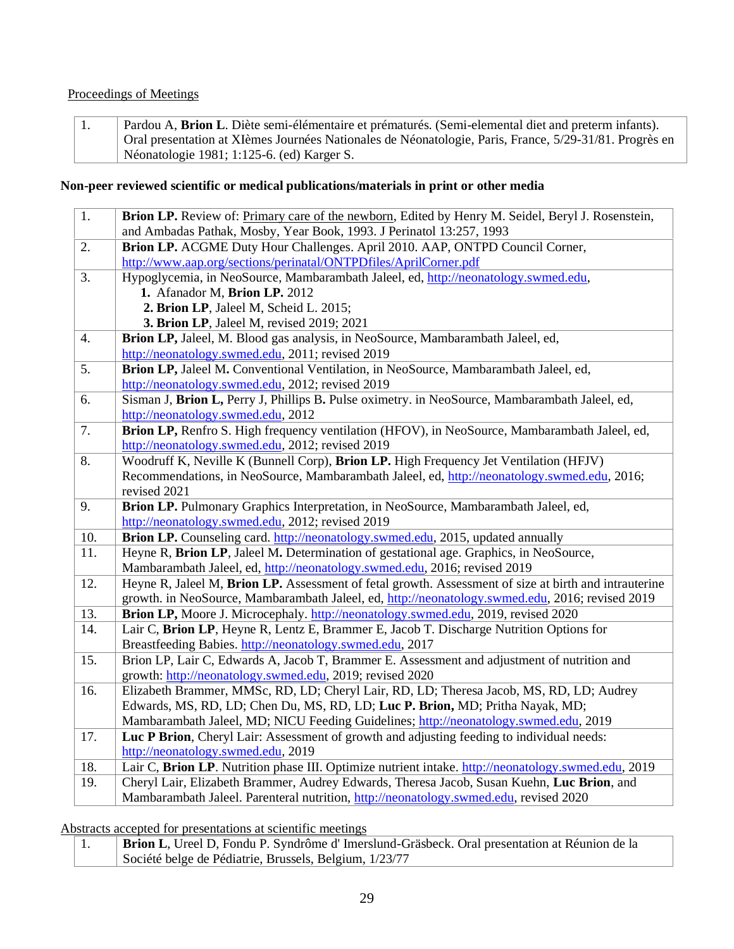#### Proceedings of Meetings

1. Pardou A, **Brion L**. Diète semi-élémentaire et prématurés. (Semi-elemental diet and preterm infants). Oral presentation at XIèmes Journées Nationales de Néonatologie, Paris, France, 5/29-31/81. Progrès en Néonatologie 1981; 1:125-6. (ed) Karger S.

#### **Non-peer reviewed scientific or medical publications/materials in print or other media**

| 1.  | Brion LP. Review of: Primary care of the newborn, Edited by Henry M. Seidel, Beryl J. Rosenstein,     |
|-----|-------------------------------------------------------------------------------------------------------|
|     | and Ambadas Pathak, Mosby, Year Book, 1993. J Perinatol 13:257, 1993                                  |
| 2.  | Brion LP. ACGME Duty Hour Challenges. April 2010. AAP, ONTPD Council Corner,                          |
|     | http://www.aap.org/sections/perinatal/ONTPDfiles/AprilCorner.pdf                                      |
| 3.  | Hypoglycemia, in NeoSource, Mambarambath Jaleel, ed, http://neonatology.swmed.edu,                    |
|     | 1. Afanador M, Brion LP. 2012                                                                         |
|     | 2. Brion LP, Jaleel M, Scheid L. 2015;                                                                |
|     | 3. Brion LP, Jaleel M, revised 2019; 2021                                                             |
| 4.  | Brion LP, Jaleel, M. Blood gas analysis, in NeoSource, Mambarambath Jaleel, ed,                       |
|     | http://neonatology.swmed.edu, 2011; revised 2019                                                      |
| 5.  | Brion LP, Jaleel M. Conventional Ventilation, in NeoSource, Mambarambath Jaleel, ed,                  |
|     | http://neonatology.swmed.edu, 2012; revised 2019                                                      |
| 6.  | Sisman J, Brion L, Perry J, Phillips B. Pulse oximetry. in NeoSource, Mambarambath Jaleel, ed,        |
|     | http://neonatology.swmed.edu, 2012                                                                    |
| 7.  | Brion LP, Renfro S. High frequency ventilation (HFOV), in NeoSource, Mambarambath Jaleel, ed,         |
|     | http://neonatology.swmed.edu, 2012; revised 2019                                                      |
| 8.  | Woodruff K, Neville K (Bunnell Corp), Brion LP. High Frequency Jet Ventilation (HFJV)                 |
|     | Recommendations, in NeoSource, Mambarambath Jaleel, ed, http://neonatology.swmed.edu, 2016;           |
|     | revised 2021                                                                                          |
| 9.  | Brion LP. Pulmonary Graphics Interpretation, in NeoSource, Mambarambath Jaleel, ed,                   |
|     | http://neonatology.swmed.edu, 2012; revised 2019                                                      |
| 10. | Brion LP. Counseling card. http://neonatology.swmed.edu, 2015, updated annually                       |
| 11. | Heyne R, Brion LP, Jaleel M. Determination of gestational age. Graphics, in NeoSource,                |
|     | Mambarambath Jaleel, ed, http://neonatology.swmed.edu, 2016; revised 2019                             |
| 12. | Heyne R, Jaleel M, Brion LP. Assessment of fetal growth. Assessment of size at birth and intrauterine |
|     | growth. in NeoSource, Mambarambath Jaleel, ed, http://neonatology.swmed.edu, 2016; revised 2019       |
| 13. | Brion LP, Moore J. Microcephaly. http://neonatology.swmed.edu, 2019, revised 2020                     |
| 14. | Lair C, Brion LP, Heyne R, Lentz E, Brammer E, Jacob T. Discharge Nutrition Options for               |
|     | Breastfeeding Babies. http://neonatology.swmed.edu, 2017                                              |
| 15. | Brion LP, Lair C, Edwards A, Jacob T, Brammer E. Assessment and adjustment of nutrition and           |
|     | growth: http://neonatology.swmed.edu, 2019; revised 2020                                              |
| 16. | Elizabeth Brammer, MMSc, RD, LD; Cheryl Lair, RD, LD; Theresa Jacob, MS, RD, LD; Audrey               |
|     | Edwards, MS, RD, LD; Chen Du, MS, RD, LD; Luc P. Brion, MD; Pritha Nayak, MD;                         |
|     | Mambarambath Jaleel, MD; NICU Feeding Guidelines; http://neonatology.swmed.edu, 2019                  |
| 17. | Luc P Brion, Cheryl Lair: Assessment of growth and adjusting feeding to individual needs:             |
|     | http://neonatology.swmed.edu, 2019                                                                    |
| 18. | Lair C, Brion LP. Nutrition phase III. Optimize nutrient intake. http://neonatology.swmed.edu, 2019   |
| 19. | Cheryl Lair, Elizabeth Brammer, Audrey Edwards, Theresa Jacob, Susan Kuehn, Luc Brion, and            |
|     | Mambarambath Jaleel. Parenteral nutrition, http://neonatology.swmed.edu, revised 2020                 |

Abstracts accepted for presentations at scientific meetings

1. **Brion L**, Ureel D, Fondu P. Syndrôme d' Imerslund-Gräsbeck. Oral presentation at Réunion de la Société belge de Pédiatrie, Brussels, Belgium, 1/23/77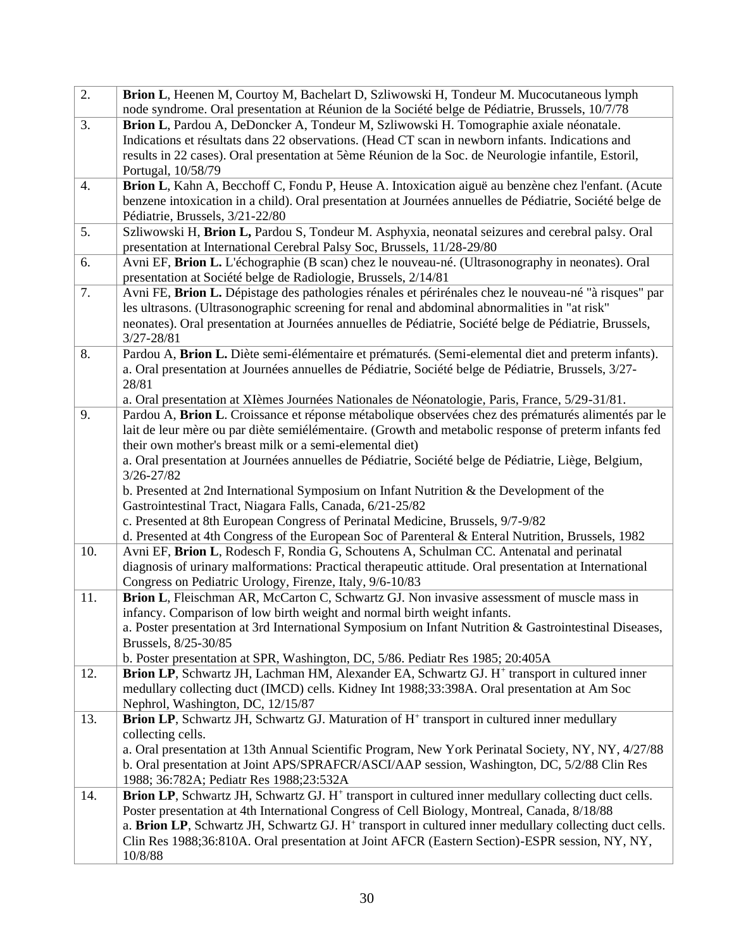| 2.  | Brion L, Heenen M, Courtoy M, Bachelart D, Szliwowski H, Tondeur M. Mucocutaneous lymph<br>node syndrome. Oral presentation at Réunion de la Société belge de Pédiatrie, Brussels, 10/7/78                                                                                                                                                                                                                                                                                                                                                                                                                                                    |
|-----|-----------------------------------------------------------------------------------------------------------------------------------------------------------------------------------------------------------------------------------------------------------------------------------------------------------------------------------------------------------------------------------------------------------------------------------------------------------------------------------------------------------------------------------------------------------------------------------------------------------------------------------------------|
| 3.  | Brion L, Pardou A, DeDoncker A, Tondeur M, Szliwowski H. Tomographie axiale néonatale.<br>Indications et résultats dans 22 observations. (Head CT scan in newborn infants. Indications and<br>results in 22 cases). Oral presentation at 5ème Réunion de la Soc. de Neurologie infantile, Estoril,<br>Portugal, 10/58/79                                                                                                                                                                                                                                                                                                                      |
| 4.  | Brion L, Kahn A, Becchoff C, Fondu P, Heuse A. Intoxication aiguë au benzène chez l'enfant. (Acute<br>benzene intoxication in a child). Oral presentation at Journées annuelles de Pédiatrie, Société belge de<br>Pédiatrie, Brussels, 3/21-22/80                                                                                                                                                                                                                                                                                                                                                                                             |
| 5.  | Szliwowski H, Brion L, Pardou S, Tondeur M. Asphyxia, neonatal seizures and cerebral palsy. Oral<br>presentation at International Cerebral Palsy Soc, Brussels, 11/28-29/80                                                                                                                                                                                                                                                                                                                                                                                                                                                                   |
| 6.  | Avni EF, Brion L. L'échographie (B scan) chez le nouveau-né. (Ultrasonography in neonates). Oral<br>presentation at Société belge de Radiologie, Brussels, 2/14/81                                                                                                                                                                                                                                                                                                                                                                                                                                                                            |
| 7.  | Avni FE, Brion L. Dépistage des pathologies rénales et périrénales chez le nouveau-né "à risques" par<br>les ultrasons. (Ultrasonographic screening for renal and abdominal abnormalities in "at risk"<br>neonates). Oral presentation at Journées annuelles de Pédiatrie, Société belge de Pédiatrie, Brussels,<br>$3/27 - 28/81$                                                                                                                                                                                                                                                                                                            |
| 8.  | Pardou A, Brion L. Diète semi-élémentaire et prématurés. (Semi-elemental diet and preterm infants).<br>a. Oral presentation at Journées annuelles de Pédiatrie, Société belge de Pédiatrie, Brussels, 3/27-<br>28/81<br>a. Oral presentation at XIèmes Journées Nationales de Néonatologie, Paris, France, 5/29-31/81.                                                                                                                                                                                                                                                                                                                        |
| 9.  | Pardou A, Brion L. Croissance et réponse métabolique observées chez des prématurés alimentés par le<br>lait de leur mère ou par diète semiélémentaire. (Growth and metabolic response of preterm infants fed<br>their own mother's breast milk or a semi-elemental diet)<br>a. Oral presentation at Journées annuelles de Pédiatrie, Société belge de Pédiatrie, Liège, Belgium,<br>3/26-27/82<br>b. Presented at 2nd International Symposium on Infant Nutrition $\&$ the Development of the<br>Gastrointestinal Tract, Niagara Falls, Canada, 6/21-25/82<br>c. Presented at 8th European Congress of Perinatal Medicine, Brussels, 9/7-9/82 |
|     | d. Presented at 4th Congress of the European Soc of Parenteral & Enteral Nutrition, Brussels, 1982                                                                                                                                                                                                                                                                                                                                                                                                                                                                                                                                            |
| 10. | Avni EF, Brion L, Rodesch F, Rondia G, Schoutens A, Schulman CC. Antenatal and perinatal<br>diagnosis of urinary malformations: Practical therapeutic attitude. Oral presentation at International<br>Congress on Pediatric Urology, Firenze, Italy, 9/6-10/83                                                                                                                                                                                                                                                                                                                                                                                |
| 11. | Brion L, Fleischman AR, McCarton C, Schwartz GJ. Non invasive assessment of muscle mass in<br>infancy. Comparison of low birth weight and normal birth weight infants.<br>a. Poster presentation at 3rd International Symposium on Infant Nutrition & Gastrointestinal Diseases,<br>Brussels, 8/25-30/85<br>b. Poster presentation at SPR, Washington, DC, 5/86. Pediatr Res 1985; 20:405A                                                                                                                                                                                                                                                    |
| 12. | Brion LP, Schwartz JH, Lachman HM, Alexander EA, Schwartz GJ. H <sup>+</sup> transport in cultured inner<br>medullary collecting duct (IMCD) cells. Kidney Int 1988;33:398A. Oral presentation at Am Soc<br>Nephrol, Washington, DC, 12/15/87                                                                                                                                                                                                                                                                                                                                                                                                 |
| 13. | <b>Brion LP</b> , Schwartz JH, Schwartz GJ. Maturation of H <sup>+</sup> transport in cultured inner medullary<br>collecting cells.<br>a. Oral presentation at 13th Annual Scientific Program, New York Perinatal Society, NY, NY, 4/27/88<br>b. Oral presentation at Joint APS/SPRAFCR/ASCI/AAP session, Washington, DC, 5/2/88 Clin Res<br>1988; 36:782A; Pediatr Res 1988; 23:532A                                                                                                                                                                                                                                                         |
| 14. | <b>Brion LP</b> , Schwartz JH, Schwartz GJ. H <sup>+</sup> transport in cultured inner medullary collecting duct cells.<br>Poster presentation at 4th International Congress of Cell Biology, Montreal, Canada, 8/18/88<br>a. Brion LP, Schwartz JH, Schwartz GJ. H <sup>+</sup> transport in cultured inner medullary collecting duct cells.<br>Clin Res 1988;36:810A. Oral presentation at Joint AFCR (Eastern Section)-ESPR session, NY, NY,<br>10/8/88                                                                                                                                                                                    |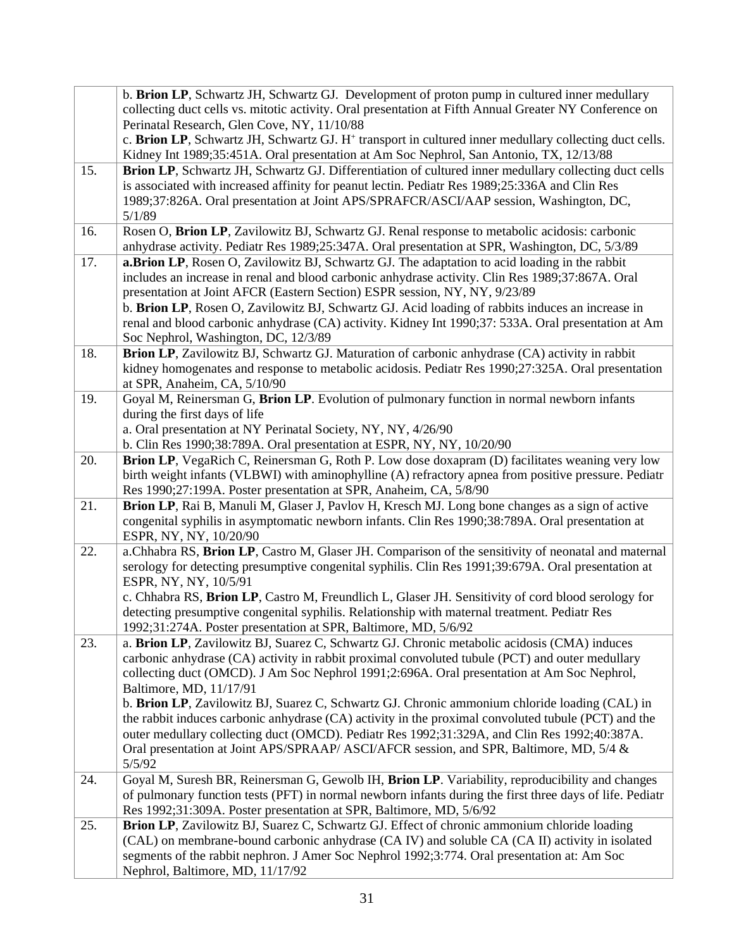|     | b. Brion LP, Schwartz JH, Schwartz GJ. Development of proton pump in cultured inner medullary                                                                                                                 |
|-----|---------------------------------------------------------------------------------------------------------------------------------------------------------------------------------------------------------------|
|     | collecting duct cells vs. mitotic activity. Oral presentation at Fifth Annual Greater NY Conference on                                                                                                        |
|     | Perinatal Research, Glen Cove, NY, 11/10/88                                                                                                                                                                   |
|     | c. Brion LP, Schwartz JH, Schwartz GJ. H <sup>+</sup> transport in cultured inner medullary collecting duct cells.<br>Kidney Int 1989;35:451A. Oral presentation at Am Soc Nephrol, San Antonio, TX, 12/13/88 |
| 15. | Brion LP, Schwartz JH, Schwartz GJ. Differentiation of cultured inner medullary collecting duct cells                                                                                                         |
|     | is associated with increased affinity for peanut lectin. Pediatr Res 1989;25:336A and Clin Res                                                                                                                |
|     | 1989;37:826A. Oral presentation at Joint APS/SPRAFCR/ASCI/AAP session, Washington, DC,                                                                                                                        |
|     | 5/1/89                                                                                                                                                                                                        |
| 16. | Rosen O, Brion LP, Zavilowitz BJ, Schwartz GJ. Renal response to metabolic acidosis: carbonic                                                                                                                 |
|     | anhydrase activity. Pediatr Res 1989;25:347A. Oral presentation at SPR, Washington, DC, 5/3/89                                                                                                                |
| 17. | a.Brion LP, Rosen O, Zavilowitz BJ, Schwartz GJ. The adaptation to acid loading in the rabbit                                                                                                                 |
|     | includes an increase in renal and blood carbonic anhydrase activity. Clin Res 1989;37:867A. Oral                                                                                                              |
|     | presentation at Joint AFCR (Eastern Section) ESPR session, NY, NY, 9/23/89                                                                                                                                    |
|     | b. Brion LP, Rosen O, Zavilowitz BJ, Schwartz GJ. Acid loading of rabbits induces an increase in                                                                                                              |
|     | renal and blood carbonic anhydrase (CA) activity. Kidney Int 1990;37: 533A. Oral presentation at Am                                                                                                           |
| 18. | Soc Nephrol, Washington, DC, 12/3/89<br>Brion LP, Zavilowitz BJ, Schwartz GJ. Maturation of carbonic anhydrase (CA) activity in rabbit                                                                        |
|     | kidney homogenates and response to metabolic acidosis. Pediatr Res 1990;27:325A. Oral presentation                                                                                                            |
|     | at SPR, Anaheim, CA, 5/10/90                                                                                                                                                                                  |
| 19. | Goyal M, Reinersman G, Brion LP. Evolution of pulmonary function in normal newborn infants                                                                                                                    |
|     | during the first days of life                                                                                                                                                                                 |
|     | a. Oral presentation at NY Perinatal Society, NY, NY, 4/26/90                                                                                                                                                 |
|     | b. Clin Res 1990;38:789A. Oral presentation at ESPR, NY, NY, 10/20/90                                                                                                                                         |
| 20. | Brion LP, VegaRich C, Reinersman G, Roth P. Low dose doxapram (D) facilitates weaning very low                                                                                                                |
|     | birth weight infants (VLBWI) with aminophylline (A) refractory apnea from positive pressure. Pediatr                                                                                                          |
|     | Res 1990;27:199A. Poster presentation at SPR, Anaheim, CA, 5/8/90                                                                                                                                             |
| 21. | Brion LP, Rai B, Manuli M, Glaser J, Pavlov H, Kresch MJ. Long bone changes as a sign of active                                                                                                               |
|     | congenital syphilis in asymptomatic newborn infants. Clin Res 1990;38:789A. Oral presentation at                                                                                                              |
|     | ESPR, NY, NY, 10/20/90                                                                                                                                                                                        |
| 22. | a.Chhabra RS, Brion LP, Castro M, Glaser JH. Comparison of the sensitivity of neonatal and maternal                                                                                                           |
|     | serology for detecting presumptive congenital syphilis. Clin Res 1991;39:679A. Oral presentation at                                                                                                           |
|     | ESPR, NY, NY, 10/5/91<br>c. Chhabra RS, Brion LP, Castro M, Freundlich L, Glaser JH. Sensitivity of cord blood serology for                                                                                   |
|     | detecting presumptive congenital syphilis. Relationship with maternal treatment. Pediatr Res                                                                                                                  |
|     | 1992;31:274A. Poster presentation at SPR, Baltimore, MD, 5/6/92                                                                                                                                               |
| 23. | a. Brion LP, Zavilowitz BJ, Suarez C, Schwartz GJ. Chronic metabolic acidosis (CMA) induces                                                                                                                   |
|     | carbonic anhydrase (CA) activity in rabbit proximal convoluted tubule (PCT) and outer medullary                                                                                                               |
|     | collecting duct (OMCD). J Am Soc Nephrol 1991;2:696A. Oral presentation at Am Soc Nephrol,                                                                                                                    |
|     | Baltimore, MD, 11/17/91                                                                                                                                                                                       |
|     | b. Brion LP, Zavilowitz BJ, Suarez C, Schwartz GJ. Chronic ammonium chloride loading (CAL) in                                                                                                                 |
|     | the rabbit induces carbonic anhydrase (CA) activity in the proximal convoluted tubule (PCT) and the                                                                                                           |
|     | outer medullary collecting duct (OMCD). Pediatr Res 1992;31:329A, and Clin Res 1992;40:387A.                                                                                                                  |
|     | Oral presentation at Joint APS/SPRAAP/ ASCI/AFCR session, and SPR, Baltimore, MD, 5/4 &                                                                                                                       |
|     | 5/5/92                                                                                                                                                                                                        |
| 24. | Goyal M, Suresh BR, Reinersman G, Gewolb IH, Brion LP. Variability, reproducibility and changes                                                                                                               |
|     | of pulmonary function tests (PFT) in normal newborn infants during the first three days of life. Pediatr                                                                                                      |
|     | Res 1992;31:309A. Poster presentation at SPR, Baltimore, MD, 5/6/92                                                                                                                                           |
| 25. | Brion LP, Zavilowitz BJ, Suarez C, Schwartz GJ. Effect of chronic ammonium chloride loading                                                                                                                   |
|     | (CAL) on membrane-bound carbonic anhydrase (CA IV) and soluble CA (CA II) activity in isolated                                                                                                                |
|     | segments of the rabbit nephron. J Amer Soc Nephrol 1992;3:774. Oral presentation at: Am Soc<br>Nephrol, Baltimore, MD, 11/17/92                                                                               |
|     |                                                                                                                                                                                                               |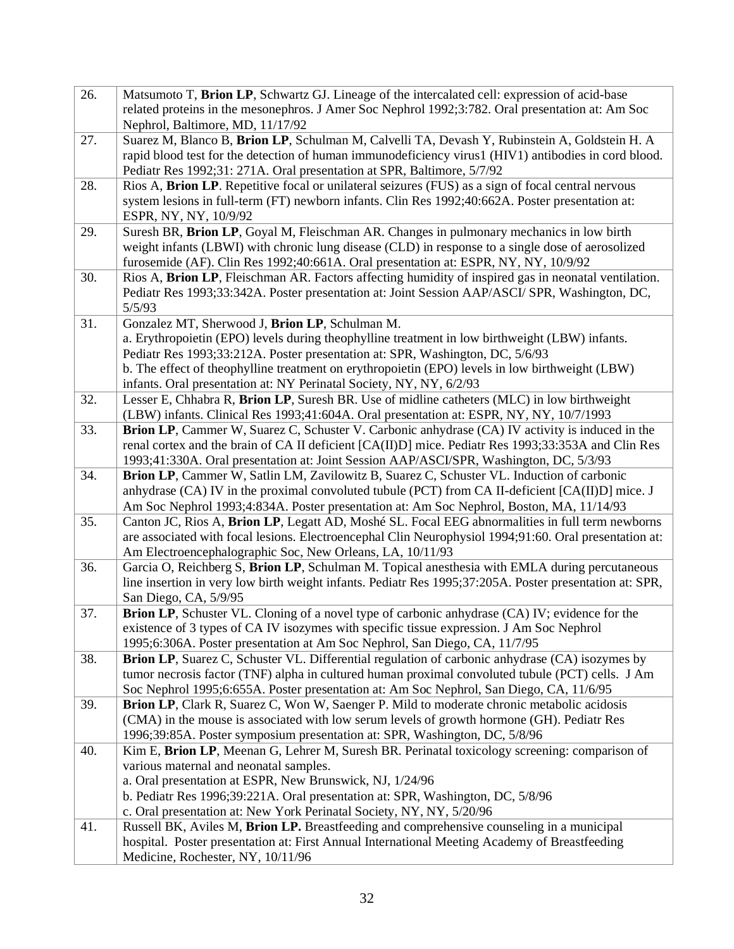| 26. | Matsumoto T, Brion LP, Schwartz GJ. Lineage of the intercalated cell: expression of acid-base                                    |
|-----|----------------------------------------------------------------------------------------------------------------------------------|
|     | related proteins in the mesonephros. J Amer Soc Nephrol 1992;3:782. Oral presentation at: Am Soc                                 |
|     | Nephrol, Baltimore, MD, 11/17/92                                                                                                 |
| 27. | Suarez M, Blanco B, Brion LP, Schulman M, Calvelli TA, Devash Y, Rubinstein A, Goldstein H. A                                    |
|     | rapid blood test for the detection of human immunodeficiency virus1 (HIV1) antibodies in cord blood.                             |
|     | Pediatr Res 1992;31: 271A. Oral presentation at SPR, Baltimore, 5/7/92                                                           |
| 28. | Rios A, Brion LP. Repetitive focal or unilateral seizures (FUS) as a sign of focal central nervous                               |
|     | system lesions in full-term (FT) newborn infants. Clin Res 1992;40:662A. Poster presentation at:                                 |
|     | ESPR, NY, NY, 10/9/92                                                                                                            |
| 29. | Suresh BR, Brion LP, Goyal M, Fleischman AR. Changes in pulmonary mechanics in low birth                                         |
|     | weight infants (LBWI) with chronic lung disease (CLD) in response to a single dose of aerosolized                                |
|     | furosemide (AF). Clin Res 1992;40:661A. Oral presentation at: ESPR, NY, NY, 10/9/92                                              |
| 30. | Rios A, Brion LP, Fleischman AR. Factors affecting humidity of inspired gas in neonatal ventilation.                             |
|     | Pediatr Res 1993;33:342A. Poster presentation at: Joint Session AAP/ASCI/ SPR, Washington, DC,                                   |
|     | 5/5/93                                                                                                                           |
| 31. | Gonzalez MT, Sherwood J, Brion LP, Schulman M.                                                                                   |
|     | a. Erythropoietin (EPO) levels during theophylline treatment in low birthweight (LBW) infants.                                   |
|     | Pediatr Res 1993;33:212A. Poster presentation at: SPR, Washington, DC, 5/6/93                                                    |
|     | b. The effect of theophylline treatment on erythropoietin (EPO) levels in low birthweight (LBW)                                  |
|     | infants. Oral presentation at: NY Perinatal Society, NY, NY, 6/2/93                                                              |
| 32. | Lesser E, Chhabra R, Brion LP, Suresh BR. Use of midline catheters (MLC) in low birthweight                                      |
|     | (LBW) infants. Clinical Res 1993;41:604A. Oral presentation at: ESPR, NY, NY, 10/7/1993                                          |
| 33. | Brion LP, Cammer W, Suarez C, Schuster V. Carbonic anhydrase (CA) IV activity is induced in the                                  |
|     | renal cortex and the brain of CA II deficient [CA(II)D] mice. Pediatr Res 1993;33:353A and Clin Res                              |
|     | 1993;41:330A. Oral presentation at: Joint Session AAP/ASCI/SPR, Washington, DC, 5/3/93                                           |
| 34. | Brion LP, Cammer W, Satlin LM, Zavilowitz B, Suarez C, Schuster VL. Induction of carbonic                                        |
|     | anhydrase (CA) IV in the proximal convoluted tubule (PCT) from CA II-deficient [CA(II)D] mice. J                                 |
|     | Am Soc Nephrol 1993;4:834A. Poster presentation at: Am Soc Nephrol, Boston, MA, 11/14/93                                         |
| 35. | Canton JC, Rios A, Brion LP, Legatt AD, Moshé SL. Focal EEG abnormalities in full term newborns                                  |
|     | are associated with focal lesions. Electroencephal Clin Neurophysiol 1994;91:60. Oral presentation at:                           |
|     | Am Electroencephalographic Soc, New Orleans, LA, 10/11/93                                                                        |
| 36. | Garcia O, Reichberg S, Brion LP, Schulman M. Topical anesthesia with EMLA during percutaneous                                    |
|     | line insertion in very low birth weight infants. Pediatr Res 1995;37:205A. Poster presentation at: SPR,<br>San Diego, CA, 5/9/95 |
| 37. | Brion LP, Schuster VL. Cloning of a novel type of carbonic anhydrase (CA) IV; evidence for the                                   |
|     | existence of 3 types of CA IV isozymes with specific tissue expression. J Am Soc Nephrol                                         |
|     | 1995;6:306A. Poster presentation at Am Soc Nephrol, San Diego, CA, 11/7/95                                                       |
| 38. | Brion LP, Suarez C, Schuster VL. Differential regulation of carbonic anhydrase (CA) isozymes by                                  |
|     | tumor necrosis factor (TNF) alpha in cultured human proximal convoluted tubule (PCT) cells. J Am                                 |
|     | Soc Nephrol 1995;6:655A. Poster presentation at: Am Soc Nephrol, San Diego, CA, 11/6/95                                          |
| 39. | Brion LP, Clark R, Suarez C, Won W, Saenger P. Mild to moderate chronic metabolic acidosis                                       |
|     | (CMA) in the mouse is associated with low serum levels of growth hormone (GH). Pediatr Res                                       |
|     | 1996;39:85A. Poster symposium presentation at: SPR, Washington, DC, 5/8/96                                                       |
| 40. | Kim E, Brion LP, Meenan G, Lehrer M, Suresh BR. Perinatal toxicology screening: comparison of                                    |
|     | various maternal and neonatal samples.                                                                                           |
|     | a. Oral presentation at ESPR, New Brunswick, NJ, 1/24/96                                                                         |
|     | b. Pediatr Res 1996;39:221A. Oral presentation at: SPR, Washington, DC, 5/8/96                                                   |
|     | c. Oral presentation at: New York Perinatal Society, NY, NY, 5/20/96                                                             |
| 41. | Russell BK, Aviles M, Brion LP. Breastfeeding and comprehensive counseling in a municipal                                        |
|     | hospital. Poster presentation at: First Annual International Meeting Academy of Breastfeeding                                    |
|     | Medicine, Rochester, NY, 10/11/96                                                                                                |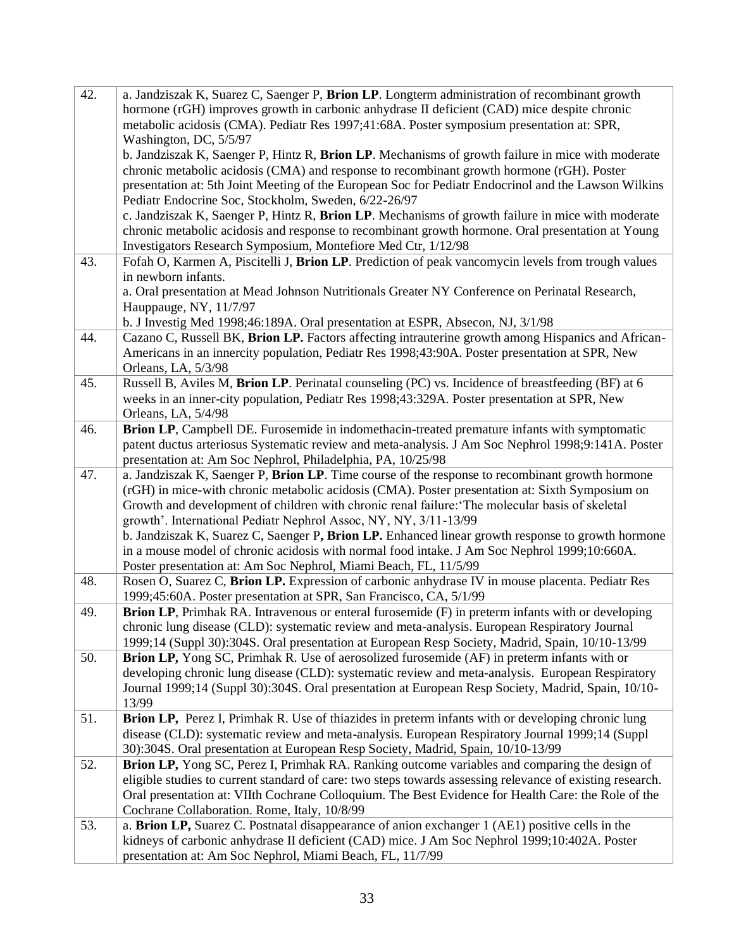| 42. | a. Jandziszak K, Suarez C, Saenger P, Brion LP. Longterm administration of recombinant growth             |
|-----|-----------------------------------------------------------------------------------------------------------|
|     | hormone (rGH) improves growth in carbonic anhydrase II deficient (CAD) mice despite chronic               |
|     | metabolic acidosis (CMA). Pediatr Res 1997;41:68A. Poster symposium presentation at: SPR,                 |
|     | Washington, DC, 5/5/97                                                                                    |
|     | b. Jandziszak K, Saenger P, Hintz R, Brion LP. Mechanisms of growth failure in mice with moderate         |
|     | chronic metabolic acidosis (CMA) and response to recombinant growth hormone (rGH). Poster                 |
|     | presentation at: 5th Joint Meeting of the European Soc for Pediatr Endocrinol and the Lawson Wilkins      |
|     | Pediatr Endocrine Soc, Stockholm, Sweden, 6/22-26/97                                                      |
|     | c. Jandziszak K, Saenger P, Hintz R, Brion LP. Mechanisms of growth failure in mice with moderate         |
|     | chronic metabolic acidosis and response to recombinant growth hormone. Oral presentation at Young         |
|     | Investigators Research Symposium, Montefiore Med Ctr, 1/12/98                                             |
| 43. | Fofah O, Karmen A, Piscitelli J, Brion LP. Prediction of peak vancomycin levels from trough values        |
|     | in newborn infants.                                                                                       |
|     | a. Oral presentation at Mead Johnson Nutritionals Greater NY Conference on Perinatal Research,            |
|     | Hauppauge, NY, 11/7/97                                                                                    |
|     | b. J Investig Med 1998;46:189A. Oral presentation at ESPR, Absecon, NJ, 3/1/98                            |
| 44. | Cazano C, Russell BK, Brion LP. Factors affecting intrauterine growth among Hispanics and African-        |
|     | Americans in an innercity population, Pediatr Res 1998;43:90A. Poster presentation at SPR, New            |
|     | Orleans, LA, 5/3/98                                                                                       |
| 45. | Russell B, Aviles M, Brion LP. Perinatal counseling (PC) vs. Incidence of breastfeeding (BF) at 6         |
|     | weeks in an inner-city population, Pediatr Res 1998;43:329A. Poster presentation at SPR, New              |
|     | Orleans, LA, 5/4/98                                                                                       |
| 46. | Brion LP, Campbell DE. Furosemide in indomethacin-treated premature infants with symptomatic              |
|     | patent ductus arteriosus Systematic review and meta-analysis. J Am Soc Nephrol 1998;9:141A. Poster        |
|     | presentation at: Am Soc Nephrol, Philadelphia, PA, 10/25/98                                               |
| 47. | a. Jandziszak K, Saenger P, Brion LP. Time course of the response to recombinant growth hormone           |
|     | (rGH) in mice-with chronic metabolic acidosis (CMA). Poster presentation at: Sixth Symposium on           |
|     | Growth and development of children with chronic renal failure: 'The molecular basis of skeletal           |
|     | growth'. International Pediatr Nephrol Assoc, NY, NY, 3/11-13/99                                          |
|     | b. Jandziszak K, Suarez C, Saenger P, Brion LP. Enhanced linear growth response to growth hormone         |
|     | in a mouse model of chronic acidosis with normal food intake. J Am Soc Nephrol 1999;10:660A.              |
|     | Poster presentation at: Am Soc Nephrol, Miami Beach, FL, 11/5/99                                          |
| 48. | Rosen O, Suarez C, Brion LP. Expression of carbonic anhydrase IV in mouse placenta. Pediatr Res           |
|     | 1999;45:60A. Poster presentation at SPR, San Francisco, CA, 5/1/99                                        |
| 49. | <b>Brion LP</b> , Primhak RA. Intravenous or enteral furosemide (F) in preterm infants with or developing |
|     | chronic lung disease (CLD): systematic review and meta-analysis. European Respiratory Journal             |
|     | 1999;14 (Suppl 30):304S. Oral presentation at European Resp Society, Madrid, Spain, 10/10-13/99           |
| 50. | <b>Brion LP,</b> Yong SC, Primhak R. Use of aerosolized furosemide (AF) in preterm infants with or        |
|     | developing chronic lung disease (CLD): systematic review and meta-analysis. European Respiratory          |
|     | Journal 1999;14 (Suppl 30):304S. Oral presentation at European Resp Society, Madrid, Spain, 10/10-        |
|     | 13/99                                                                                                     |
| 51. | Brion LP, Perez I, Primhak R. Use of thiazides in preterm infants with or developing chronic lung         |
|     | disease (CLD): systematic review and meta-analysis. European Respiratory Journal 1999;14 (Suppl           |
|     | 30):304S. Oral presentation at European Resp Society, Madrid, Spain, 10/10-13/99                          |
| 52. | <b>Brion LP,</b> Yong SC, Perez I, Primhak RA. Ranking outcome variables and comparing the design of      |
|     | eligible studies to current standard of care: two steps towards assessing relevance of existing research. |
|     | Oral presentation at: VIIth Cochrane Colloquium. The Best Evidence for Health Care: the Role of the       |
|     | Cochrane Collaboration. Rome, Italy, 10/8/99                                                              |
| 53. | a. Brion LP, Suarez C. Postnatal disappearance of anion exchanger 1 (AE1) positive cells in the           |
|     | kidneys of carbonic anhydrase II deficient (CAD) mice. J Am Soc Nephrol 1999;10:402A. Poster              |
|     | presentation at: Am Soc Nephrol, Miami Beach, FL, 11/7/99                                                 |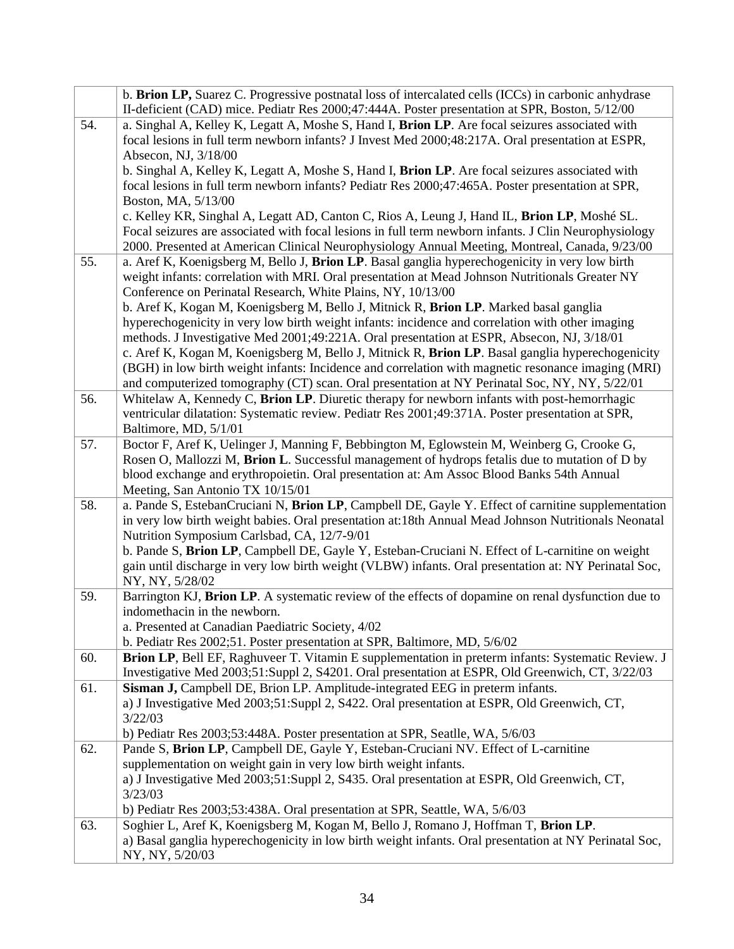|     | b. Brion LP, Suarez C. Progressive postnatal loss of intercalated cells (ICCs) in carbonic anhydrase                                                                                         |
|-----|----------------------------------------------------------------------------------------------------------------------------------------------------------------------------------------------|
|     | II-deficient (CAD) mice. Pediatr Res 2000;47:444A. Poster presentation at SPR, Boston, 5/12/00                                                                                               |
| 54. | a. Singhal A, Kelley K, Legatt A, Moshe S, Hand I, Brion LP. Are focal seizures associated with                                                                                              |
|     | focal lesions in full term newborn infants? J Invest Med 2000;48:217A. Oral presentation at ESPR,                                                                                            |
|     | Absecon, NJ, 3/18/00                                                                                                                                                                         |
|     | b. Singhal A, Kelley K, Legatt A, Moshe S, Hand I, Brion LP. Are focal seizures associated with                                                                                              |
|     | focal lesions in full term newborn infants? Pediatr Res 2000;47:465A. Poster presentation at SPR,                                                                                            |
|     | Boston, MA, 5/13/00                                                                                                                                                                          |
|     | c. Kelley KR, Singhal A, Legatt AD, Canton C, Rios A, Leung J, Hand IL, Brion LP, Moshé SL.                                                                                                  |
|     | Focal seizures are associated with focal lesions in full term newborn infants. J Clin Neurophysiology                                                                                        |
|     | 2000. Presented at American Clinical Neurophysiology Annual Meeting, Montreal, Canada, 9/23/00                                                                                               |
| 55. | a. Aref K, Koenigsberg M, Bello J, Brion LP. Basal ganglia hyperechogenicity in very low birth                                                                                               |
|     | weight infants: correlation with MRI. Oral presentation at Mead Johnson Nutritionals Greater NY                                                                                              |
|     | Conference on Perinatal Research, White Plains, NY, 10/13/00                                                                                                                                 |
|     | b. Aref K, Kogan M, Koenigsberg M, Bello J, Mitnick R, Brion LP. Marked basal ganglia                                                                                                        |
|     | hyperechogenicity in very low birth weight infants: incidence and correlation with other imaging                                                                                             |
|     | methods. J Investigative Med 2001;49:221A. Oral presentation at ESPR, Absecon, NJ, 3/18/01                                                                                                   |
|     | c. Aref K, Kogan M, Koenigsberg M, Bello J, Mitnick R, Brion LP. Basal ganglia hyperechogenicity                                                                                             |
|     | (BGH) in low birth weight infants: Incidence and correlation with magnetic resonance imaging (MRI)                                                                                           |
|     | and computerized tomography (CT) scan. Oral presentation at NY Perinatal Soc, NY, NY, 5/22/01<br>Whitelaw A, Kennedy C, Brion LP. Diuretic therapy for newborn infants with post-hemorrhagic |
| 56. | ventricular dilatation: Systematic review. Pediatr Res 2001;49:371A. Poster presentation at SPR,                                                                                             |
|     | Baltimore, MD, 5/1/01                                                                                                                                                                        |
| 57. | Boctor F, Aref K, Uelinger J, Manning F, Bebbington M, Eglowstein M, Weinberg G, Crooke G,                                                                                                   |
|     | Rosen O, Mallozzi M, Brion L. Successful management of hydrops fetalis due to mutation of D by                                                                                               |
|     | blood exchange and erythropoietin. Oral presentation at: Am Assoc Blood Banks 54th Annual                                                                                                    |
|     | Meeting, San Antonio TX 10/15/01                                                                                                                                                             |
| 58. | a. Pande S, EstebanCruciani N, Brion LP, Campbell DE, Gayle Y. Effect of carnitine supplementation                                                                                           |
|     | in very low birth weight babies. Oral presentation at:18th Annual Mead Johnson Nutritionals Neonatal                                                                                         |
|     | Nutrition Symposium Carlsbad, CA, 12/7-9/01                                                                                                                                                  |
|     | b. Pande S, Brion LP, Campbell DE, Gayle Y, Esteban-Cruciani N. Effect of L-carnitine on weight                                                                                              |
|     | gain until discharge in very low birth weight (VLBW) infants. Oral presentation at: NY Perinatal Soc,                                                                                        |
|     | NY, NY, 5/28/02                                                                                                                                                                              |
| 59. | Barrington KJ, Brion LP. A systematic review of the effects of dopamine on renal dysfunction due to                                                                                          |
|     | indomethacin in the newborn.                                                                                                                                                                 |
|     | a. Presented at Canadian Paediatric Society, 4/02                                                                                                                                            |
|     | b. Pediatr Res 2002;51. Poster presentation at SPR, Baltimore, MD, 5/6/02                                                                                                                    |
| 60. | Brion LP, Bell EF, Raghuveer T. Vitamin E supplementation in preterm infants: Systematic Review. J                                                                                           |
|     | Investigative Med 2003;51:Suppl 2, S4201. Oral presentation at ESPR, Old Greenwich, CT, 3/22/03                                                                                              |
| 61. | Sisman J, Campbell DE, Brion LP. Amplitude-integrated EEG in preterm infants.                                                                                                                |
|     | a) J Investigative Med 2003;51:Suppl 2, S422. Oral presentation at ESPR, Old Greenwich, CT,                                                                                                  |
|     | 3/22/03                                                                                                                                                                                      |
|     | b) Pediatr Res 2003;53:448A. Poster presentation at SPR, Seatlle, WA, 5/6/03<br>Pande S, Brion LP, Campbell DE, Gayle Y, Esteban-Cruciani NV. Effect of L-carnitine                          |
| 62. | supplementation on weight gain in very low birth weight infants.                                                                                                                             |
|     | a) J Investigative Med 2003;51:Suppl 2, S435. Oral presentation at ESPR, Old Greenwich, CT,                                                                                                  |
|     | 3/23/03                                                                                                                                                                                      |
|     | b) Pediatr Res 2003;53:438A. Oral presentation at SPR, Seattle, WA, 5/6/03                                                                                                                   |
| 63. | Soghier L, Aref K, Koenigsberg M, Kogan M, Bello J, Romano J, Hoffman T, Brion LP.                                                                                                           |
|     | a) Basal ganglia hyperechogenicity in low birth weight infants. Oral presentation at NY Perinatal Soc,                                                                                       |
|     | NY, NY, 5/20/03                                                                                                                                                                              |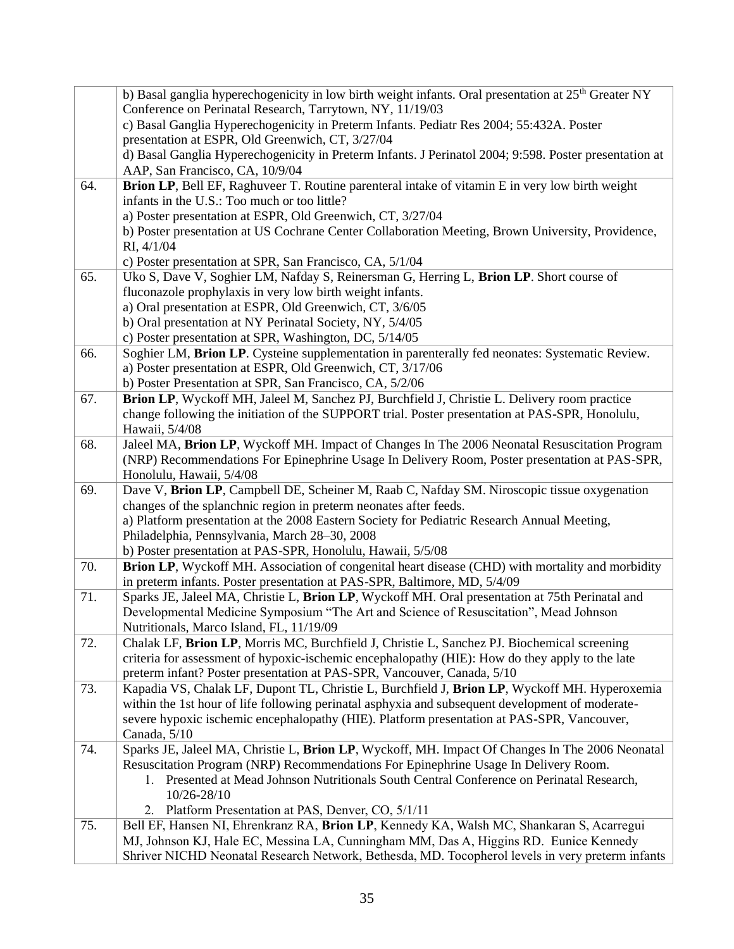|     | b) Basal ganglia hyperechogenicity in low birth weight infants. Oral presentation at 25 <sup>th</sup> Greater NY<br>Conference on Perinatal Research, Tarrytown, NY, 11/19/03            |
|-----|------------------------------------------------------------------------------------------------------------------------------------------------------------------------------------------|
|     | c) Basal Ganglia Hyperechogenicity in Preterm Infants. Pediatr Res 2004; 55:432A. Poster<br>presentation at ESPR, Old Greenwich, CT, 3/27/04                                             |
|     | d) Basal Ganglia Hyperechogenicity in Preterm Infants. J Perinatol 2004; 9:598. Poster presentation at<br>AAP, San Francisco, CA, 10/9/04                                                |
| 64. | Brion LP, Bell EF, Raghuveer T. Routine parenteral intake of vitamin E in very low birth weight                                                                                          |
|     | infants in the U.S.: Too much or too little?<br>a) Poster presentation at ESPR, Old Greenwich, CT, 3/27/04                                                                               |
|     | b) Poster presentation at US Cochrane Center Collaboration Meeting, Brown University, Providence,                                                                                        |
|     | RI, 4/1/04                                                                                                                                                                               |
|     | c) Poster presentation at SPR, San Francisco, CA, 5/1/04                                                                                                                                 |
| 65. | Uko S, Dave V, Soghier LM, Nafday S, Reinersman G, Herring L, Brion LP. Short course of                                                                                                  |
|     | fluconazole prophylaxis in very low birth weight infants.                                                                                                                                |
|     | a) Oral presentation at ESPR, Old Greenwich, CT, 3/6/05                                                                                                                                  |
|     | b) Oral presentation at NY Perinatal Society, NY, 5/4/05<br>c) Poster presentation at SPR, Washington, DC, 5/14/05                                                                       |
| 66. | Soghier LM, Brion LP. Cysteine supplementation in parenterally fed neonates: Systematic Review.                                                                                          |
|     | a) Poster presentation at ESPR, Old Greenwich, CT, 3/17/06                                                                                                                               |
|     | b) Poster Presentation at SPR, San Francisco, CA, 5/2/06                                                                                                                                 |
| 67. | Brion LP, Wyckoff MH, Jaleel M, Sanchez PJ, Burchfield J, Christie L. Delivery room practice                                                                                             |
|     | change following the initiation of the SUPPORT trial. Poster presentation at PAS-SPR, Honolulu,                                                                                          |
|     | Hawaii, 5/4/08                                                                                                                                                                           |
| 68. | Jaleel MA, Brion LP, Wyckoff MH. Impact of Changes In The 2006 Neonatal Resuscitation Program                                                                                            |
|     | (NRP) Recommendations For Epinephrine Usage In Delivery Room, Poster presentation at PAS-SPR,<br>Honolulu, Hawaii, 5/4/08                                                                |
| 69. | Dave V, Brion LP, Campbell DE, Scheiner M, Raab C, Nafday SM. Niroscopic tissue oxygenation                                                                                              |
|     | changes of the splanchnic region in preterm neonates after feeds.                                                                                                                        |
|     | a) Platform presentation at the 2008 Eastern Society for Pediatric Research Annual Meeting,                                                                                              |
|     | Philadelphia, Pennsylvania, March 28-30, 2008                                                                                                                                            |
|     | b) Poster presentation at PAS-SPR, Honolulu, Hawaii, 5/5/08                                                                                                                              |
| 70. | <b>Brion LP,</b> Wyckoff MH. Association of congenital heart disease (CHD) with mortality and morbidity                                                                                  |
|     | in preterm infants. Poster presentation at PAS-SPR, Baltimore, MD, 5/4/09                                                                                                                |
| 71. | Sparks JE, Jaleel MA, Christie L, Brion LP, Wyckoff MH. Oral presentation at 75th Perinatal and<br>Developmental Medicine Symposium "The Art and Science of Resuscitation", Mead Johnson |
|     | Nutritionals, Marco Island, FL, 11/19/09                                                                                                                                                 |
| 72. | Chalak LF, Brion LP, Morris MC, Burchfield J, Christie L, Sanchez PJ. Biochemical screening                                                                                              |
|     | criteria for assessment of hypoxic-ischemic encephalopathy (HIE): How do they apply to the late                                                                                          |
|     | preterm infant? Poster presentation at PAS-SPR, Vancouver, Canada, 5/10                                                                                                                  |
| 73. | Kapadia VS, Chalak LF, Dupont TL, Christie L, Burchfield J, Brion LP, Wyckoff MH. Hyperoxemia                                                                                            |
|     | within the 1st hour of life following perinatal asphyxia and subsequent development of moderate-                                                                                         |
|     | severe hypoxic ischemic encephalopathy (HIE). Platform presentation at PAS-SPR, Vancouver,                                                                                               |
| 74. | Canada, 5/10<br>Sparks JE, Jaleel MA, Christie L, Brion LP, Wyckoff, MH. Impact Of Changes In The 2006 Neonatal                                                                          |
|     | Resuscitation Program (NRP) Recommendations For Epinephrine Usage In Delivery Room.                                                                                                      |
|     | 1. Presented at Mead Johnson Nutritionals South Central Conference on Perinatal Research,                                                                                                |
|     | 10/26-28/10                                                                                                                                                                              |
|     | 2. Platform Presentation at PAS, Denver, CO, 5/1/11                                                                                                                                      |
| 75. | Bell EF, Hansen NI, Ehrenkranz RA, Brion LP, Kennedy KA, Walsh MC, Shankaran S, Acarregui                                                                                                |
|     | MJ, Johnson KJ, Hale EC, Messina LA, Cunningham MM, Das A, Higgins RD. Eunice Kennedy                                                                                                    |
|     | Shriver NICHD Neonatal Research Network, Bethesda, MD. Tocopherol levels in very preterm infants                                                                                         |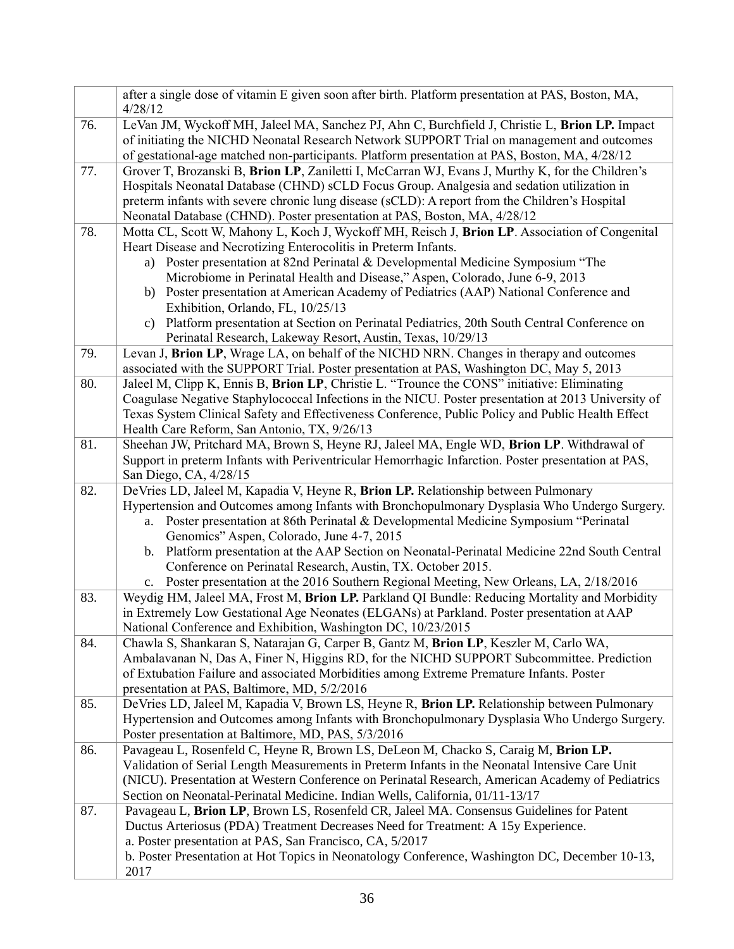|     | after a single dose of vitamin E given soon after birth. Platform presentation at PAS, Boston, MA,<br>4/28/12                                                                                                                                                                                                                                                                 |
|-----|-------------------------------------------------------------------------------------------------------------------------------------------------------------------------------------------------------------------------------------------------------------------------------------------------------------------------------------------------------------------------------|
| 76. | LeVan JM, Wyckoff MH, Jaleel MA, Sanchez PJ, Ahn C, Burchfield J, Christie L, Brion LP. Impact<br>of initiating the NICHD Neonatal Research Network SUPPORT Trial on management and outcomes<br>of gestational-age matched non-participants. Platform presentation at PAS, Boston, MA, 4/28/12                                                                                |
| 77. | Grover T, Brozanski B, Brion LP, Zaniletti I, McCarran WJ, Evans J, Murthy K, for the Children's<br>Hospitals Neonatal Database (CHND) sCLD Focus Group. Analgesia and sedation utilization in<br>preterm infants with severe chronic lung disease (sCLD): A report from the Children's Hospital<br>Neonatal Database (CHND). Poster presentation at PAS, Boston, MA, 4/28/12 |
| 78. | Motta CL, Scott W, Mahony L, Koch J, Wyckoff MH, Reisch J, Brion LP. Association of Congenital                                                                                                                                                                                                                                                                                |
|     | Heart Disease and Necrotizing Enterocolitis in Preterm Infants.                                                                                                                                                                                                                                                                                                               |
|     | a) Poster presentation at 82nd Perinatal & Developmental Medicine Symposium "The<br>Microbiome in Perinatal Health and Disease," Aspen, Colorado, June 6-9, 2013                                                                                                                                                                                                              |
|     | b) Poster presentation at American Academy of Pediatrics (AAP) National Conference and                                                                                                                                                                                                                                                                                        |
|     | Exhibition, Orlando, FL, 10/25/13                                                                                                                                                                                                                                                                                                                                             |
|     | Platform presentation at Section on Perinatal Pediatrics, 20th South Central Conference on<br>C)                                                                                                                                                                                                                                                                              |
|     | Perinatal Research, Lakeway Resort, Austin, Texas, 10/29/13                                                                                                                                                                                                                                                                                                                   |
| 79. | Levan J, Brion LP, Wrage LA, on behalf of the NICHD NRN. Changes in therapy and outcomes                                                                                                                                                                                                                                                                                      |
|     | associated with the SUPPORT Trial. Poster presentation at PAS, Washington DC, May 5, 2013                                                                                                                                                                                                                                                                                     |
| 80. | Jaleel M, Clipp K, Ennis B, Brion LP, Christie L. "Trounce the CONS" initiative: Eliminating                                                                                                                                                                                                                                                                                  |
|     | Coagulase Negative Staphylococcal Infections in the NICU. Poster presentation at 2013 University of                                                                                                                                                                                                                                                                           |
|     | Texas System Clinical Safety and Effectiveness Conference, Public Policy and Public Health Effect                                                                                                                                                                                                                                                                             |
| 81. | Health Care Reform, San Antonio, TX, 9/26/13<br>Sheehan JW, Pritchard MA, Brown S, Heyne RJ, Jaleel MA, Engle WD, Brion LP. Withdrawal of                                                                                                                                                                                                                                     |
|     | Support in preterm Infants with Periventricular Hemorrhagic Infarction. Poster presentation at PAS,                                                                                                                                                                                                                                                                           |
|     | San Diego, CA, 4/28/15                                                                                                                                                                                                                                                                                                                                                        |
|     |                                                                                                                                                                                                                                                                                                                                                                               |
| 82. | DeVries LD, Jaleel M, Kapadia V, Heyne R, Brion LP. Relationship between Pulmonary                                                                                                                                                                                                                                                                                            |
|     | Hypertension and Outcomes among Infants with Bronchopulmonary Dysplasia Who Undergo Surgery.                                                                                                                                                                                                                                                                                  |
|     | Poster presentation at 86th Perinatal & Developmental Medicine Symposium "Perinatal<br>a.                                                                                                                                                                                                                                                                                     |
|     | Genomics" Aspen, Colorado, June 4-7, 2015                                                                                                                                                                                                                                                                                                                                     |
|     | b. Platform presentation at the AAP Section on Neonatal-Perinatal Medicine 22nd South Central                                                                                                                                                                                                                                                                                 |
|     | Conference on Perinatal Research, Austin, TX. October 2015.                                                                                                                                                                                                                                                                                                                   |
|     | c. Poster presentation at the 2016 Southern Regional Meeting, New Orleans, LA, 2/18/2016                                                                                                                                                                                                                                                                                      |
| 83. | Weydig HM, Jaleel MA, Frost M, Brion LP. Parkland QI Bundle: Reducing Mortality and Morbidity                                                                                                                                                                                                                                                                                 |
|     | in Extremely Low Gestational Age Neonates (ELGANs) at Parkland. Poster presentation at AAP<br>National Conference and Exhibition, Washington DC, 10/23/2015                                                                                                                                                                                                                   |
| 84. | Chawla S, Shankaran S, Natarajan G, Carper B, Gantz M, Brion LP, Keszler M, Carlo WA,                                                                                                                                                                                                                                                                                         |
|     | Ambalavanan N, Das A, Finer N, Higgins RD, for the NICHD SUPPORT Subcommittee. Prediction                                                                                                                                                                                                                                                                                     |
|     | of Extubation Failure and associated Morbidities among Extreme Premature Infants. Poster                                                                                                                                                                                                                                                                                      |
|     | presentation at PAS, Baltimore, MD, 5/2/2016                                                                                                                                                                                                                                                                                                                                  |
| 85. | DeVries LD, Jaleel M, Kapadia V, Brown LS, Heyne R, Brion LP. Relationship between Pulmonary                                                                                                                                                                                                                                                                                  |
|     | Hypertension and Outcomes among Infants with Bronchopulmonary Dysplasia Who Undergo Surgery.                                                                                                                                                                                                                                                                                  |
|     | Poster presentation at Baltimore, MD, PAS, 5/3/2016                                                                                                                                                                                                                                                                                                                           |
| 86. | Pavageau L, Rosenfeld C, Heyne R, Brown LS, DeLeon M, Chacko S, Caraig M, Brion LP.                                                                                                                                                                                                                                                                                           |
|     | Validation of Serial Length Measurements in Preterm Infants in the Neonatal Intensive Care Unit                                                                                                                                                                                                                                                                               |
|     | (NICU). Presentation at Western Conference on Perinatal Research, American Academy of Pediatrics<br>Section on Neonatal-Perinatal Medicine. Indian Wells, California, 01/11-13/17                                                                                                                                                                                             |
| 87. | Pavageau L, Brion LP, Brown LS, Rosenfeld CR, Jaleel MA. Consensus Guidelines for Patent                                                                                                                                                                                                                                                                                      |
|     | Ductus Arteriosus (PDA) Treatment Decreases Need for Treatment: A 15y Experience.                                                                                                                                                                                                                                                                                             |
|     | a. Poster presentation at PAS, San Francisco, CA, 5/2017                                                                                                                                                                                                                                                                                                                      |
|     | b. Poster Presentation at Hot Topics in Neonatology Conference, Washington DC, December 10-13,<br>2017                                                                                                                                                                                                                                                                        |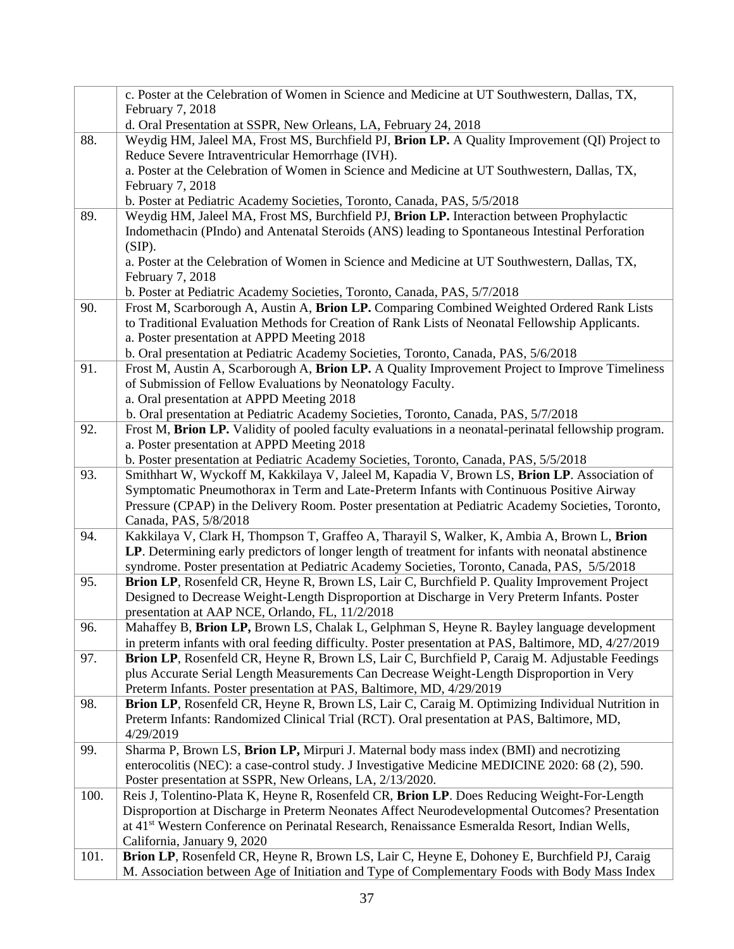|      | c. Poster at the Celebration of Women in Science and Medicine at UT Southwestern, Dallas, TX,                                                                                                 |
|------|-----------------------------------------------------------------------------------------------------------------------------------------------------------------------------------------------|
|      | February 7, 2018                                                                                                                                                                              |
|      | d. Oral Presentation at SSPR, New Orleans, LA, February 24, 2018                                                                                                                              |
| 88.  | Weydig HM, Jaleel MA, Frost MS, Burchfield PJ, Brion LP. A Quality Improvement (QI) Project to                                                                                                |
|      | Reduce Severe Intraventricular Hemorrhage (IVH).                                                                                                                                              |
|      | a. Poster at the Celebration of Women in Science and Medicine at UT Southwestern, Dallas, TX,                                                                                                 |
|      | February 7, 2018                                                                                                                                                                              |
|      | b. Poster at Pediatric Academy Societies, Toronto, Canada, PAS, 5/5/2018                                                                                                                      |
| 89.  | Weydig HM, Jaleel MA, Frost MS, Burchfield PJ, Brion LP. Interaction between Prophylactic                                                                                                     |
|      | Indomethacin (PIndo) and Antenatal Steroids (ANS) leading to Spontaneous Intestinal Perforation                                                                                               |
|      | (SIP).                                                                                                                                                                                        |
|      | a. Poster at the Celebration of Women in Science and Medicine at UT Southwestern, Dallas, TX,                                                                                                 |
|      | February 7, 2018                                                                                                                                                                              |
| 90.  | b. Poster at Pediatric Academy Societies, Toronto, Canada, PAS, 5/7/2018<br>Frost M, Scarborough A, Austin A, Brion LP. Comparing Combined Weighted Ordered Rank Lists                        |
|      | to Traditional Evaluation Methods for Creation of Rank Lists of Neonatal Fellowship Applicants.                                                                                               |
|      | a. Poster presentation at APPD Meeting 2018                                                                                                                                                   |
|      | b. Oral presentation at Pediatric Academy Societies, Toronto, Canada, PAS, 5/6/2018                                                                                                           |
| 91.  | Frost M, Austin A, Scarborough A, Brion LP. A Quality Improvement Project to Improve Timeliness                                                                                               |
|      | of Submission of Fellow Evaluations by Neonatology Faculty.                                                                                                                                   |
|      | a. Oral presentation at APPD Meeting 2018                                                                                                                                                     |
|      | b. Oral presentation at Pediatric Academy Societies, Toronto, Canada, PAS, 5/7/2018                                                                                                           |
| 92.  | Frost M, Brion LP. Validity of pooled faculty evaluations in a neonatal-perinatal fellowship program.                                                                                         |
|      | a. Poster presentation at APPD Meeting 2018                                                                                                                                                   |
|      | b. Poster presentation at Pediatric Academy Societies, Toronto, Canada, PAS, 5/5/2018                                                                                                         |
| 93.  | Smithhart W, Wyckoff M, Kakkilaya V, Jaleel M, Kapadia V, Brown LS, Brion LP. Association of                                                                                                  |
|      | Symptomatic Pneumothorax in Term and Late-Preterm Infants with Continuous Positive Airway                                                                                                     |
|      | Pressure (CPAP) in the Delivery Room. Poster presentation at Pediatric Academy Societies, Toronto,                                                                                            |
|      | Canada, PAS, 5/8/2018                                                                                                                                                                         |
| 94.  | Kakkilaya V, Clark H, Thompson T, Graffeo A, Tharayil S, Walker, K, Ambia A, Brown L, Brion                                                                                                   |
|      | LP. Determining early predictors of longer length of treatment for infants with neonatal abstinence                                                                                           |
|      | syndrome. Poster presentation at Pediatric Academy Societies, Toronto, Canada, PAS, 5/5/2018                                                                                                  |
| 95.  | Brion LP, Rosenfeld CR, Heyne R, Brown LS, Lair C, Burchfield P. Quality Improvement Project<br>Designed to Decrease Weight-Length Disproportion at Discharge in Very Preterm Infants. Poster |
|      | presentation at AAP NCE, Orlando, FL, 11/2/2018                                                                                                                                               |
| 96.  | Mahaffey B, Brion LP, Brown LS, Chalak L, Gelphman S, Heyne R. Bayley language development                                                                                                    |
|      | in preterm infants with oral feeding difficulty. Poster presentation at PAS, Baltimore, MD, 4/27/2019                                                                                         |
| 97.  | Brion LP, Rosenfeld CR, Heyne R, Brown LS, Lair C, Burchfield P, Caraig M. Adjustable Feedings                                                                                                |
|      | plus Accurate Serial Length Measurements Can Decrease Weight-Length Disproportion in Very                                                                                                     |
|      | Preterm Infants. Poster presentation at PAS, Baltimore, MD, 4/29/2019                                                                                                                         |
| 98.  | Brion LP, Rosenfeld CR, Heyne R, Brown LS, Lair C, Caraig M. Optimizing Individual Nutrition in                                                                                               |
|      | Preterm Infants: Randomized Clinical Trial (RCT). Oral presentation at PAS, Baltimore, MD,                                                                                                    |
|      | 4/29/2019                                                                                                                                                                                     |
| 99.  | Sharma P, Brown LS, Brion LP, Mirpuri J. Maternal body mass index (BMI) and necrotizing                                                                                                       |
|      | enterocolitis (NEC): a case-control study. J Investigative Medicine MEDICINE 2020: 68 (2), 590.                                                                                               |
|      | Poster presentation at SSPR, New Orleans, LA, 2/13/2020.                                                                                                                                      |
| 100. | Reis J, Tolentino-Plata K, Heyne R, Rosenfeld CR, Brion LP. Does Reducing Weight-For-Length                                                                                                   |
|      | Disproportion at Discharge in Preterm Neonates Affect Neurodevelopmental Outcomes? Presentation                                                                                               |
|      | at 41 <sup>st</sup> Western Conference on Perinatal Research, Renaissance Esmeralda Resort, Indian Wells,                                                                                     |
|      | California, January 9, 2020                                                                                                                                                                   |
| 101. | Brion LP, Rosenfeld CR, Heyne R, Brown LS, Lair C, Heyne E, Dohoney E, Burchfield PJ, Caraig                                                                                                  |
|      | M. Association between Age of Initiation and Type of Complementary Foods with Body Mass Index                                                                                                 |